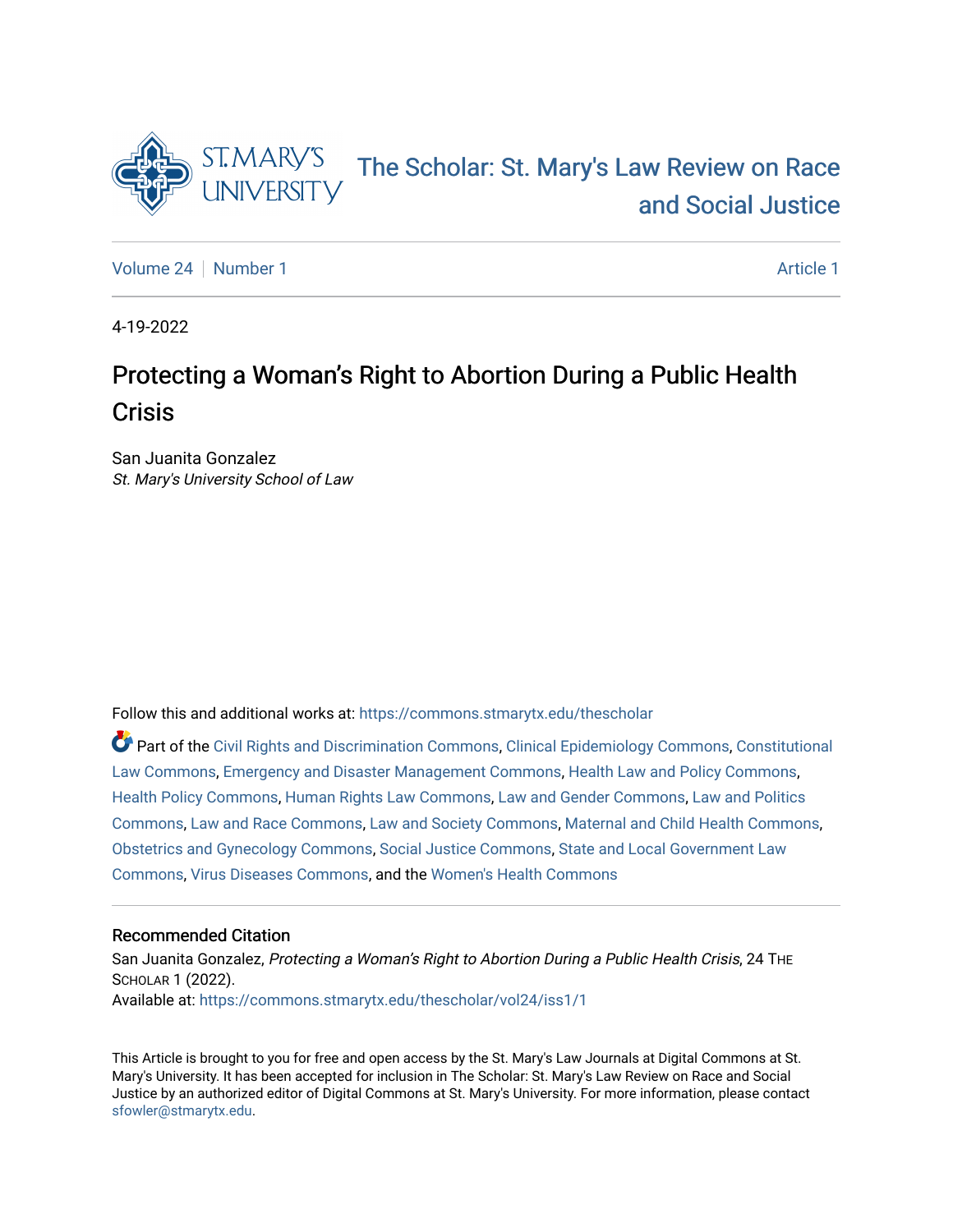

# [The Scholar: St. Mary's Law Review on Race](https://commons.stmarytx.edu/thescholar)  [and Social Justice](https://commons.stmarytx.edu/thescholar)

[Volume 24](https://commons.stmarytx.edu/thescholar/vol24) | [Number 1](https://commons.stmarytx.edu/thescholar/vol24/iss1) [Article 1](https://commons.stmarytx.edu/thescholar/vol24/iss1/1) Article 1 Article 1 Article 1 Article 1 Article 1

4-19-2022

## Protecting a Woman's Right to Abortion During a Public Health **Crisis**

San Juanita Gonzalez St. Mary's University School of Law

Follow this and additional works at: [https://commons.stmarytx.edu/thescholar](https://commons.stmarytx.edu/thescholar?utm_source=commons.stmarytx.edu%2Fthescholar%2Fvol24%2Fiss1%2F1&utm_medium=PDF&utm_campaign=PDFCoverPages) 

Part of the [Civil Rights and Discrimination Commons,](http://network.bepress.com/hgg/discipline/585?utm_source=commons.stmarytx.edu%2Fthescholar%2Fvol24%2Fiss1%2F1&utm_medium=PDF&utm_campaign=PDFCoverPages) [Clinical Epidemiology Commons,](http://network.bepress.com/hgg/discipline/815?utm_source=commons.stmarytx.edu%2Fthescholar%2Fvol24%2Fiss1%2F1&utm_medium=PDF&utm_campaign=PDFCoverPages) [Constitutional](http://network.bepress.com/hgg/discipline/589?utm_source=commons.stmarytx.edu%2Fthescholar%2Fvol24%2Fiss1%2F1&utm_medium=PDF&utm_campaign=PDFCoverPages) [Law Commons,](http://network.bepress.com/hgg/discipline/589?utm_source=commons.stmarytx.edu%2Fthescholar%2Fvol24%2Fiss1%2F1&utm_medium=PDF&utm_campaign=PDFCoverPages) [Emergency and Disaster Management Commons,](http://network.bepress.com/hgg/discipline/1321?utm_source=commons.stmarytx.edu%2Fthescholar%2Fvol24%2Fiss1%2F1&utm_medium=PDF&utm_campaign=PDFCoverPages) [Health Law and Policy Commons](http://network.bepress.com/hgg/discipline/901?utm_source=commons.stmarytx.edu%2Fthescholar%2Fvol24%2Fiss1%2F1&utm_medium=PDF&utm_campaign=PDFCoverPages), [Health Policy Commons,](http://network.bepress.com/hgg/discipline/395?utm_source=commons.stmarytx.edu%2Fthescholar%2Fvol24%2Fiss1%2F1&utm_medium=PDF&utm_campaign=PDFCoverPages) [Human Rights Law Commons,](http://network.bepress.com/hgg/discipline/847?utm_source=commons.stmarytx.edu%2Fthescholar%2Fvol24%2Fiss1%2F1&utm_medium=PDF&utm_campaign=PDFCoverPages) [Law and Gender Commons,](http://network.bepress.com/hgg/discipline/1298?utm_source=commons.stmarytx.edu%2Fthescholar%2Fvol24%2Fiss1%2F1&utm_medium=PDF&utm_campaign=PDFCoverPages) [Law and Politics](http://network.bepress.com/hgg/discipline/867?utm_source=commons.stmarytx.edu%2Fthescholar%2Fvol24%2Fiss1%2F1&utm_medium=PDF&utm_campaign=PDFCoverPages)  [Commons](http://network.bepress.com/hgg/discipline/867?utm_source=commons.stmarytx.edu%2Fthescholar%2Fvol24%2Fiss1%2F1&utm_medium=PDF&utm_campaign=PDFCoverPages), [Law and Race Commons](http://network.bepress.com/hgg/discipline/1300?utm_source=commons.stmarytx.edu%2Fthescholar%2Fvol24%2Fiss1%2F1&utm_medium=PDF&utm_campaign=PDFCoverPages), [Law and Society Commons,](http://network.bepress.com/hgg/discipline/853?utm_source=commons.stmarytx.edu%2Fthescholar%2Fvol24%2Fiss1%2F1&utm_medium=PDF&utm_campaign=PDFCoverPages) [Maternal and Child Health Commons,](http://network.bepress.com/hgg/discipline/745?utm_source=commons.stmarytx.edu%2Fthescholar%2Fvol24%2Fiss1%2F1&utm_medium=PDF&utm_campaign=PDFCoverPages) [Obstetrics and Gynecology Commons,](http://network.bepress.com/hgg/discipline/693?utm_source=commons.stmarytx.edu%2Fthescholar%2Fvol24%2Fiss1%2F1&utm_medium=PDF&utm_campaign=PDFCoverPages) [Social Justice Commons,](http://network.bepress.com/hgg/discipline/1432?utm_source=commons.stmarytx.edu%2Fthescholar%2Fvol24%2Fiss1%2F1&utm_medium=PDF&utm_campaign=PDFCoverPages) [State and Local Government Law](http://network.bepress.com/hgg/discipline/879?utm_source=commons.stmarytx.edu%2Fthescholar%2Fvol24%2Fiss1%2F1&utm_medium=PDF&utm_campaign=PDFCoverPages)  [Commons](http://network.bepress.com/hgg/discipline/879?utm_source=commons.stmarytx.edu%2Fthescholar%2Fvol24%2Fiss1%2F1&utm_medium=PDF&utm_campaign=PDFCoverPages), [Virus Diseases Commons,](http://network.bepress.com/hgg/discipline/998?utm_source=commons.stmarytx.edu%2Fthescholar%2Fvol24%2Fiss1%2F1&utm_medium=PDF&utm_campaign=PDFCoverPages) and the [Women's Health Commons](http://network.bepress.com/hgg/discipline/1241?utm_source=commons.stmarytx.edu%2Fthescholar%2Fvol24%2Fiss1%2F1&utm_medium=PDF&utm_campaign=PDFCoverPages)

## Recommended Citation

San Juanita Gonzalez, Protecting a Woman's Right to Abortion During a Public Health Crisis, 24 THE SCHOLAR 1 (2022). Available at: [https://commons.stmarytx.edu/thescholar/vol24/iss1/1](https://commons.stmarytx.edu/thescholar/vol24/iss1/1?utm_source=commons.stmarytx.edu%2Fthescholar%2Fvol24%2Fiss1%2F1&utm_medium=PDF&utm_campaign=PDFCoverPages) 

This Article is brought to you for free and open access by the St. Mary's Law Journals at Digital Commons at St. Mary's University. It has been accepted for inclusion in The Scholar: St. Mary's Law Review on Race and Social Justice by an authorized editor of Digital Commons at St. Mary's University. For more information, please contact [sfowler@stmarytx.edu](mailto:sfowler@stmarytx.edu).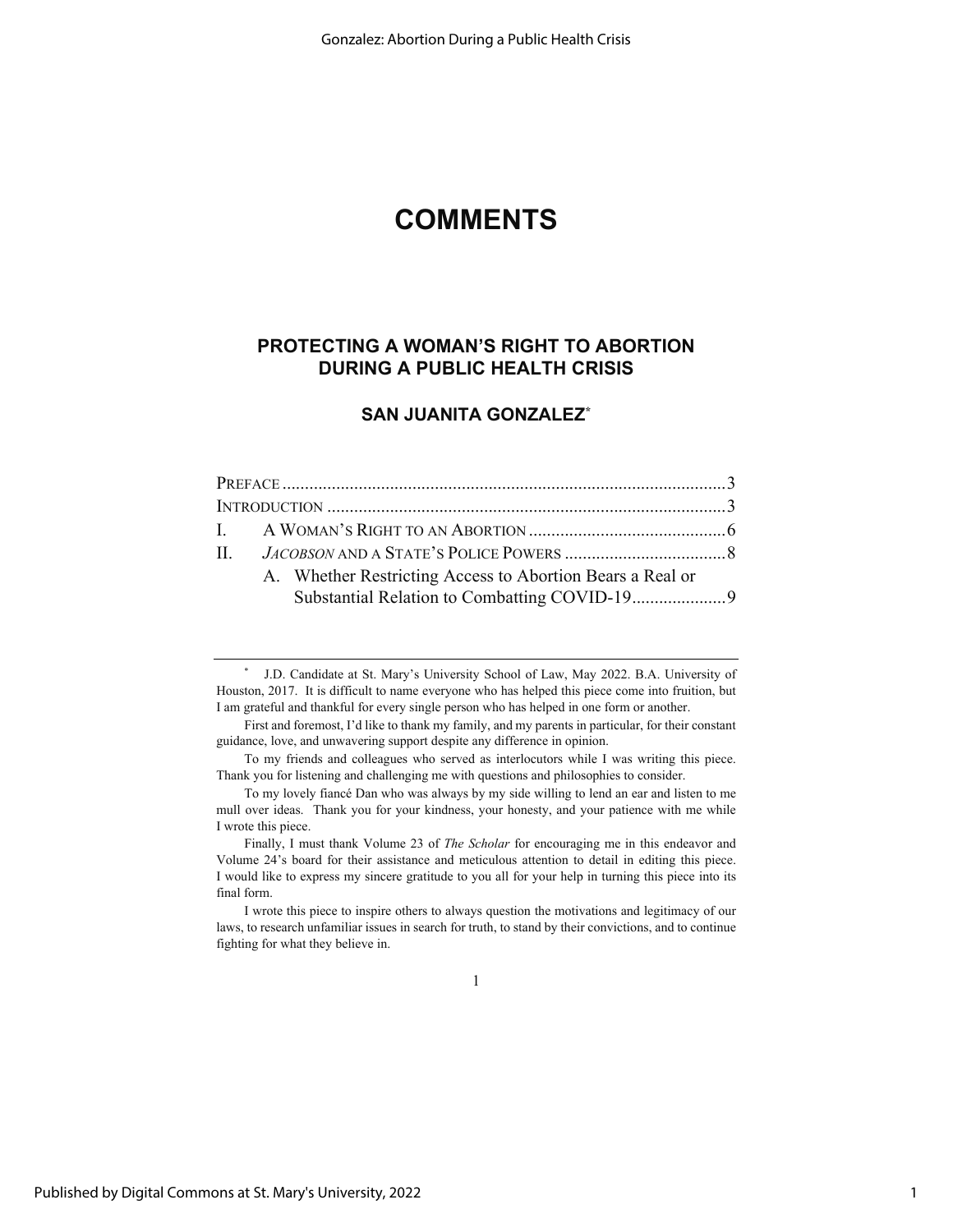## **COMMENTS**

## **PROTECTING A WOMAN'S RIGHT TO ABORTION DURING A PUBLIC HEALTH CRISIS**

## **SAN JUANITA GONZALEZ\***

|  |  | A. Whether Restricting Access to Abortion Bears a Real or |  |
|--|--|-----------------------------------------------------------|--|
|  |  |                                                           |  |

1

<sup>\*</sup> J.D. Candidate at St. Mary's University School of Law, May 2022. B.A. University of Houston, 2017. It is difficult to name everyone who has helped this piece come into fruition, but I am grateful and thankful for every single person who has helped in one form or another.

First and foremost, I'd like to thank my family, and my parents in particular, for their constant guidance, love, and unwavering support despite any difference in opinion.

To my friends and colleagues who served as interlocutors while I was writing this piece. Thank you for listening and challenging me with questions and philosophies to consider.

To my lovely fiancé Dan who was always by my side willing to lend an ear and listen to me mull over ideas. Thank you for your kindness, your honesty, and your patience with me while I wrote this piece.

Finally, I must thank Volume 23 of *The Scholar* for encouraging me in this endeavor and Volume 24's board for their assistance and meticulous attention to detail in editing this piece. I would like to express my sincere gratitude to you all for your help in turning this piece into its final form.

I wrote this piece to inspire others to always question the motivations and legitimacy of our laws, to research unfamiliar issues in search for truth, to stand by their convictions, and to continue fighting for what they believe in.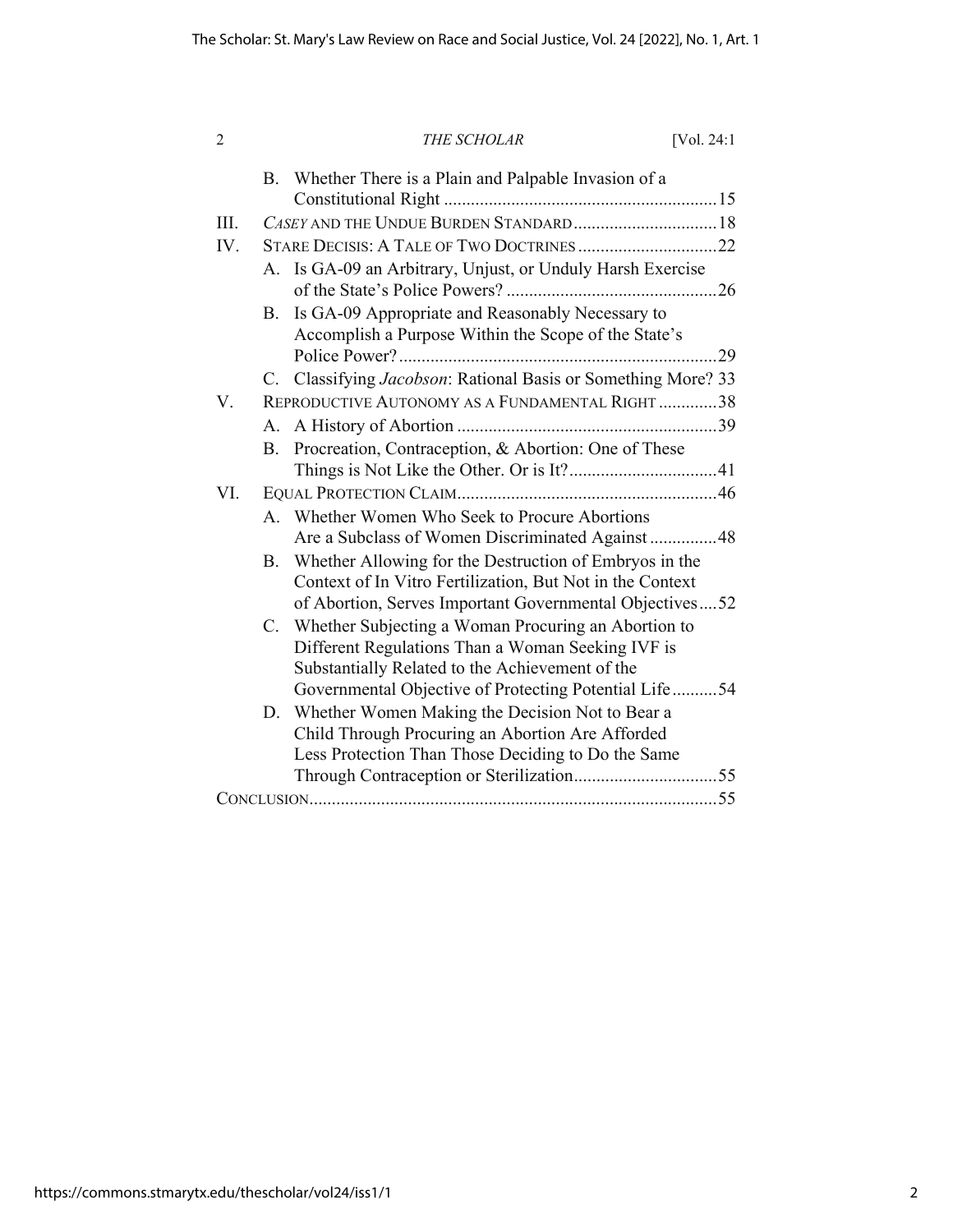| $\overline{2}$ |             | THE SCHOLAR                                                                                                                                                                    | [ $Vol. 24:1$ ] |
|----------------|-------------|--------------------------------------------------------------------------------------------------------------------------------------------------------------------------------|-----------------|
|                | B.          | Whether There is a Plain and Palpable Invasion of a                                                                                                                            |                 |
| III.           |             |                                                                                                                                                                                |                 |
| IV.            |             |                                                                                                                                                                                |                 |
|                | $A_{-}$     | Is GA-09 an Arbitrary, Unjust, or Unduly Harsh Exercise                                                                                                                        |                 |
|                | B.          | Is GA-09 Appropriate and Reasonably Necessary to<br>Accomplish a Purpose Within the Scope of the State's                                                                       |                 |
|                |             |                                                                                                                                                                                |                 |
| V.             |             | C. Classifying <i>Jacobson</i> : Rational Basis or Something More? 33<br>REPRODUCTIVE AUTONOMY AS A FUNDAMENTAL RIGHT38                                                        |                 |
|                |             |                                                                                                                                                                                |                 |
|                |             |                                                                                                                                                                                |                 |
|                | $B_{\cdot}$ | Procreation, Contraception, & Abortion: One of These                                                                                                                           |                 |
| VI.            |             |                                                                                                                                                                                |                 |
|                |             | A. Whether Women Who Seek to Procure Abortions<br>Are a Subclass of Women Discriminated Against 48                                                                             |                 |
|                | B.          | Whether Allowing for the Destruction of Embryos in the<br>Context of In Vitro Fertilization, But Not in the Context<br>of Abortion, Serves Important Governmental Objectives52 |                 |
|                | $C_{\cdot}$ | Whether Subjecting a Woman Procuring an Abortion to<br>Different Regulations Than a Woman Seeking IVF is<br>Substantially Related to the Achievement of the                    |                 |
|                |             | Governmental Objective of Protecting Potential Life  54                                                                                                                        |                 |
|                | D.          | Whether Women Making the Decision Not to Bear a<br>Child Through Procuring an Abortion Are Afforded<br>Less Protection Than Those Deciding to Do the Same                      |                 |
|                |             |                                                                                                                                                                                |                 |
|                |             |                                                                                                                                                                                |                 |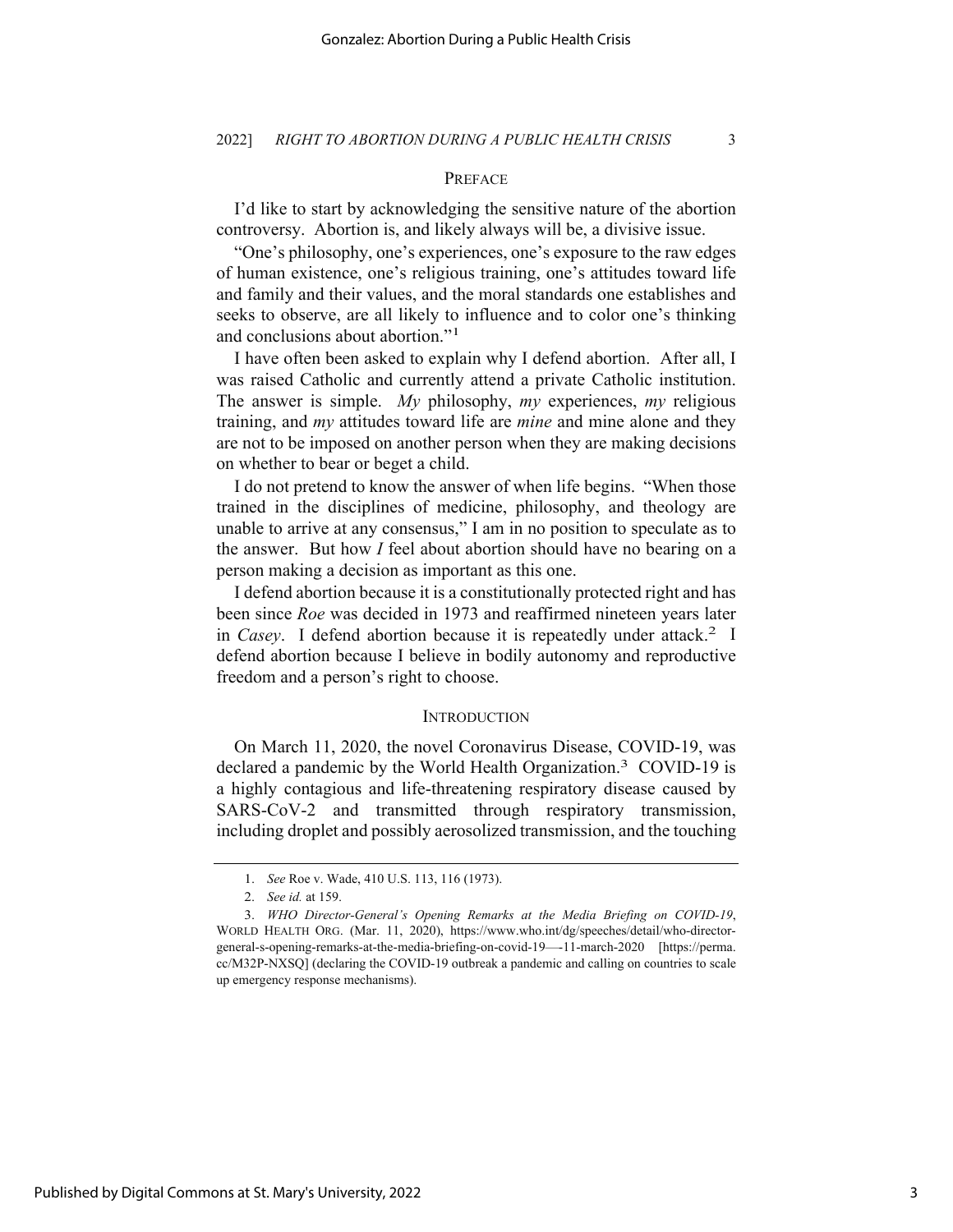## PREFACE

I'd like to start by acknowledging the sensitive nature of the abortion controversy. Abortion is, and likely always will be, a divisive issue.

"One's philosophy, one's experiences, one's exposure to the raw edges of human existence, one's religious training, one's attitudes toward life and family and their values, and the moral standards one establishes and seeks to observe, are all likely to influence and to color one's thinking and conclusions about abortion."1

I have often been asked to explain why I defend abortion. After all, I was raised Catholic and currently attend a private Catholic institution. The answer is simple. *My* philosophy, *my* experiences, *my* religious training, and *my* attitudes toward life are *mine* and mine alone and they are not to be imposed on another person when they are making decisions on whether to bear or beget a child.

I do not pretend to know the answer of when life begins. "When those trained in the disciplines of medicine, philosophy, and theology are unable to arrive at any consensus," I am in no position to speculate as to the answer. But how *I* feel about abortion should have no bearing on a person making a decision as important as this one.

I defend abortion because it is a constitutionally protected right and has been since *Roe* was decided in 1973 and reaffirmed nineteen years later in *Casey*. I defend abortion because it is repeatedly under attack.<sup>2</sup> I defend abortion because I believe in bodily autonomy and reproductive freedom and a person's right to choose.

#### **INTRODUCTION**

On March 11, 2020, the novel Coronavirus Disease, COVID-19, was declared a pandemic by the World Health Organization.3 COVID-19 is a highly contagious and life-threatening respiratory disease caused by SARS-CoV-2 and transmitted through respiratory transmission, including droplet and possibly aerosolized transmission, and the touching

<sup>1.</sup> *See* Roe v. Wade, 410 U.S. 113, 116 (1973).

<sup>2.</sup> *See id.* at 159.

<sup>3.</sup> *WHO Director-General's Opening Remarks at the Media Briefing on COVID-19*, WORLD HEALTH ORG. (Mar. 11, 2020), https://www.who.int/dg/speeches/detail/who-directorgeneral-s-opening-remarks-at-the-media-briefing-on-covid-19—-11-march-2020 [https://perma. cc/M32P-NXSQ] (declaring the COVID-19 outbreak a pandemic and calling on countries to scale up emergency response mechanisms).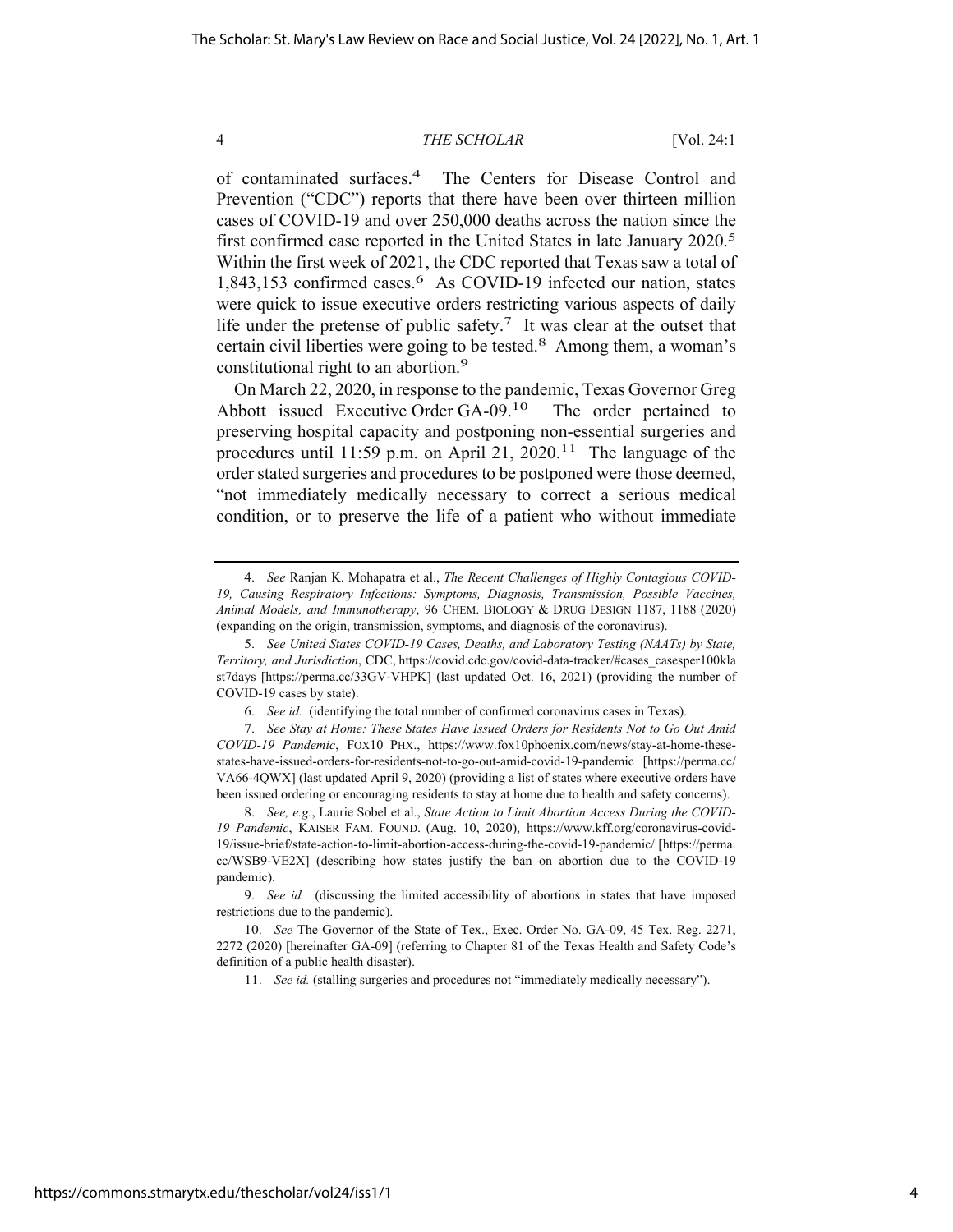of contaminated surfaces.4 The Centers for Disease Control and Prevention ("CDC") reports that there have been over thirteen million cases of COVID-19 and over 250,000 deaths across the nation since the first confirmed case reported in the United States in late January 2020.<sup>5</sup> Within the first week of 2021, the CDC reported that Texas saw a total of 1,843,153 confirmed cases.<sup>6</sup> As COVID-19 infected our nation, states were quick to issue executive orders restricting various aspects of daily life under the pretense of public safety.<sup>7</sup> It was clear at the outset that certain civil liberties were going to be tested.<sup>8</sup> Among them, a woman's constitutional right to an abortion.<sup>9</sup>

On March 22, 2020, in response to the pandemic, Texas Governor Greg Abbott issued Executive Order GA-09.10 The order pertained to preserving hospital capacity and postponing non-essential surgeries and procedures until 11:59 p.m. on April 21, 2020.<sup>11</sup> The language of the order stated surgeries and procedures to be postponed were those deemed, "not immediately medically necessary to correct a serious medical condition, or to preserve the life of a patient who without immediate

<sup>4.</sup> *See* Ranjan K. Mohapatra et al., *The Recent Challenges of Highly Contagious COVID-19, Causing Respiratory Infections: Symptoms, Diagnosis, Transmission, Possible Vaccines, Animal Models, and Immunotherapy*, 96 CHEM. BIOLOGY & DRUG DESIGN 1187, 1188 (2020) (expanding on the origin, transmission, symptoms, and diagnosis of the coronavirus).

<sup>5.</sup> *See United States COVID-19 Cases, Deaths, and Laboratory Testing (NAATs) by State, Territory, and Jurisdiction*, CDC, https://covid.cdc.gov/covid-data-tracker/#cases\_casesper100kla st7days [https://perma.cc/33GV-VHPK] (last updated Oct. 16, 2021) (providing the number of COVID-19 cases by state).

<sup>6.</sup> *See id.* (identifying the total number of confirmed coronavirus cases in Texas).

<sup>7.</sup> *See Stay at Home: These States Have Issued Orders for Residents Not to Go Out Amid COVID-19 Pandemic*, FOX10 PHX., https://www.fox10phoenix.com/news/stay-at-home-thesestates-have-issued-orders-for-residents-not-to-go-out-amid-covid-19-pandemic [https://perma.cc/ VA66-4QWX] (last updated April 9, 2020) (providing a list of states where executive orders have been issued ordering or encouraging residents to stay at home due to health and safety concerns).

<sup>8.</sup> *See, e.g.*, Laurie Sobel et al., *State Action to Limit Abortion Access During the COVID-19 Pandemic*, KAISER FAM. FOUND. (Aug. 10, 2020), https://www.kff.org/coronavirus-covid-19/issue-brief/state-action-to-limit-abortion-access-during-the-covid-19-pandemic/ [https://perma. cc/WSB9-VE2X] (describing how states justify the ban on abortion due to the COVID-19 pandemic).

<sup>9.</sup> *See id.* (discussing the limited accessibility of abortions in states that have imposed restrictions due to the pandemic).

<sup>10.</sup> *See* The Governor of the State of Tex., Exec. Order No. GA-09, 45 Tex. Reg. 2271, 2272 (2020) [hereinafter GA-09] (referring to Chapter 81 of the Texas Health and Safety Code's definition of a public health disaster).

<sup>11.</sup> *See id.* (stalling surgeries and procedures not "immediately medically necessary").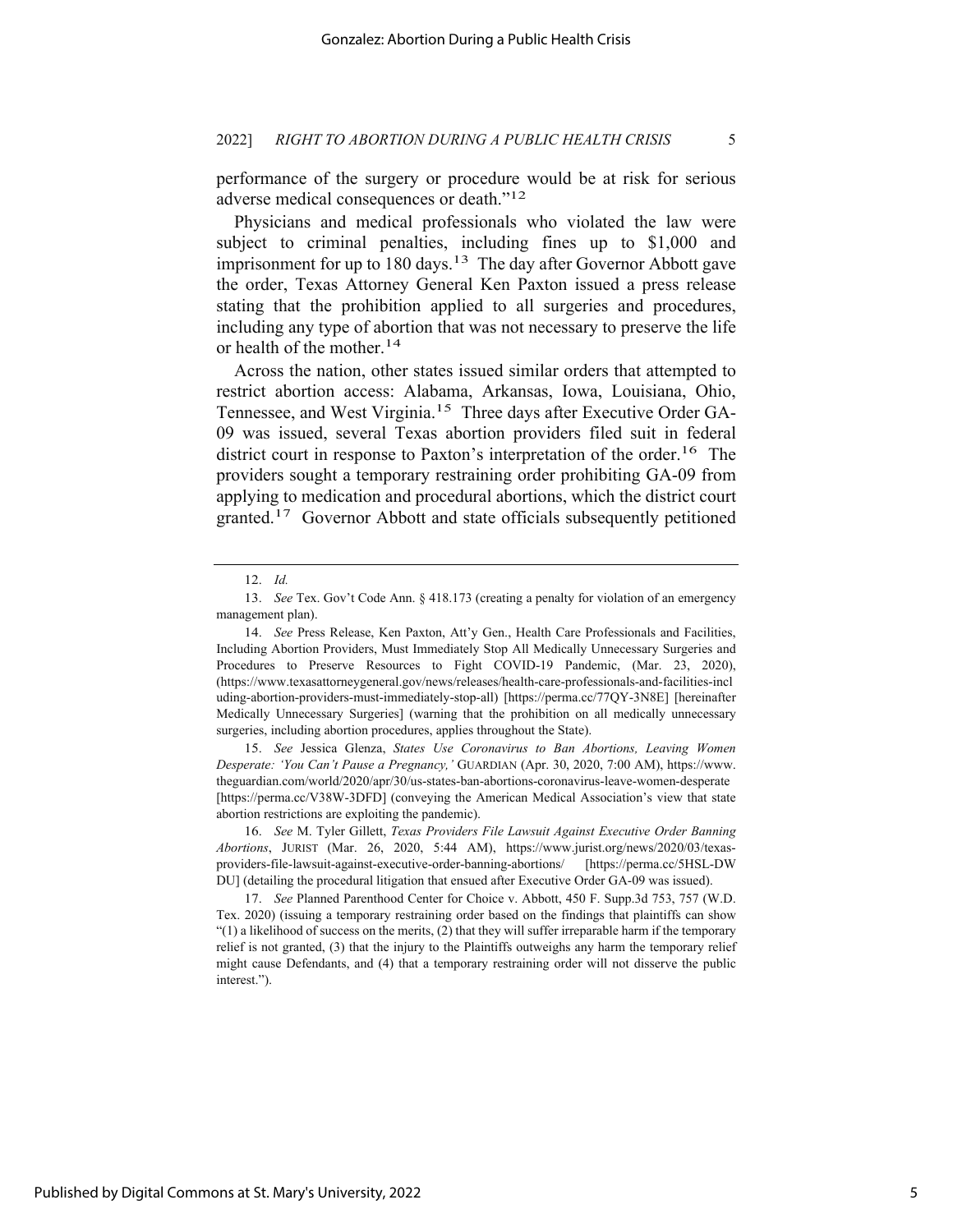performance of the surgery or procedure would be at risk for serious adverse medical consequences or death."12

Physicians and medical professionals who violated the law were subject to criminal penalties, including fines up to \$1,000 and imprisonment for up to  $180$  days.<sup>13</sup> The day after Governor Abbott gave the order, Texas Attorney General Ken Paxton issued a press release stating that the prohibition applied to all surgeries and procedures, including any type of abortion that was not necessary to preserve the life or health of the mother.14

Across the nation, other states issued similar orders that attempted to restrict abortion access: Alabama, Arkansas, Iowa, Louisiana, Ohio, Tennessee, and West Virginia.<sup>15</sup> Three days after Executive Order GA-09 was issued, several Texas abortion providers filed suit in federal district court in response to Paxton's interpretation of the order.<sup>16</sup> The providers sought a temporary restraining order prohibiting GA-09 from applying to medication and procedural abortions, which the district court granted.17 Governor Abbott and state officials subsequently petitioned

15. *See* Jessica Glenza, *States Use Coronavirus to Ban Abortions, Leaving Women Desperate: 'You Can't Pause a Pregnancy,'* GUARDIAN (Apr. 30, 2020, 7:00 AM), https://www. theguardian.com/world/2020/apr/30/us-states-ban-abortions-coronavirus-leave-women-desperate [https://perma.cc/V38W-3DFD] (conveying the American Medical Association's view that state abortion restrictions are exploiting the pandemic).

<sup>12.</sup> *Id.*

<sup>13.</sup> *See* Tex. Gov't Code Ann. § 418.173 (creating a penalty for violation of an emergency management plan).

<sup>14.</sup> *See* Press Release, Ken Paxton, Att'y Gen., Health Care Professionals and Facilities, Including Abortion Providers, Must Immediately Stop All Medically Unnecessary Surgeries and Procedures to Preserve Resources to Fight COVID-19 Pandemic, (Mar. 23, 2020), (https://www.texasattorneygeneral.gov/news/releases/health-care-professionals-and-facilities-incl uding-abortion-providers-must-immediately-stop-all) [https://perma.cc/77QY-3N8E] [hereinafter Medically Unnecessary Surgeries] (warning that the prohibition on all medically unnecessary surgeries, including abortion procedures, applies throughout the State).

<sup>16.</sup> *See* M. Tyler Gillett, *Texas Providers File Lawsuit Against Executive Order Banning Abortions*, JURIST (Mar. 26, 2020, 5:44 AM), https://www.jurist.org/news/2020/03/texasproviders-file-lawsuit-against-executive-order-banning-abortions/ [https://perma.cc/5HSL-DW DU] (detailing the procedural litigation that ensued after Executive Order GA-09 was issued).

<sup>17.</sup> *See* Planned Parenthood Center for Choice v. Abbott, 450 F. Supp.3d 753, 757 (W.D. Tex. 2020) (issuing a temporary restraining order based on the findings that plaintiffs can show "(1) a likelihood of success on the merits, (2) that they will suffer irreparable harm if the temporary relief is not granted, (3) that the injury to the Plaintiffs outweighs any harm the temporary relief might cause Defendants, and (4) that a temporary restraining order will not disserve the public interest.").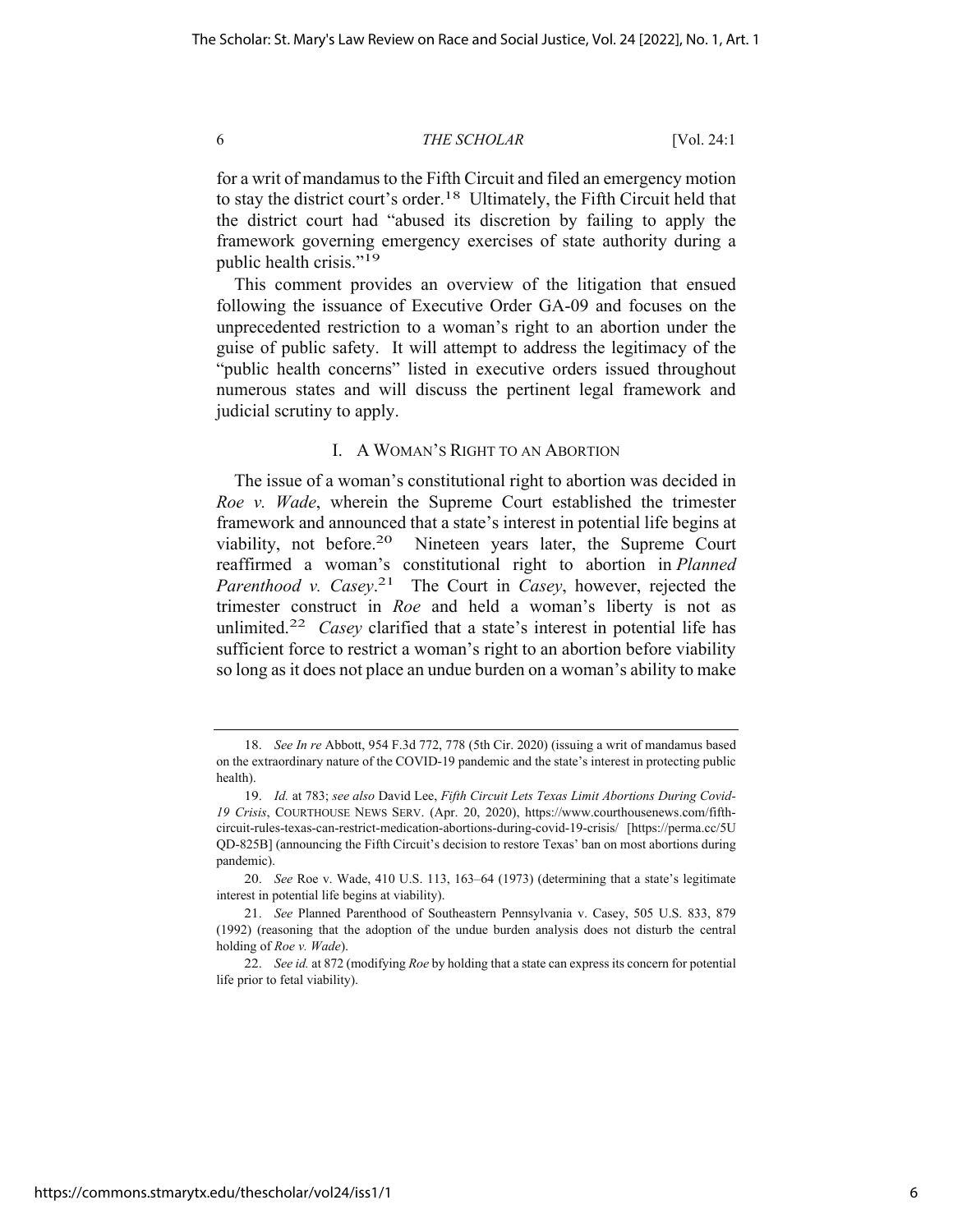for a writ of mandamus to the Fifth Circuit and filed an emergency motion to stay the district court's order.<sup>18</sup> Ultimately, the Fifth Circuit held that the district court had "abused its discretion by failing to apply the framework governing emergency exercises of state authority during a public health crisis."19

This comment provides an overview of the litigation that ensued following the issuance of Executive Order GA-09 and focuses on the unprecedented restriction to a woman's right to an abortion under the guise of public safety. It will attempt to address the legitimacy of the "public health concerns" listed in executive orders issued throughout numerous states and will discuss the pertinent legal framework and judicial scrutiny to apply.

### I. A WOMAN'S RIGHT TO AN ABORTION

The issue of a woman's constitutional right to abortion was decided in *Roe v. Wade*, wherein the Supreme Court established the trimester framework and announced that a state's interest in potential life begins at viability, not before.20 Nineteen years later, the Supreme Court reaffirmed a woman's constitutional right to abortion in *Planned Parenthood v. Casey*. 21 The Court in *Casey*, however, rejected the trimester construct in *Roe* and held a woman's liberty is not as unlimited.22 *Casey* clarified that a state's interest in potential life has sufficient force to restrict a woman's right to an abortion before viability so long as it does not place an undue burden on a woman's ability to make

<sup>18.</sup> *See In re* Abbott, 954 F.3d 772, 778 (5th Cir. 2020) (issuing a writ of mandamus based on the extraordinary nature of the COVID-19 pandemic and the state's interest in protecting public health).

<sup>19.</sup> *Id.* at 783; *see also* David Lee, *Fifth Circuit Lets Texas Limit Abortions During Covid-19 Crisis*, COURTHOUSE NEWS SERV. (Apr. 20, 2020), https://www.courthousenews.com/fifthcircuit-rules-texas-can-restrict-medication-abortions-during-covid-19-crisis/ [https://perma.cc/5U QD-825B] (announcing the Fifth Circuit's decision to restore Texas' ban on most abortions during pandemic).

<sup>20.</sup> *See* Roe v. Wade, 410 U.S. 113, 163–64 (1973) (determining that a state's legitimate interest in potential life begins at viability).

<sup>21.</sup> *See* Planned Parenthood of Southeastern Pennsylvania v. Casey, 505 U.S. 833, 879 (1992) (reasoning that the adoption of the undue burden analysis does not disturb the central holding of *Roe v. Wade*).

<sup>22.</sup> *See id.* at 872 (modifying *Roe* by holding that a state can express its concern for potential life prior to fetal viability).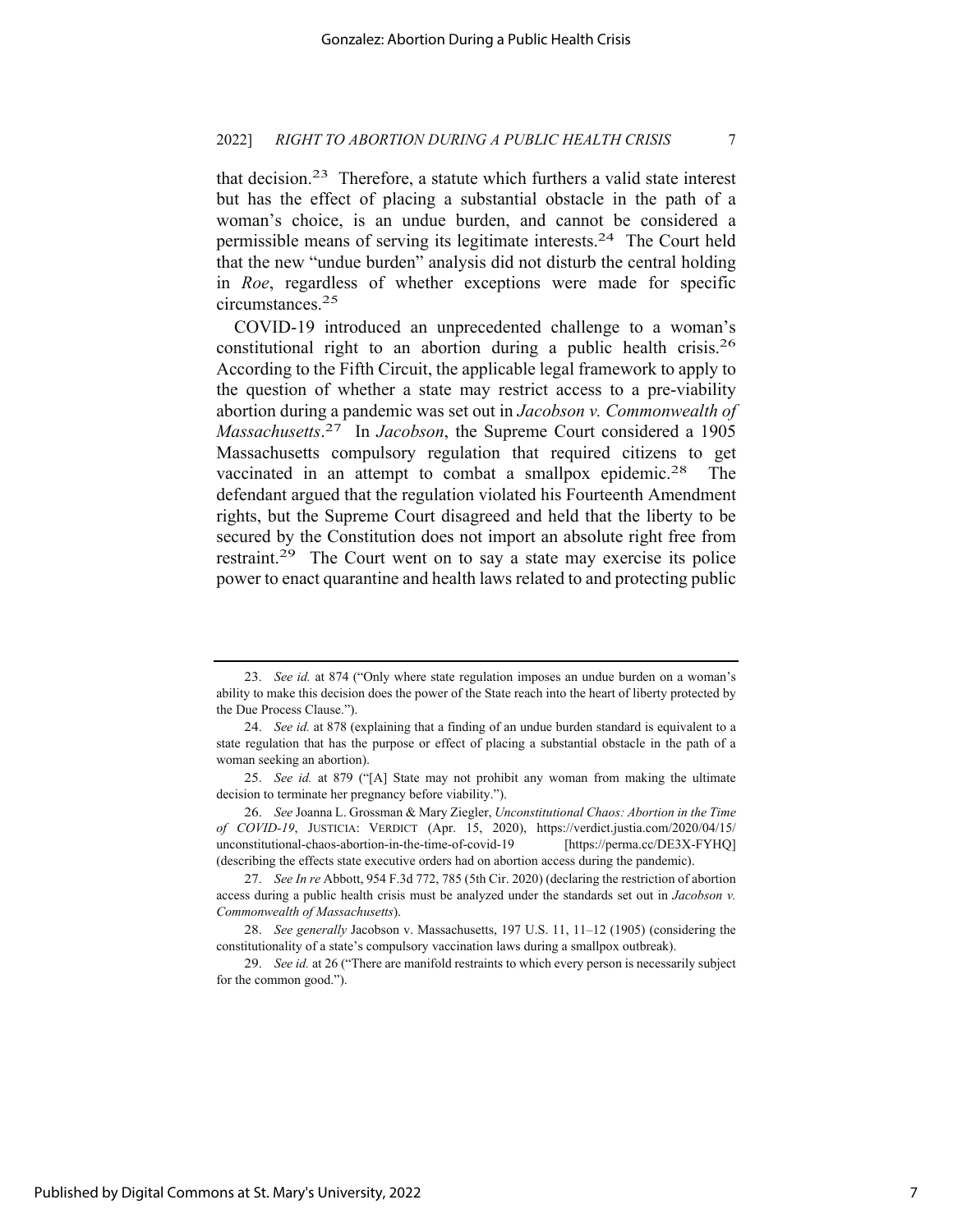that decision.<sup>23</sup> Therefore, a statute which furthers a valid state interest but has the effect of placing a substantial obstacle in the path of a woman's choice, is an undue burden, and cannot be considered a permissible means of serving its legitimate interests.24 The Court held that the new "undue burden" analysis did not disturb the central holding in *Roe*, regardless of whether exceptions were made for specific circumstances.25

COVID-19 introduced an unprecedented challenge to a woman's constitutional right to an abortion during a public health crisis.<sup>26</sup> According to the Fifth Circuit, the applicable legal framework to apply to the question of whether a state may restrict access to a pre-viability abortion during a pandemic was set out in *Jacobson v. Commonwealth of Massachusetts*. 27 In *Jacobson*, the Supreme Court considered a 1905 Massachusetts compulsory regulation that required citizens to get vaccinated in an attempt to combat a smallpox epidemic.<sup>28</sup> The defendant argued that the regulation violated his Fourteenth Amendment rights, but the Supreme Court disagreed and held that the liberty to be secured by the Constitution does not import an absolute right free from restraint.29 The Court went on to say a state may exercise its police power to enact quarantine and health laws related to and protecting public

<sup>23.</sup> *See id.* at 874 ("Only where state regulation imposes an undue burden on a woman's ability to make this decision does the power of the State reach into the heart of liberty protected by the Due Process Clause.").

<sup>24.</sup> *See id.* at 878 (explaining that a finding of an undue burden standard is equivalent to a state regulation that has the purpose or effect of placing a substantial obstacle in the path of a woman seeking an abortion).

<sup>25.</sup> *See id.* at 879 ("[A] State may not prohibit any woman from making the ultimate decision to terminate her pregnancy before viability.").

<sup>26.</sup> *See* Joanna L. Grossman & Mary Ziegler, *Unconstitutional Chaos: Abortion in the Time of COVID-19*, JUSTICIA: VERDICT (Apr. 15, 2020), https://verdict.justia.com/2020/04/15/ unconstitutional-chaos-abortion-in-the-time-of-covid-19 [https://perma.cc/DE3X-FYHQ] (describing the effects state executive orders had on abortion access during the pandemic).

<sup>27.</sup> *See In re* Abbott, 954 F.3d 772, 785 (5th Cir. 2020) (declaring the restriction of abortion access during a public health crisis must be analyzed under the standards set out in *Jacobson v. Commonwealth of Massachusetts*).

<sup>28.</sup> *See generally* Jacobson v. Massachusetts, 197 U.S. 11, 11–12 (1905) (considering the constitutionality of a state's compulsory vaccination laws during a smallpox outbreak).

<sup>29.</sup> *See id.* at 26 ("There are manifold restraints to which every person is necessarily subject for the common good.").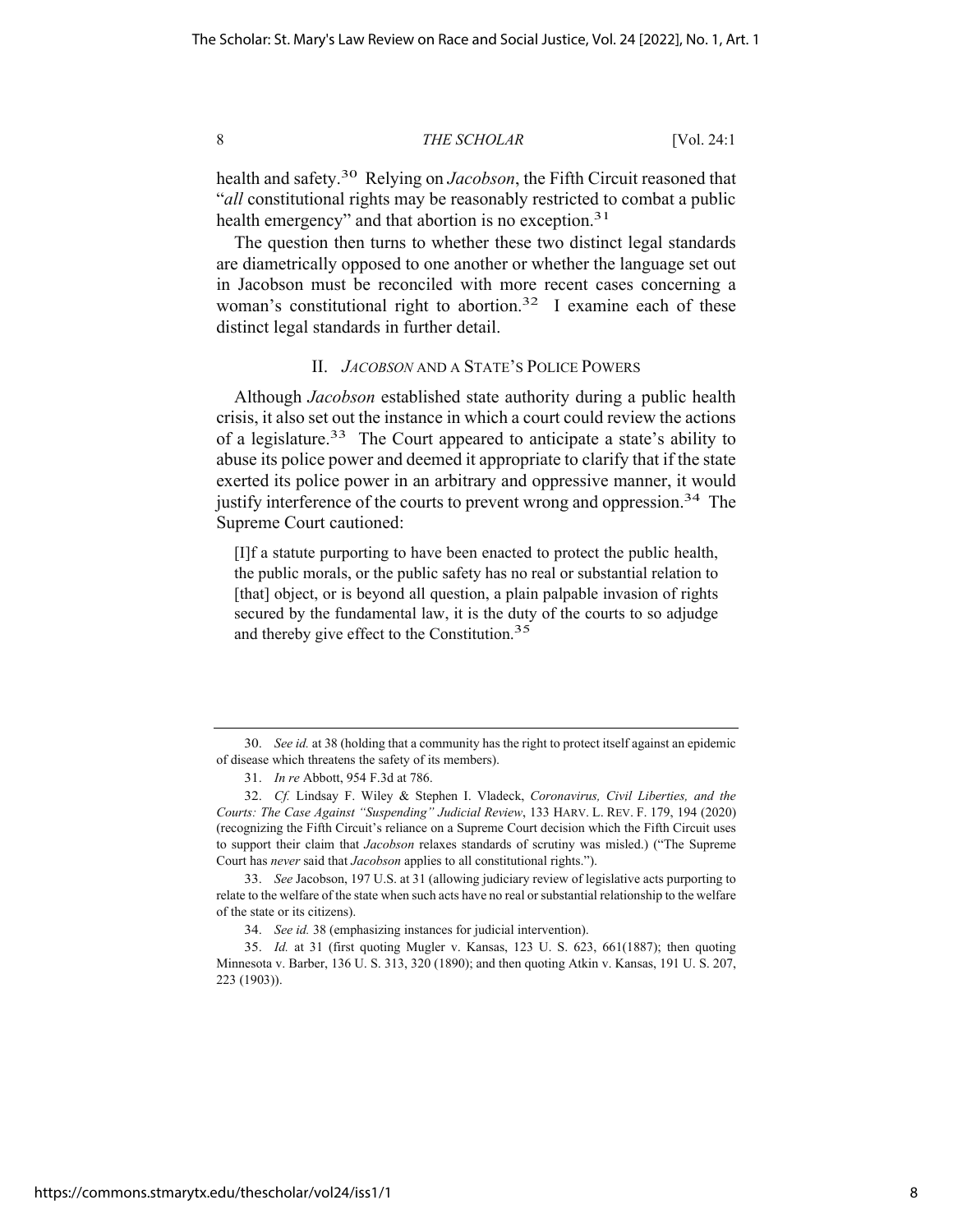health and safety.30 Relying on *Jacobson*, the Fifth Circuit reasoned that "*all* constitutional rights may be reasonably restricted to combat a public health emergency" and that abortion is no exception.<sup>31</sup>

The question then turns to whether these two distinct legal standards are diametrically opposed to one another or whether the language set out in Jacobson must be reconciled with more recent cases concerning a woman's constitutional right to abortion.<sup>32</sup> I examine each of these distinct legal standards in further detail.

#### II. *JACOBSON* AND A STATE'S POLICE POWERS

Although *Jacobson* established state authority during a public health crisis, it also set out the instance in which a court could review the actions of a legislature.33 The Court appeared to anticipate a state's ability to abuse its police power and deemed it appropriate to clarify that if the state exerted its police power in an arbitrary and oppressive manner, it would justify interference of the courts to prevent wrong and oppression.<sup>34</sup> The Supreme Court cautioned:

[I]f a statute purporting to have been enacted to protect the public health, the public morals, or the public safety has no real or substantial relation to [that] object, or is beyond all question, a plain palpable invasion of rights secured by the fundamental law, it is the duty of the courts to so adjudge and thereby give effect to the Constitution.<sup>35</sup>

<sup>30.</sup> *See id.* at 38 (holding that a community has the right to protect itself against an epidemic of disease which threatens the safety of its members).

<sup>31.</sup> *In re* Abbott, 954 F.3d at 786.

<sup>32.</sup> *Cf.* Lindsay F. Wiley & Stephen I. Vladeck, *Coronavirus, Civil Liberties, and the Courts: The Case Against "Suspending" Judicial Review*, 133 HARV. L. REV. F. 179, 194 (2020) (recognizing the Fifth Circuit's reliance on a Supreme Court decision which the Fifth Circuit uses to support their claim that *Jacobson* relaxes standards of scrutiny was misled.) ("The Supreme Court has *never* said that *Jacobson* applies to all constitutional rights.").

<sup>33.</sup> *See* Jacobson, 197 U.S. at 31 (allowing judiciary review of legislative acts purporting to relate to the welfare of the state when such acts have no real or substantial relationship to the welfare of the state or its citizens).

<sup>34.</sup> *See id.* 38 (emphasizing instances for judicial intervention).

<sup>35.</sup> *Id.* at 31 (first quoting Mugler v. Kansas, 123 U. S. 623, 661(1887); then quoting Minnesota v. Barber, 136 U. S. 313, 320 (1890); and then quoting Atkin v. Kansas, 191 U. S. 207, 223 (1903)).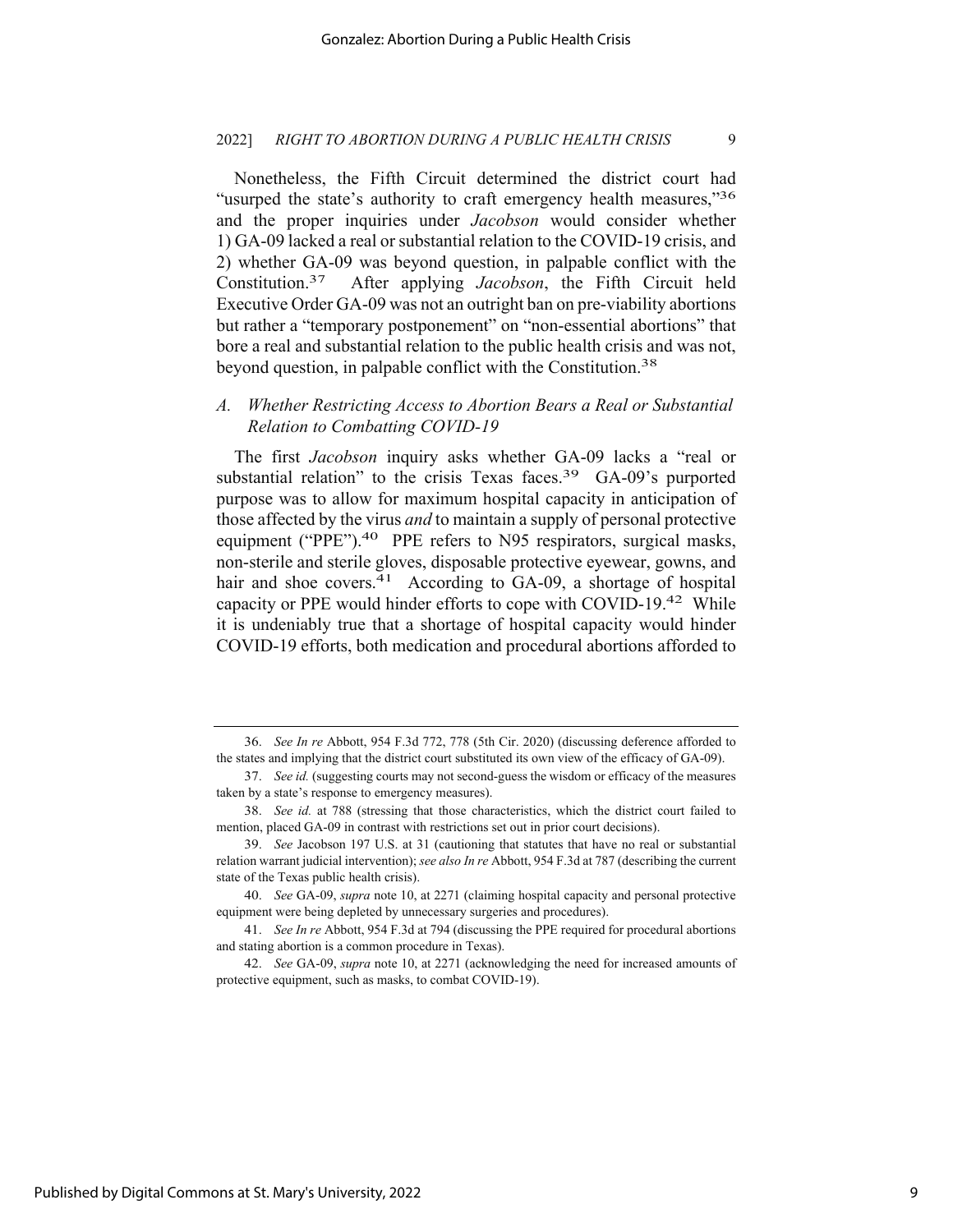Nonetheless, the Fifth Circuit determined the district court had "usurped the state's authority to craft emergency health measures,"<sup>36</sup> and the proper inquiries under *Jacobson* would consider whether 1) GA-09 lacked a real or substantial relation to the COVID-19 crisis, and 2) whether GA-09 was beyond question, in palpable conflict with the Constitution.37 After applying *Jacobson*, the Fifth Circuit held Executive Order GA-09 was not an outright ban on pre-viability abortions but rather a "temporary postponement" on "non-essential abortions" that bore a real and substantial relation to the public health crisis and was not, beyond question, in palpable conflict with the Constitution.<sup>38</sup>

## *A. Whether Restricting Access to Abortion Bears a Real or Substantial Relation to Combatting COVID-19*

The first *Jacobson* inquiry asks whether GA-09 lacks a "real or substantial relation" to the crisis Texas faces.<sup>39</sup> GA-09's purported purpose was to allow for maximum hospital capacity in anticipation of those affected by the virus *and* to maintain a supply of personal protective equipment ("PPE").<sup>40</sup> PPE refers to N95 respirators, surgical masks, non-sterile and sterile gloves, disposable protective eyewear, gowns, and hair and shoe covers. $41$  According to GA-09, a shortage of hospital capacity or PPE would hinder efforts to cope with COVID-19.42 While it is undeniably true that a shortage of hospital capacity would hinder COVID-19 efforts, both medication and procedural abortions afforded to

<sup>36.</sup> *See In re* Abbott, 954 F.3d 772, 778 (5th Cir. 2020) (discussing deference afforded to the states and implying that the district court substituted its own view of the efficacy of GA-09).

<sup>37.</sup> *See id.* (suggesting courts may not second-guess the wisdom or efficacy of the measures taken by a state's response to emergency measures).

<sup>38.</sup> *See id.* at 788 (stressing that those characteristics, which the district court failed to mention, placed GA-09 in contrast with restrictions set out in prior court decisions).

<sup>39.</sup> *See* Jacobson 197 U.S. at 31 (cautioning that statutes that have no real or substantial relation warrant judicial intervention); *see also In re* Abbott, 954 F.3d at 787 (describing the current state of the Texas public health crisis).

<sup>40.</sup> *See* GA-09, *supra* note 10, at 2271 (claiming hospital capacity and personal protective equipment were being depleted by unnecessary surgeries and procedures).

<sup>41.</sup> *See In re* Abbott, 954 F.3d at 794 (discussing the PPE required for procedural abortions and stating abortion is a common procedure in Texas).

<sup>42.</sup> *See* GA-09, *supra* note 10, at 2271 (acknowledging the need for increased amounts of protective equipment, such as masks, to combat COVID-19).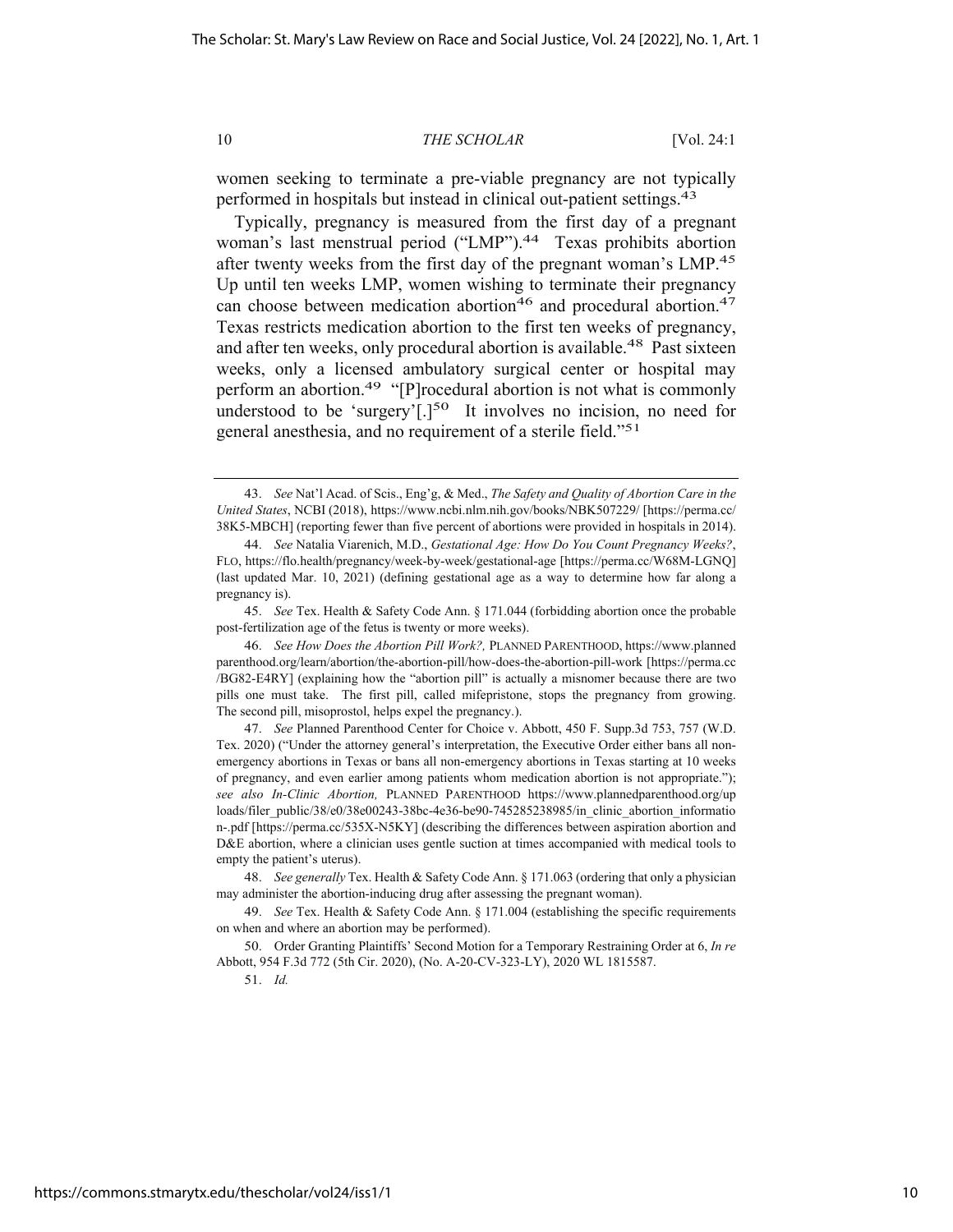women seeking to terminate a pre-viable pregnancy are not typically performed in hospitals but instead in clinical out-patient settings.43

Typically, pregnancy is measured from the first day of a pregnant woman's last menstrual period ("LMP").<sup>44</sup> Texas prohibits abortion after twenty weeks from the first day of the pregnant woman's LMP.45 Up until ten weeks LMP, women wishing to terminate their pregnancy can choose between medication abortion<sup>46</sup> and procedural abortion.<sup>47</sup> Texas restricts medication abortion to the first ten weeks of pregnancy, and after ten weeks, only procedural abortion is available.<sup>48</sup> Past sixteen weeks, only a licensed ambulatory surgical center or hospital may perform an abortion.49 "[P]rocedural abortion is not what is commonly understood to be 'surgery'[.]<sup>50</sup> It involves no incision, no need for general anesthesia, and no requirement of a sterile field."51

<sup>43.</sup> *See* Nat'l Acad. of Scis., Eng'g, & Med., *The Safety and Quality of Abortion Care in the United States*, NCBI (2018), https://www.ncbi.nlm.nih.gov/books/NBK507229/ [https://perma.cc/ 38K5-MBCH] (reporting fewer than five percent of abortions were provided in hospitals in 2014).

<sup>44.</sup> *See* Natalia Viarenich, M.D., *Gestational Age: How Do You Count Pregnancy Weeks?*, FLO, https://flo.health/pregnancy/week-by-week/gestational-age [https://perma.cc/W68M-LGNQ] (last updated Mar. 10, 2021) (defining gestational age as a way to determine how far along a pregnancy is).

<sup>45.</sup> *See* Tex. Health & Safety Code Ann. § 171.044 (forbidding abortion once the probable post-fertilization age of the fetus is twenty or more weeks).

<sup>46.</sup> *See How Does the Abortion Pill Work?,* PLANNED PARENTHOOD, https://www.planned parenthood.org/learn/abortion/the-abortion-pill/how-does-the-abortion-pill-work [https://perma.cc /BG82-E4RY] (explaining how the "abortion pill" is actually a misnomer because there are two pills one must take. The first pill, called mifepristone, stops the pregnancy from growing. The second pill, misoprostol, helps expel the pregnancy.).

<sup>47.</sup> *See* Planned Parenthood Center for Choice v. Abbott, 450 F. Supp.3d 753, 757 (W.D. Tex. 2020) ("Under the attorney general's interpretation, the Executive Order either bans all nonemergency abortions in Texas or bans all non-emergency abortions in Texas starting at 10 weeks of pregnancy, and even earlier among patients whom medication abortion is not appropriate."); *see also In-Clinic Abortion,* PLANNED PARENTHOOD https://www.plannedparenthood.org/up loads/filer\_public/38/e0/38e00243-38bc-4e36-be90-745285238985/in\_clinic\_abortion\_informatio n-.pdf [https://perma.cc/535X-N5KY] (describing the differences between aspiration abortion and D&E abortion, where a clinician uses gentle suction at times accompanied with medical tools to empty the patient's uterus).

<sup>48.</sup> *See generally* Tex. Health & Safety Code Ann. § 171.063 (ordering that only a physician may administer the abortion-inducing drug after assessing the pregnant woman).

<sup>49.</sup> *See* Tex. Health & Safety Code Ann. § 171.004 (establishing the specific requirements on when and where an abortion may be performed).

<sup>50.</sup> Order Granting Plaintiffs' Second Motion for a Temporary Restraining Order at 6, *In re* Abbott, 954 F.3d 772 (5th Cir. 2020), (No. A-20-CV-323-LY), 2020 WL 1815587.

<sup>51.</sup> *Id.*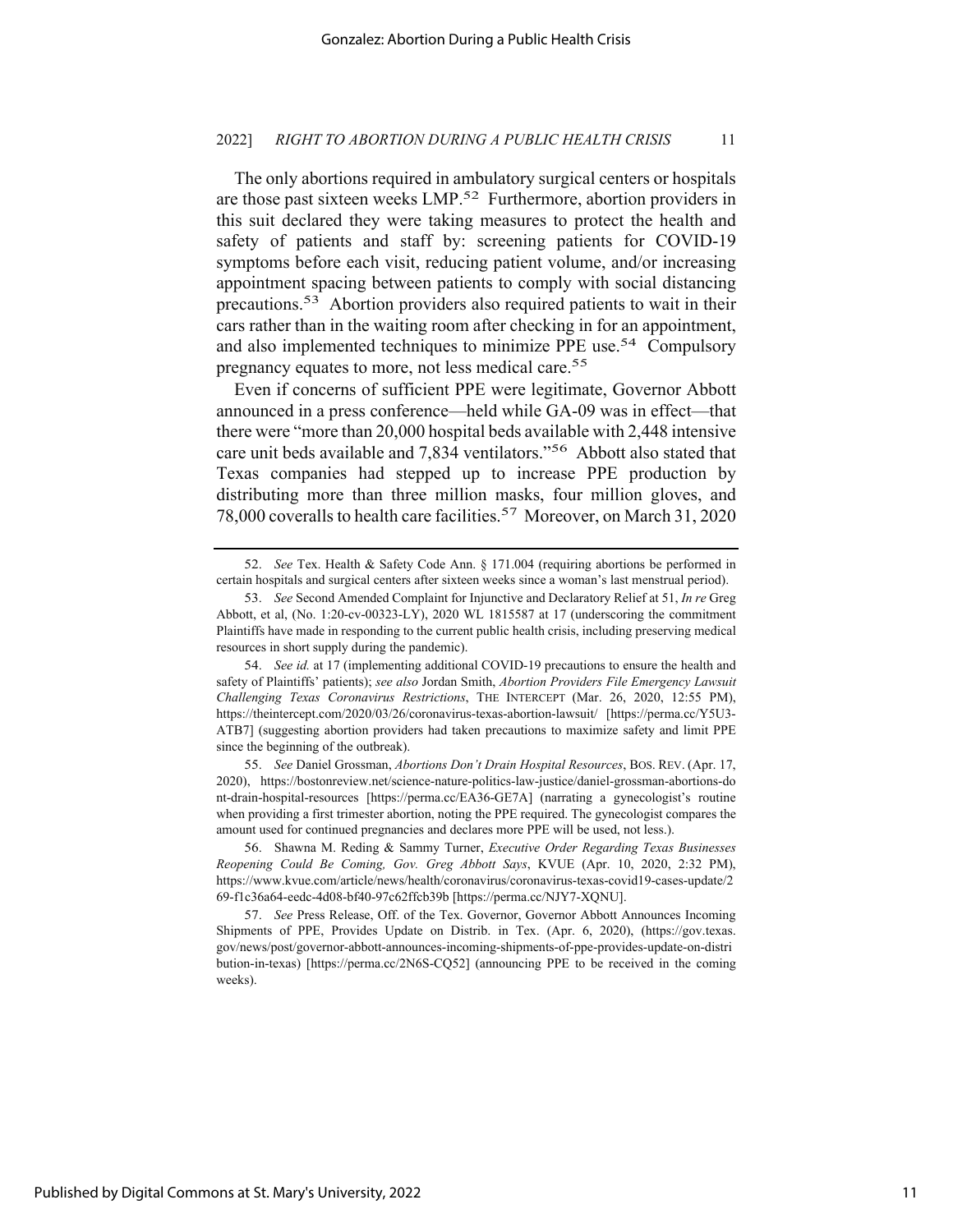The only abortions required in ambulatory surgical centers or hospitals are those past sixteen weeks LMP.52 Furthermore, abortion providers in this suit declared they were taking measures to protect the health and safety of patients and staff by: screening patients for COVID-19 symptoms before each visit, reducing patient volume, and/or increasing appointment spacing between patients to comply with social distancing precautions.53 Abortion providers also required patients to wait in their cars rather than in the waiting room after checking in for an appointment, and also implemented techniques to minimize PPE use.<sup>54</sup> Compulsory pregnancy equates to more, not less medical care.<sup>55</sup>

Even if concerns of sufficient PPE were legitimate, Governor Abbott announced in a press conference—held while GA-09 was in effect—that there were "more than 20,000 hospital beds available with 2,448 intensive care unit beds available and 7,834 ventilators."56 Abbott also stated that Texas companies had stepped up to increase PPE production by distributing more than three million masks, four million gloves, and 78,000 coveralls to health care facilities.57 Moreover, on March 31, 2020

55. *See* Daniel Grossman, *Abortions Don't Drain Hospital Resources*, BOS. REV. (Apr. 17, 2020), https://bostonreview.net/science-nature-politics-law-justice/daniel-grossman-abortions-do nt-drain-hospital-resources [https://perma.cc/EA36-GE7A] (narrating a gynecologist's routine when providing a first trimester abortion, noting the PPE required. The gynecologist compares the amount used for continued pregnancies and declares more PPE will be used, not less.).

<sup>52.</sup> *See* Tex. Health & Safety Code Ann. § 171.004 (requiring abortions be performed in certain hospitals and surgical centers after sixteen weeks since a woman's last menstrual period).

<sup>53.</sup> *See* Second Amended Complaint for Injunctive and Declaratory Relief at 51, *In re* Greg Abbott, et al, (No. 1:20-cv-00323-LY), 2020 WL 1815587 at 17 (underscoring the commitment Plaintiffs have made in responding to the current public health crisis, including preserving medical resources in short supply during the pandemic).

<sup>54.</sup> *See id.* at 17 (implementing additional COVID-19 precautions to ensure the health and safety of Plaintiffs' patients); *see also* Jordan Smith, *Abortion Providers File Emergency Lawsuit Challenging Texas Coronavirus Restrictions*, THE INTERCEPT (Mar. 26, 2020, 12:55 PM), https://theintercept.com/2020/03/26/coronavirus-texas-abortion-lawsuit/ [https://perma.cc/Y5U3- ATB7] (suggesting abortion providers had taken precautions to maximize safety and limit PPE since the beginning of the outbreak).

<sup>56.</sup> Shawna M. Reding & Sammy Turner, *Executive Order Regarding Texas Businesses Reopening Could Be Coming, Gov. Greg Abbott Says*, KVUE (Apr. 10, 2020, 2:32 PM), https://www.kvue.com/article/news/health/coronavirus/coronavirus-texas-covid19-cases-update/2 69-f1c36a64-eedc-4d08-bf40-97c62ffcb39b [https://perma.cc/NJY7-XQNU].

<sup>57.</sup> *See* Press Release, Off. of the Tex. Governor, Governor Abbott Announces Incoming Shipments of PPE, Provides Update on Distrib. in Tex. (Apr. 6, 2020), (https://gov.texas. gov/news/post/governor-abbott-announces-incoming-shipments-of-ppe-provides-update-on-distri bution-in-texas) [https://perma.cc/2N6S-CQ52] (announcing PPE to be received in the coming weeks).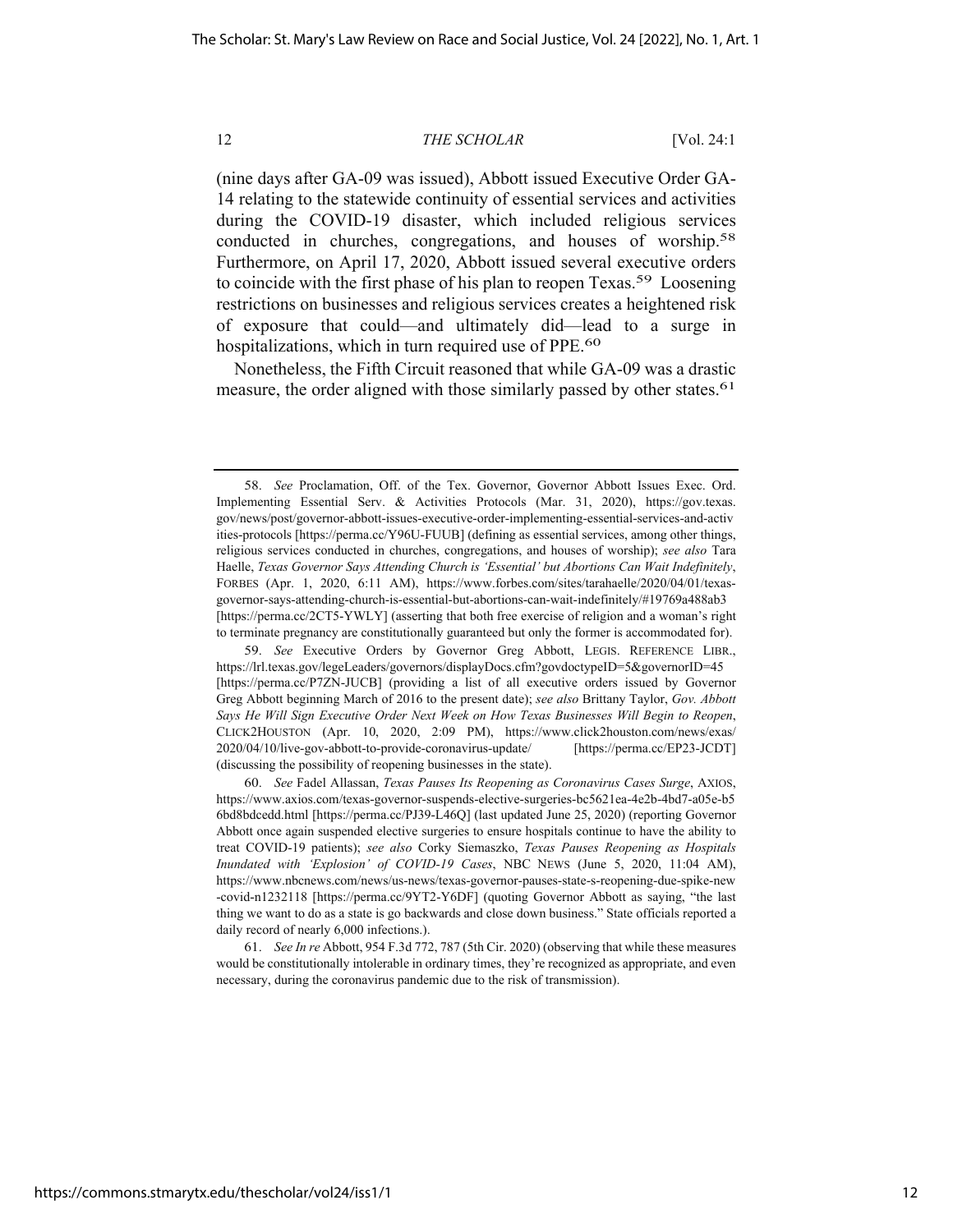(nine days after GA-09 was issued), Abbott issued Executive Order GA-14 relating to the statewide continuity of essential services and activities during the COVID-19 disaster, which included religious services conducted in churches, congregations, and houses of worship.58 Furthermore, on April 17, 2020, Abbott issued several executive orders to coincide with the first phase of his plan to reopen Texas.<sup>59</sup> Loosening restrictions on businesses and religious services creates a heightened risk of exposure that could—and ultimately did—lead to a surge in hospitalizations, which in turn required use of PPE.<sup>60</sup>

Nonetheless, the Fifth Circuit reasoned that while GA-09 was a drastic measure, the order aligned with those similarly passed by other states.<sup>61</sup>

59. *See* Executive Orders by Governor Greg Abbott, LEGIS. REFERENCE LIBR., https://lrl.texas.gov/legeLeaders/governors/displayDocs.cfm?govdoctypeID=5&governorID=45 [https://perma.cc/P7ZN-JUCB] (providing a list of all executive orders issued by Governor Greg Abbott beginning March of 2016 to the present date); *see also* Brittany Taylor, *Gov. Abbott Says He Will Sign Executive Order Next Week on How Texas Businesses Will Begin to Reopen*, CLICK2HOUSTON (Apr. 10, 2020, 2:09 PM), https://www.click2houston.com/news/exas/ 2020/04/10/live-gov-abbott-to-provide-coronavirus-update/ [https://perma.cc/EP23-JCDT] (discussing the possibility of reopening businesses in the state).

60. *See* Fadel Allassan, *Texas Pauses Its Reopening as Coronavirus Cases Surge*, AXIOS, https://www.axios.com/texas-governor-suspends-elective-surgeries-bc5621ea-4e2b-4bd7-a05e-b5 6bd8bdcedd.html [https://perma.cc/PJ39-L46Q] (last updated June 25, 2020) (reporting Governor Abbott once again suspended elective surgeries to ensure hospitals continue to have the ability to treat COVID-19 patients); *see also* Corky Siemaszko, *Texas Pauses Reopening as Hospitals Inundated with 'Explosion' of COVID-19 Cases*, NBC NEWS (June 5, 2020, 11:04 AM), https://www.nbcnews.com/news/us-news/texas-governor-pauses-state-s-reopening-due-spike-new -covid-n1232118 [https://perma.cc/9YT2-Y6DF] (quoting Governor Abbott as saying, "the last thing we want to do as a state is go backwards and close down business." State officials reported a daily record of nearly 6,000 infections.).

61. *See In re* Abbott, 954 F.3d 772, 787 (5th Cir. 2020) (observing that while these measures would be constitutionally intolerable in ordinary times, they're recognized as appropriate, and even necessary, during the coronavirus pandemic due to the risk of transmission).

<sup>58.</sup> *See* Proclamation, Off. of the Tex. Governor, Governor Abbott Issues Exec. Ord. Implementing Essential Serv. & Activities Protocols (Mar. 31, 2020), https://gov.texas. gov/news/post/governor-abbott-issues-executive-order-implementing-essential-services-and-activ ities-protocols [https://perma.cc/Y96U-FUUB] (defining as essential services, among other things, religious services conducted in churches, congregations, and houses of worship); *see also* Tara Haelle, *Texas Governor Says Attending Church is 'Essential' but Abortions Can Wait Indefinitely*, FORBES (Apr. 1, 2020, 6:11 AM), https://www.forbes.com/sites/tarahaelle/2020/04/01/texasgovernor-says-attending-church-is-essential-but-abortions-can-wait-indefinitely/#19769a488ab3 [https://perma.cc/2CT5-YWLY] (asserting that both free exercise of religion and a woman's right to terminate pregnancy are constitutionally guaranteed but only the former is accommodated for).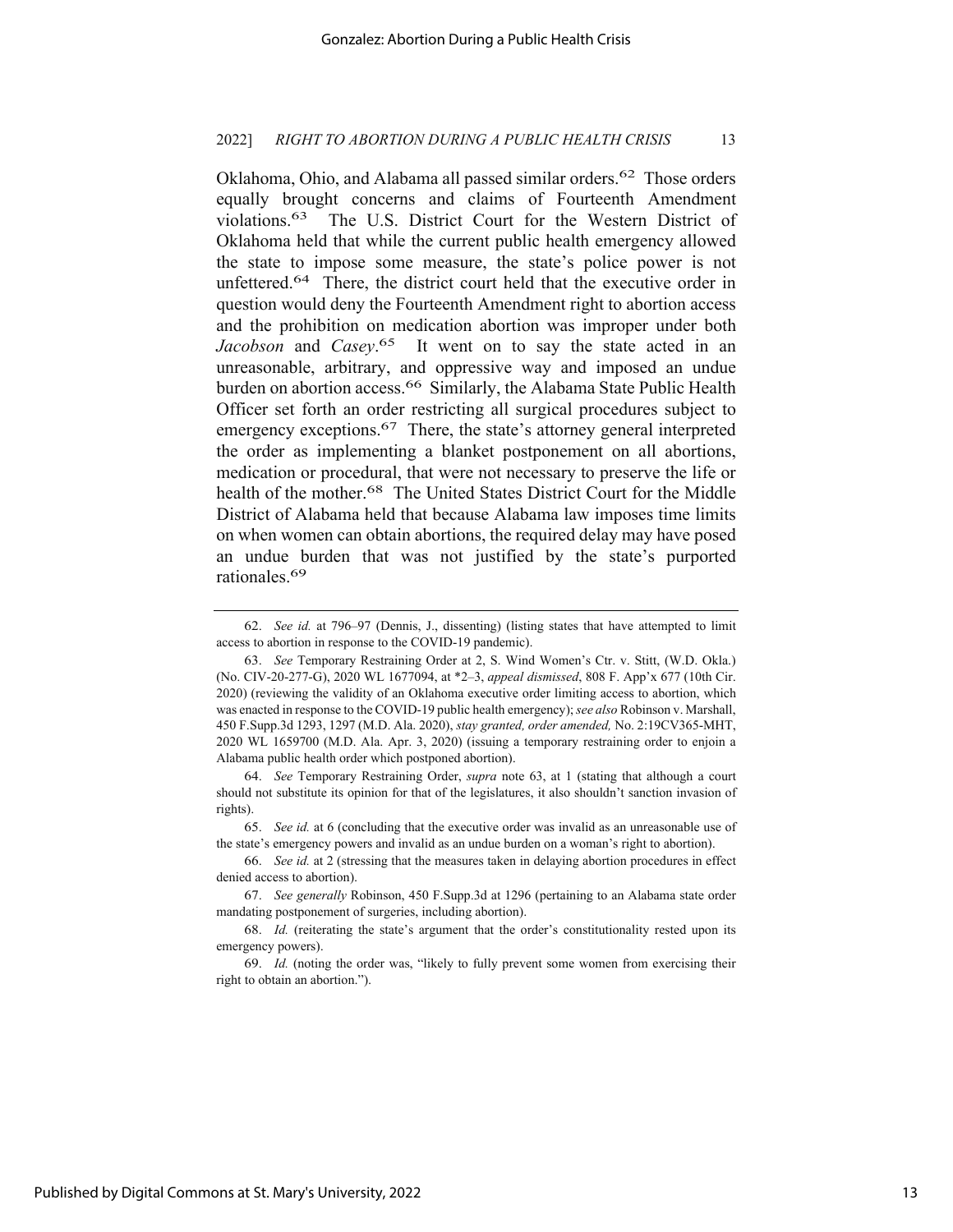Oklahoma, Ohio, and Alabama all passed similar orders.<sup>62</sup> Those orders equally brought concerns and claims of Fourteenth Amendment violations.63 The U.S. District Court for the Western District of Oklahoma held that while the current public health emergency allowed the state to impose some measure, the state's police power is not unfettered.<sup>64</sup> There, the district court held that the executive order in question would deny the Fourteenth Amendment right to abortion access and the prohibition on medication abortion was improper under both *Jacobson* and *Casey*.<sup>65</sup> It went on to say the state acted in an unreasonable, arbitrary, and oppressive way and imposed an undue burden on abortion access.<sup>66</sup> Similarly, the Alabama State Public Health Officer set forth an order restricting all surgical procedures subject to emergency exceptions.<sup>67</sup> There, the state's attorney general interpreted the order as implementing a blanket postponement on all abortions, medication or procedural, that were not necessary to preserve the life or health of the mother.<sup>68</sup> The United States District Court for the Middle District of Alabama held that because Alabama law imposes time limits on when women can obtain abortions, the required delay may have posed an undue burden that was not justified by the state's purported rationales.69

<sup>62.</sup> *See id.* at 796–97 (Dennis, J., dissenting) (listing states that have attempted to limit access to abortion in response to the COVID-19 pandemic).

<sup>63.</sup> *See* Temporary Restraining Order at 2, S. Wind Women's Ctr. v. Stitt, (W.D. Okla.) (No. CIV-20-277-G), 2020 WL 1677094, at \*2–3, *appeal dismissed*, 808 F. App'x 677 (10th Cir. 2020) (reviewing the validity of an Oklahoma executive order limiting access to abortion, which was enacted in response to the COVID-19 public health emergency); *see also* Robinson v. Marshall, 450 F.Supp.3d 1293, 1297 (M.D. Ala. 2020), *stay granted, order amended,* No. 2:19CV365-MHT, 2020 WL 1659700 (M.D. Ala. Apr. 3, 2020) (issuing a temporary restraining order to enjoin a Alabama public health order which postponed abortion).

<sup>64.</sup> *See* Temporary Restraining Order, *supra* note 63, at 1 (stating that although a court should not substitute its opinion for that of the legislatures, it also shouldn't sanction invasion of rights).

<sup>65.</sup> *See id.* at 6 (concluding that the executive order was invalid as an unreasonable use of the state's emergency powers and invalid as an undue burden on a woman's right to abortion).

<sup>66.</sup> *See id.* at 2 (stressing that the measures taken in delaying abortion procedures in effect denied access to abortion).

<sup>67.</sup> *See generally* Robinson, 450 F.Supp.3d at 1296 (pertaining to an Alabama state order mandating postponement of surgeries, including abortion).

<sup>68.</sup> *Id.* (reiterating the state's argument that the order's constitutionality rested upon its emergency powers).

<sup>69.</sup> *Id.* (noting the order was, "likely to fully prevent some women from exercising their right to obtain an abortion.").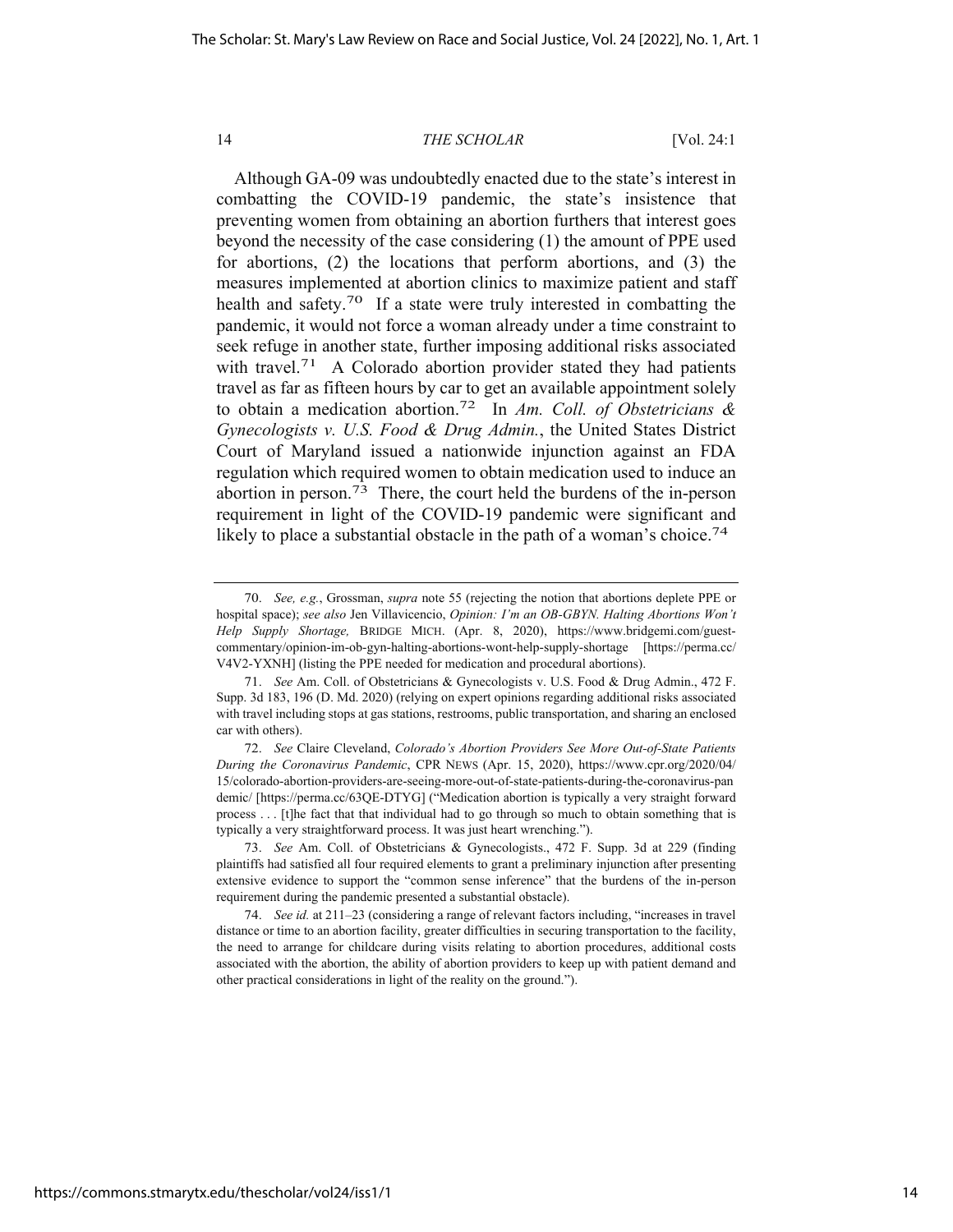Although GA-09 was undoubtedly enacted due to the state's interest in combatting the COVID-19 pandemic, the state's insistence that preventing women from obtaining an abortion furthers that interest goes beyond the necessity of the case considering (1) the amount of PPE used for abortions, (2) the locations that perform abortions, and (3) the measures implemented at abortion clinics to maximize patient and staff health and safety.<sup>70</sup> If a state were truly interested in combatting the pandemic, it would not force a woman already under a time constraint to seek refuge in another state, further imposing additional risks associated with travel.<sup>71</sup> A Colorado abortion provider stated they had patients travel as far as fifteen hours by car to get an available appointment solely to obtain a medication abortion.72 In *Am. Coll. of Obstetricians & Gynecologists v. U.S. Food & Drug Admin.*, the United States District Court of Maryland issued a nationwide injunction against an FDA regulation which required women to obtain medication used to induce an abortion in person.73 There, the court held the burdens of the in-person requirement in light of the COVID-19 pandemic were significant and likely to place a substantial obstacle in the path of a woman's choice.<sup>74</sup>

<sup>70.</sup> *See, e.g.*, Grossman, *supra* note 55 (rejecting the notion that abortions deplete PPE or hospital space); *see also* Jen Villavicencio, *Opinion: I'm an OB-GBYN. Halting Abortions Won't Help Supply Shortage,* BRIDGE MICH. (Apr. 8, 2020), https://www.bridgemi.com/guestcommentary/opinion-im-ob-gyn-halting-abortions-wont-help-supply-shortage [https://perma.cc/ V4V2-YXNH] (listing the PPE needed for medication and procedural abortions).

<sup>71.</sup> *See* Am. Coll. of Obstetricians & Gynecologists v. U.S. Food & Drug Admin., 472 F. Supp. 3d 183, 196 (D. Md. 2020) (relying on expert opinions regarding additional risks associated with travel including stops at gas stations, restrooms, public transportation, and sharing an enclosed car with others).

<sup>72.</sup> *See* Claire Cleveland, *Colorado's Abortion Providers See More Out-of-State Patients During the Coronavirus Pandemic*, CPR NEWS (Apr. 15, 2020), https://www.cpr.org/2020/04/ 15/colorado-abortion-providers-are-seeing-more-out-of-state-patients-during-the-coronavirus-pan demic/ [https://perma.cc/63QE-DTYG] ("Medication abortion is typically a very straight forward process . . . [t]he fact that that individual had to go through so much to obtain something that is typically a very straightforward process. It was just heart wrenching.").

<sup>73.</sup> *See* Am. Coll. of Obstetricians & Gynecologists., 472 F. Supp. 3d at 229 (finding plaintiffs had satisfied all four required elements to grant a preliminary injunction after presenting extensive evidence to support the "common sense inference" that the burdens of the in-person requirement during the pandemic presented a substantial obstacle).

<sup>74.</sup> *See id.* at 211–23 (considering a range of relevant factors including, "increases in travel distance or time to an abortion facility, greater difficulties in securing transportation to the facility, the need to arrange for childcare during visits relating to abortion procedures, additional costs associated with the abortion, the ability of abortion providers to keep up with patient demand and other practical considerations in light of the reality on the ground.").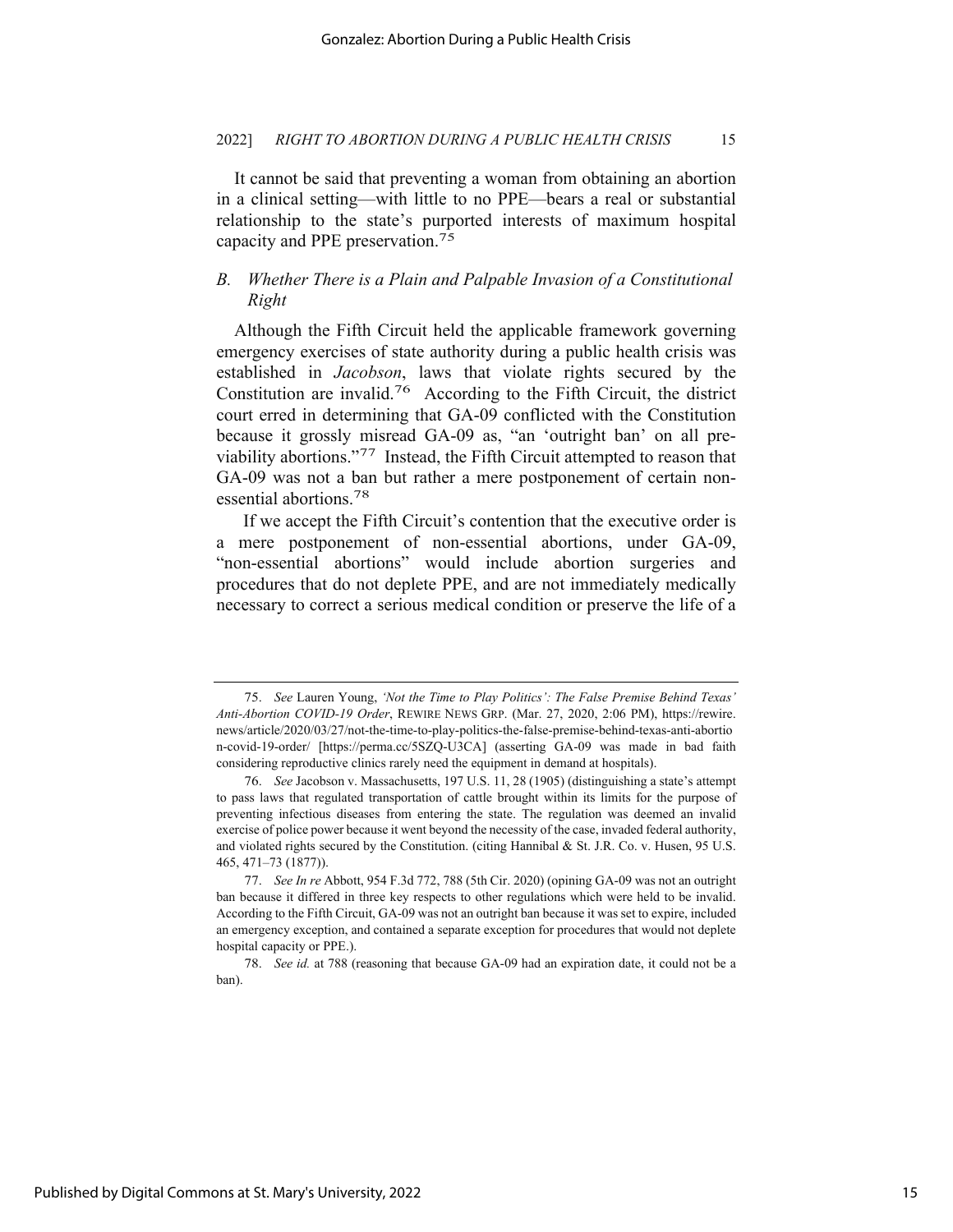It cannot be said that preventing a woman from obtaining an abortion in a clinical setting—with little to no PPE—bears a real or substantial relationship to the state's purported interests of maximum hospital capacity and PPE preservation.75

## *B. Whether There is a Plain and Palpable Invasion of a Constitutional Right*

Although the Fifth Circuit held the applicable framework governing emergency exercises of state authority during a public health crisis was established in *Jacobson*, laws that violate rights secured by the Constitution are invalid.76 According to the Fifth Circuit, the district court erred in determining that GA-09 conflicted with the Constitution because it grossly misread GA-09 as, "an 'outright ban' on all previability abortions."77 Instead, the Fifth Circuit attempted to reason that GA-09 was not a ban but rather a mere postponement of certain nonessential abortions.78

 If we accept the Fifth Circuit's contention that the executive order is a mere postponement of non-essential abortions, under GA-09, "non-essential abortions" would include abortion surgeries and procedures that do not deplete PPE, and are not immediately medically necessary to correct a serious medical condition or preserve the life of a

<sup>75.</sup> *See* Lauren Young, *'Not the Time to Play Politics': The False Premise Behind Texas' Anti-Abortion COVID-19 Order*, REWIRE NEWS GRP. (Mar. 27, 2020, 2:06 PM), https://rewire. news/article/2020/03/27/not-the-time-to-play-politics-the-false-premise-behind-texas-anti-abortio n-covid-19-order/ [https://perma.cc/5SZQ-U3CA] (asserting GA-09 was made in bad faith considering reproductive clinics rarely need the equipment in demand at hospitals).

<sup>76.</sup> *See* Jacobson v. Massachusetts, 197 U.S. 11, 28 (1905) (distinguishing a state's attempt to pass laws that regulated transportation of cattle brought within its limits for the purpose of preventing infectious diseases from entering the state. The regulation was deemed an invalid exercise of police power because it went beyond the necessity of the case, invaded federal authority, and violated rights secured by the Constitution. (citing Hannibal & St. J.R. Co. v. Husen, 95 U.S. 465, 471–73 (1877)).

<sup>77.</sup> *See In re* Abbott, 954 F.3d 772, 788 (5th Cir. 2020) (opining GA-09 was not an outright ban because it differed in three key respects to other regulations which were held to be invalid. According to the Fifth Circuit, GA-09 was not an outright ban because it was set to expire, included an emergency exception, and contained a separate exception for procedures that would not deplete hospital capacity or PPE.).

<sup>78.</sup> *See id.* at 788 (reasoning that because GA-09 had an expiration date, it could not be a ban).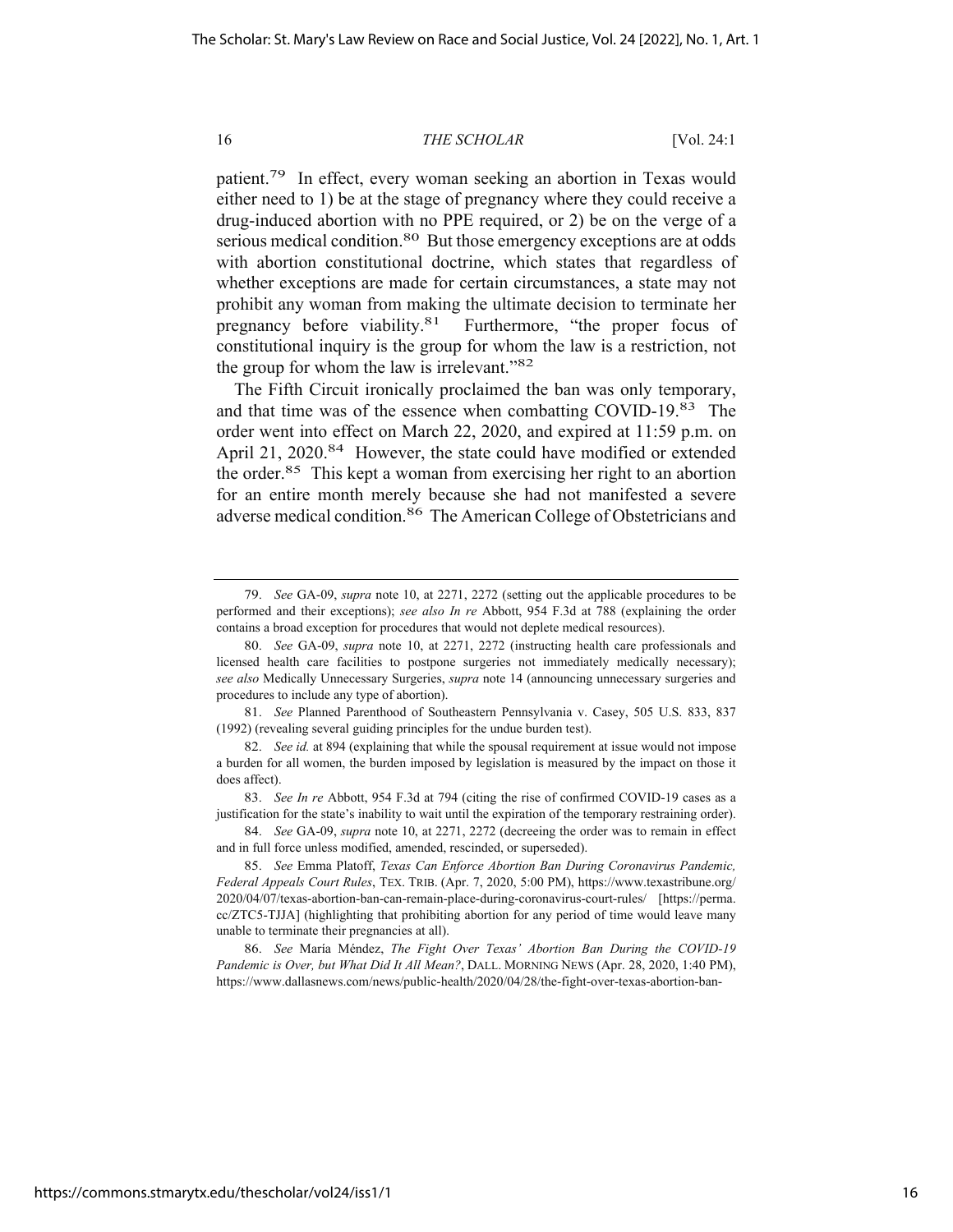patient.79 In effect, every woman seeking an abortion in Texas would either need to 1) be at the stage of pregnancy where they could receive a drug-induced abortion with no PPE required, or 2) be on the verge of a serious medical condition.<sup>80</sup> But those emergency exceptions are at odds with abortion constitutional doctrine, which states that regardless of whether exceptions are made for certain circumstances, a state may not prohibit any woman from making the ultimate decision to terminate her pregnancy before viability.<sup>81</sup> Furthermore, "the proper focus of constitutional inquiry is the group for whom the law is a restriction, not the group for whom the law is irrelevant."82

The Fifth Circuit ironically proclaimed the ban was only temporary, and that time was of the essence when combatting COVID-19.83 The order went into effect on March 22, 2020, and expired at 11:59 p.m. on April 21, 2020.<sup>84</sup> However, the state could have modified or extended the order.85 This kept a woman from exercising her right to an abortion for an entire month merely because she had not manifested a severe adverse medical condition.86 The American College of Obstetricians and

81. *See* Planned Parenthood of Southeastern Pennsylvania v. Casey, 505 U.S. 833, 837 (1992) (revealing several guiding principles for the undue burden test).

83. *See In re* Abbott, 954 F.3d at 794 (citing the rise of confirmed COVID-19 cases as a justification for the state's inability to wait until the expiration of the temporary restraining order).

<sup>79.</sup> *See* GA-09, *supra* note 10, at 2271, 2272 (setting out the applicable procedures to be performed and their exceptions); *see also In re* Abbott, 954 F.3d at 788 (explaining the order contains a broad exception for procedures that would not deplete medical resources).

<sup>80.</sup> *See* GA-09, *supra* note 10, at 2271, 2272 (instructing health care professionals and licensed health care facilities to postpone surgeries not immediately medically necessary); *see also* Medically Unnecessary Surgeries, *supra* note 14 (announcing unnecessary surgeries and procedures to include any type of abortion).

<sup>82.</sup> *See id.* at 894 (explaining that while the spousal requirement at issue would not impose a burden for all women, the burden imposed by legislation is measured by the impact on those it does affect).

<sup>84.</sup> *See* GA-09, *supra* note 10, at 2271, 2272 (decreeing the order was to remain in effect and in full force unless modified, amended, rescinded, or superseded).

<sup>85.</sup> *See* Emma Platoff, *Texas Can Enforce Abortion Ban During Coronavirus Pandemic, Federal Appeals Court Rules*, TEX. TRIB. (Apr. 7, 2020, 5:00 PM), https://www.texastribune.org/ 2020/04/07/texas-abortion-ban-can-remain-place-during-coronavirus-court-rules/ [https://perma. cc/ZTC5-TJJA] (highlighting that prohibiting abortion for any period of time would leave many unable to terminate their pregnancies at all).

<sup>86.</sup> *See* María Méndez, *The Fight Over Texas' Abortion Ban During the COVID-19 Pandemic is Over, but What Did It All Mean?*, DALL. MORNING NEWS (Apr. 28, 2020, 1:40 PM), https://www.dallasnews.com/news/public-health/2020/04/28/the-fight-over-texas-abortion-ban-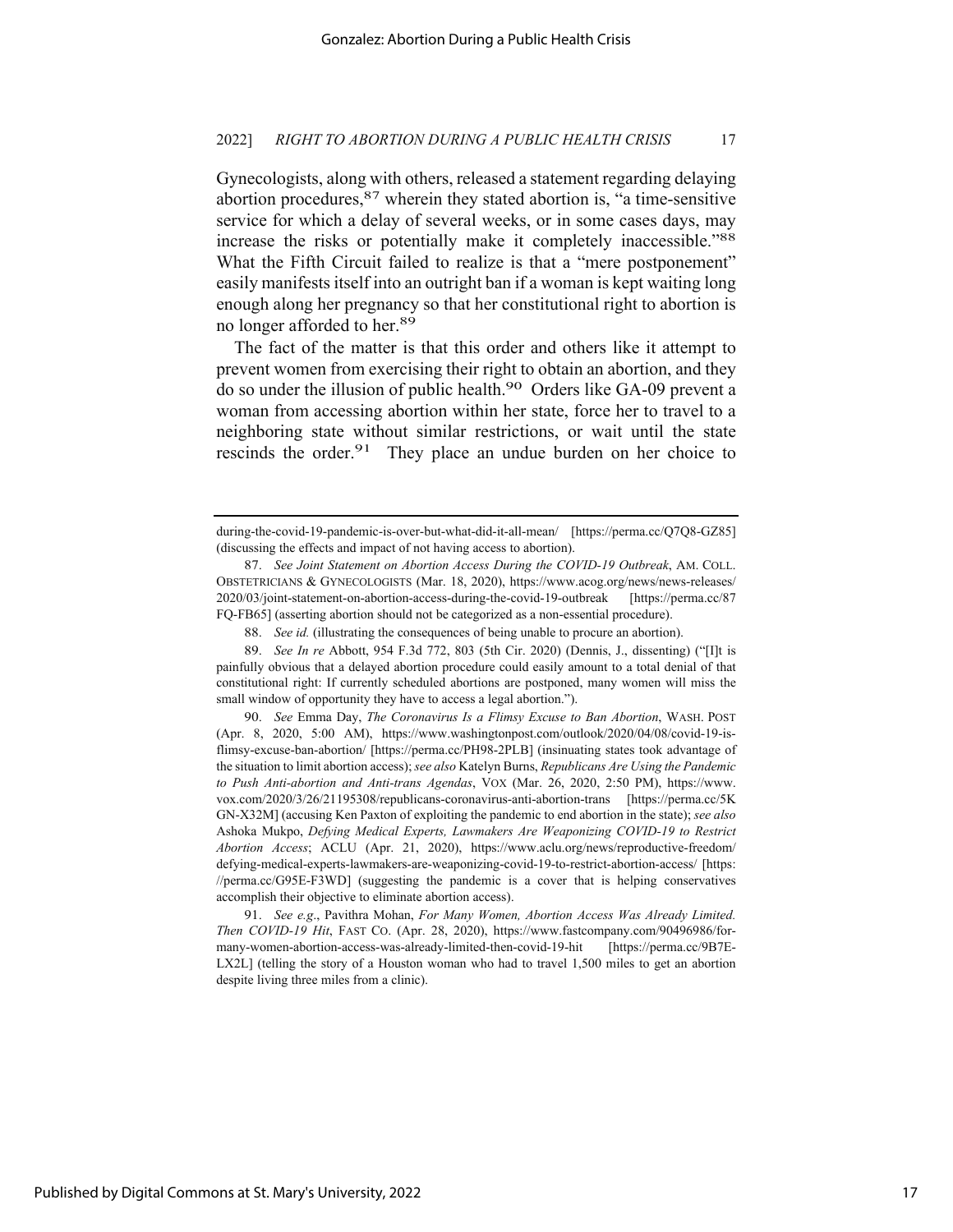Gynecologists, along with others, released a statement regarding delaying abortion procedures,  $87$  wherein they stated abortion is, "a time-sensitive service for which a delay of several weeks, or in some cases days, may increase the risks or potentially make it completely inaccessible."88 What the Fifth Circuit failed to realize is that a "mere postponement" easily manifests itself into an outright ban if a woman is kept waiting long enough along her pregnancy so that her constitutional right to abortion is no longer afforded to her.89

The fact of the matter is that this order and others like it attempt to prevent women from exercising their right to obtain an abortion, and they do so under the illusion of public health.90 Orders like GA-09 prevent a woman from accessing abortion within her state, force her to travel to a neighboring state without similar restrictions, or wait until the state rescinds the order.<sup>91</sup> They place an undue burden on her choice to

89. *See In re* Abbott, 954 F.3d 772, 803 (5th Cir. 2020) (Dennis, J., dissenting) ("[I]t is painfully obvious that a delayed abortion procedure could easily amount to a total denial of that constitutional right: If currently scheduled abortions are postponed, many women will miss the small window of opportunity they have to access a legal abortion.").

90. *See* Emma Day, *The Coronavirus Is a Flimsy Excuse to Ban Abortion*, WASH. POST (Apr. 8, 2020, 5:00 AM), https://www.washingtonpost.com/outlook/2020/04/08/covid-19-isflimsy-excuse-ban-abortion/ [https://perma.cc/PH98-2PLB] (insinuating states took advantage of the situation to limit abortion access); *see also* Katelyn Burns, *Republicans Are Using the Pandemic to Push Anti-abortion and Anti-trans Agendas*, VOX (Mar. 26, 2020, 2:50 PM), https://www. vox.com/2020/3/26/21195308/republicans-coronavirus-anti-abortion-trans [https://perma.cc/5K GN-X32M] (accusing Ken Paxton of exploiting the pandemic to end abortion in the state); *see also*  Ashoka Mukpo, *Defying Medical Experts, Lawmakers Are Weaponizing COVID-19 to Restrict Abortion Access*; ACLU (Apr. 21, 2020), https://www.aclu.org/news/reproductive-freedom/ defying-medical-experts-lawmakers-are-weaponizing-covid-19-to-restrict-abortion-access/ [https: //perma.cc/G95E-F3WD] (suggesting the pandemic is a cover that is helping conservatives accomplish their objective to eliminate abortion access).

91. *See e.g*., Pavithra Mohan, *For Many Women, Abortion Access Was Already Limited. Then COVID-19 Hit*, FAST CO. (Apr. 28, 2020), https://www.fastcompany.com/90496986/formany-women-abortion-access-was-already-limited-then-covid-19-hit [https://perma.cc/9B7E-LX2L] (telling the story of a Houston woman who had to travel 1,500 miles to get an abortion despite living three miles from a clinic).

during-the-covid-19-pandemic-is-over-but-what-did-it-all-mean/ [https://perma.cc/Q7Q8-GZ85] (discussing the effects and impact of not having access to abortion).

<sup>87.</sup> *See Joint Statement on Abortion Access During the COVID-19 Outbreak*, AM. COLL. OBSTETRICIANS & GYNECOLOGISTS (Mar. 18, 2020), https://www.acog.org/news/news-releases/ 2020/03/joint-statement-on-abortion-access-during-the-covid-19-outbreak [https://perma.cc/87 FQ-FB65] (asserting abortion should not be categorized as a non-essential procedure).

<sup>88.</sup> *See id.* (illustrating the consequences of being unable to procure an abortion).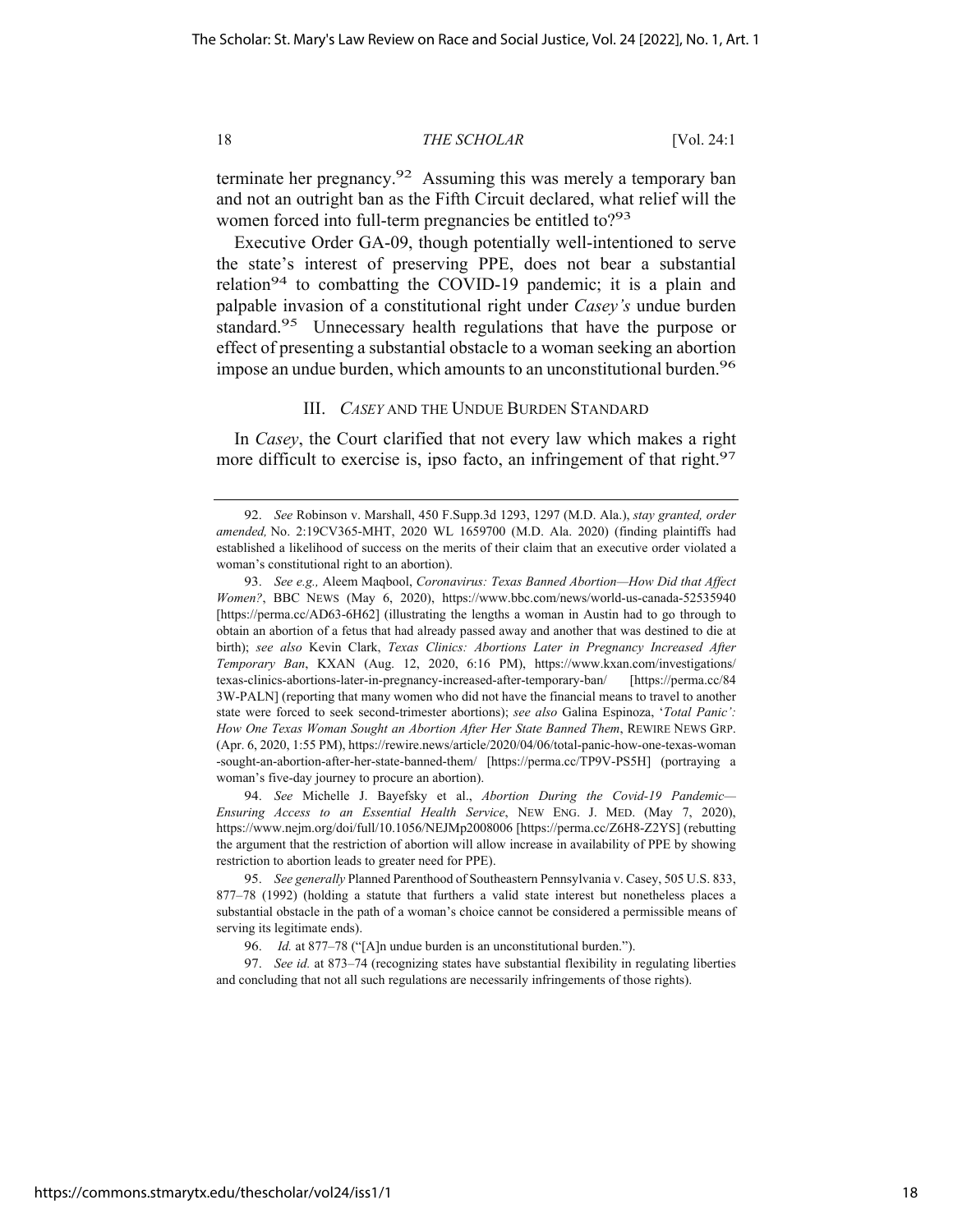terminate her pregnancy.<sup>92</sup> Assuming this was merely a temporary ban and not an outright ban as the Fifth Circuit declared, what relief will the women forced into full-term pregnancies be entitled to?<sup>93</sup>

Executive Order GA-09, though potentially well-intentioned to serve the state's interest of preserving PPE, does not bear a substantial relation<sup>94</sup> to combatting the COVID-19 pandemic; it is a plain and palpable invasion of a constitutional right under *Casey's* undue burden standard.95 Unnecessary health regulations that have the purpose or effect of presenting a substantial obstacle to a woman seeking an abortion impose an undue burden, which amounts to an unconstitutional burden.<sup>96</sup>

#### III. *CASEY* AND THE UNDUE BURDEN STANDARD

In *Casey*, the Court clarified that not every law which makes a right more difficult to exercise is, ipso facto, an infringement of that right.<sup>97</sup>

94. *See* Michelle J. Bayefsky et al., *Abortion During the Covid-19 Pandemic— Ensuring Access to an Essential Health Service*, NEW ENG. J. MED. (May 7, 2020), https://www.nejm.org/doi/full/10.1056/NEJMp2008006 [https://perma.cc/Z6H8-Z2YS] (rebutting the argument that the restriction of abortion will allow increase in availability of PPE by showing restriction to abortion leads to greater need for PPE).

https://commons.stmarytx.edu/thescholar/vol24/iss1/1

<sup>92.</sup> *See* Robinson v. Marshall, 450 F.Supp.3d 1293, 1297 (M.D. Ala.), *stay granted, order amended,* No. 2:19CV365-MHT, 2020 WL 1659700 (M.D. Ala. 2020) (finding plaintiffs had established a likelihood of success on the merits of their claim that an executive order violated a woman's constitutional right to an abortion).

<sup>93.</sup> *See e.g.,* Aleem Maqbool, *Coronavirus: Texas Banned Abortion—How Did that Affect Women?*, BBC NEWS (May 6, 2020), https://www.bbc.com/news/world-us-canada-52535940 [https://perma.cc/AD63-6H62] (illustrating the lengths a woman in Austin had to go through to obtain an abortion of a fetus that had already passed away and another that was destined to die at birth); *see also* Kevin Clark, *Texas Clinics: Abortions Later in Pregnancy Increased After Temporary Ban*, KXAN (Aug. 12, 2020, 6:16 PM), https://www.kxan.com/investigations/ texas-clinics-abortions-later-in-pregnancy-increased-after-temporary-ban/ [https://perma.cc/84 3W-PALN] (reporting that many women who did not have the financial means to travel to another state were forced to seek second-trimester abortions); *see also* Galina Espinoza, '*Total Panic': How One Texas Woman Sought an Abortion After Her State Banned Them*, REWIRE NEWS GRP. (Apr. 6, 2020, 1:55 PM), https://rewire.news/article/2020/04/06/total-panic-how-one-texas-woman -sought-an-abortion-after-her-state-banned-them/ [https://perma.cc/TP9V-PS5H] (portraying a woman's five-day journey to procure an abortion).

<sup>95.</sup> *See generally* Planned Parenthood of Southeastern Pennsylvania v. Casey, 505 U.S. 833, 877–78 (1992) (holding a statute that furthers a valid state interest but nonetheless places a substantial obstacle in the path of a woman's choice cannot be considered a permissible means of serving its legitimate ends).

<sup>96.</sup> *Id.* at 877–78 ("[A]n undue burden is an unconstitutional burden.").

<sup>97.</sup> *See id.* at 873–74 (recognizing states have substantial flexibility in regulating liberties and concluding that not all such regulations are necessarily infringements of those rights).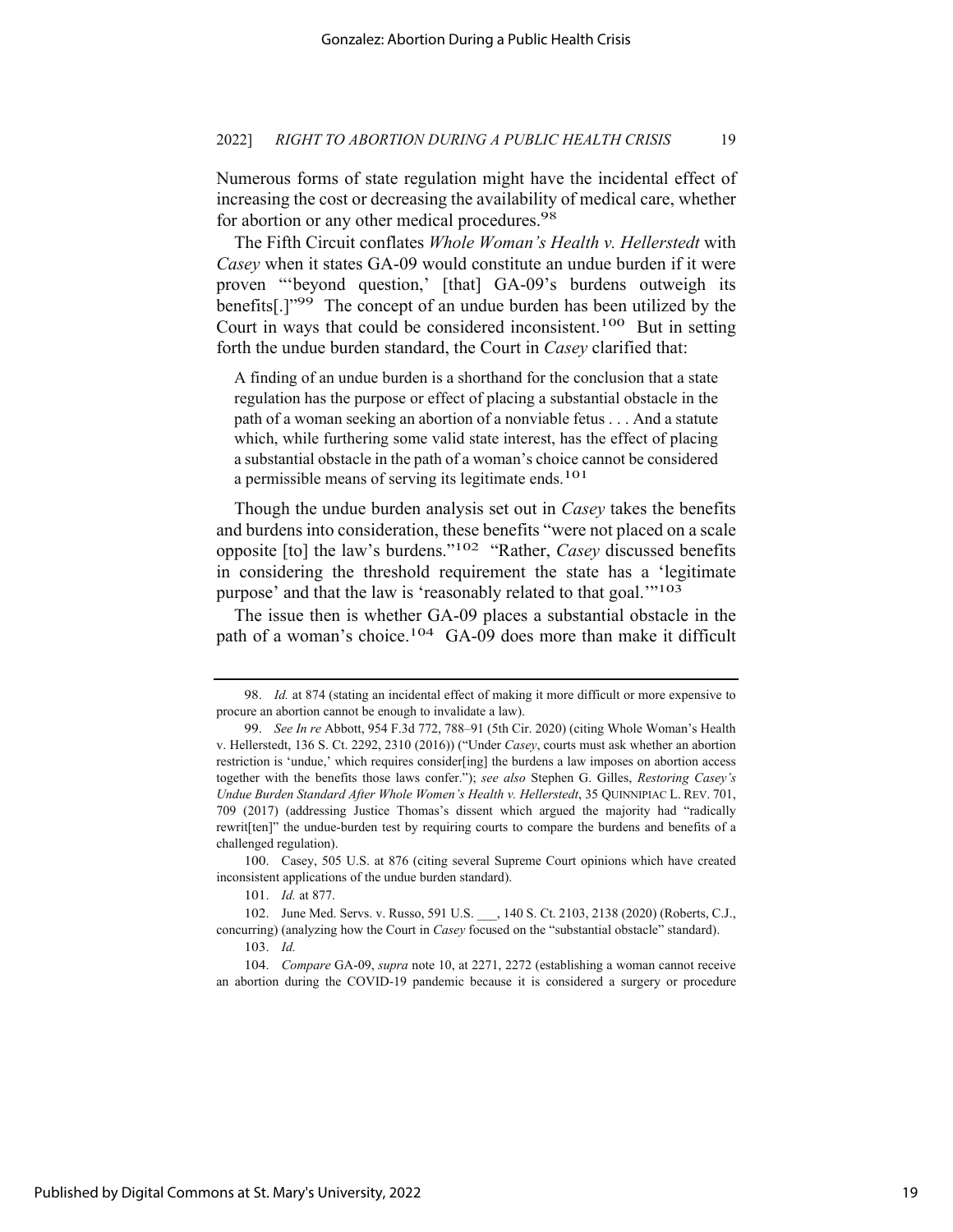Numerous forms of state regulation might have the incidental effect of increasing the cost or decreasing the availability of medical care, whether for abortion or any other medical procedures.<sup>98</sup>

The Fifth Circuit conflates *Whole Woman's Health v. Hellerstedt* with *Casey* when it states GA-09 would constitute an undue burden if it were proven "'beyond question,' [that] GA-09's burdens outweigh its benefits[.]"99 The concept of an undue burden has been utilized by the Court in ways that could be considered inconsistent.100 But in setting forth the undue burden standard, the Court in *Casey* clarified that:

A finding of an undue burden is a shorthand for the conclusion that a state regulation has the purpose or effect of placing a substantial obstacle in the path of a woman seeking an abortion of a nonviable fetus . . . And a statute which, while furthering some valid state interest, has the effect of placing a substantial obstacle in the path of a woman's choice cannot be considered a permissible means of serving its legitimate ends.<sup>101</sup>

Though the undue burden analysis set out in *Casey* takes the benefits and burdens into consideration, these benefits "were not placed on a scale opposite [to] the law's burdens."102 "Rather, *Casey* discussed benefits in considering the threshold requirement the state has a 'legitimate purpose' and that the law is 'reasonably related to that goal.'"103

The issue then is whether GA-09 places a substantial obstacle in the path of a woman's choice.<sup>104</sup> GA-09 does more than make it difficult

101. *Id.* at 877.

<sup>98.</sup> *Id.* at 874 (stating an incidental effect of making it more difficult or more expensive to procure an abortion cannot be enough to invalidate a law).

<sup>99.</sup> *See In re* Abbott, 954 F.3d 772, 788–91 (5th Cir. 2020) (citing Whole Woman's Health v. Hellerstedt, 136 S. Ct. 2292, 2310 (2016)) ("Under *Casey*, courts must ask whether an abortion restriction is 'undue,' which requires consider[ing] the burdens a law imposes on abortion access together with the benefits those laws confer."); *see also* Stephen G. Gilles, *Restoring Casey's Undue Burden Standard After Whole Women's Health v. Hellerstedt*, 35 QUINNIPIAC L. REV. 701, 709 (2017) (addressing Justice Thomas's dissent which argued the majority had "radically rewrit[ten]" the undue-burden test by requiring courts to compare the burdens and benefits of a challenged regulation).

<sup>100.</sup> Casey, 505 U.S. at 876 (citing several Supreme Court opinions which have created inconsistent applications of the undue burden standard).

<sup>102.</sup> June Med. Servs. v. Russo, 591 U.S. \_\_\_, 140 S. Ct. 2103, 2138 (2020) (Roberts, C.J., concurring) (analyzing how the Court in *Casey* focused on the "substantial obstacle" standard).

<sup>103.</sup> *Id.*

<sup>104.</sup> *Compare* GA-09, *supra* note 10, at 2271, 2272 (establishing a woman cannot receive an abortion during the COVID-19 pandemic because it is considered a surgery or procedure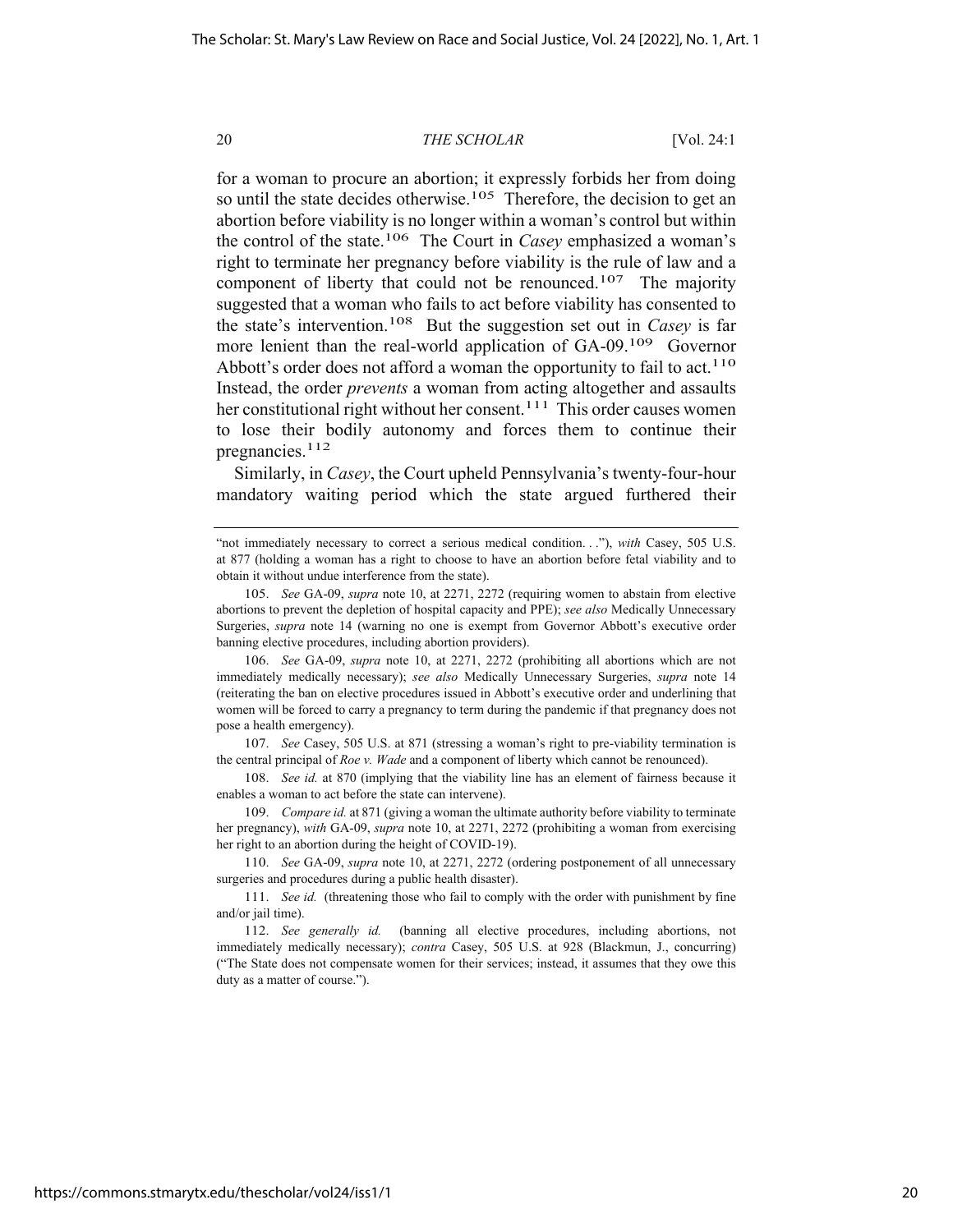for a woman to procure an abortion; it expressly forbids her from doing so until the state decides otherwise.<sup>105</sup> Therefore, the decision to get an abortion before viability is no longer within a woman's control but within the control of the state.106 The Court in *Casey* emphasized a woman's right to terminate her pregnancy before viability is the rule of law and a component of liberty that could not be renounced.<sup>107</sup> The majority suggested that a woman who fails to act before viability has consented to the state's intervention.108 But the suggestion set out in *Casey* is far more lenient than the real-world application of GA-09.<sup>109</sup> Governor Abbott's order does not afford a woman the opportunity to fail to act.<sup>110</sup> Instead, the order *prevents* a woman from acting altogether and assaults her constitutional right without her consent.<sup>111</sup> This order causes women to lose their bodily autonomy and forces them to continue their pregnancies.112

Similarly, in *Casey*, the Court upheld Pennsylvania's twenty-four-hour mandatory waiting period which the state argued furthered their

<sup>&</sup>quot;not immediately necessary to correct a serious medical condition. . ."), *with* Casey, 505 U.S. at 877 (holding a woman has a right to choose to have an abortion before fetal viability and to obtain it without undue interference from the state).

<sup>105.</sup> *See* GA-09, *supra* note 10, at 2271, 2272 (requiring women to abstain from elective abortions to prevent the depletion of hospital capacity and PPE); *see also* Medically Unnecessary Surgeries, *supra* note 14 (warning no one is exempt from Governor Abbott's executive order banning elective procedures, including abortion providers).

<sup>106.</sup> *See* GA-09, *supra* note 10, at 2271, 2272 (prohibiting all abortions which are not immediately medically necessary); *see also* Medically Unnecessary Surgeries, *supra* note 14 (reiterating the ban on elective procedures issued in Abbott's executive order and underlining that women will be forced to carry a pregnancy to term during the pandemic if that pregnancy does not pose a health emergency).

<sup>107.</sup> *See* Casey, 505 U.S. at 871 (stressing a woman's right to pre-viability termination is the central principal of *Roe v. Wade* and a component of liberty which cannot be renounced).

<sup>108.</sup> *See id.* at 870 (implying that the viability line has an element of fairness because it enables a woman to act before the state can intervene).

<sup>109.</sup> *Compare id.* at 871 (giving a woman the ultimate authority before viability to terminate her pregnancy), *with* GA-09, *supra* note 10, at 2271, 2272 (prohibiting a woman from exercising her right to an abortion during the height of COVID-19).

<sup>110.</sup> *See* GA-09, *supra* note 10, at 2271, 2272 (ordering postponement of all unnecessary surgeries and procedures during a public health disaster).

<sup>111.</sup> *See id.* (threatening those who fail to comply with the order with punishment by fine and/or jail time).

<sup>112.</sup> *See generally id.* (banning all elective procedures, including abortions, not immediately medically necessary); *contra* Casey, 505 U.S. at 928 (Blackmun, J., concurring) ("The State does not compensate women for their services; instead, it assumes that they owe this duty as a matter of course.").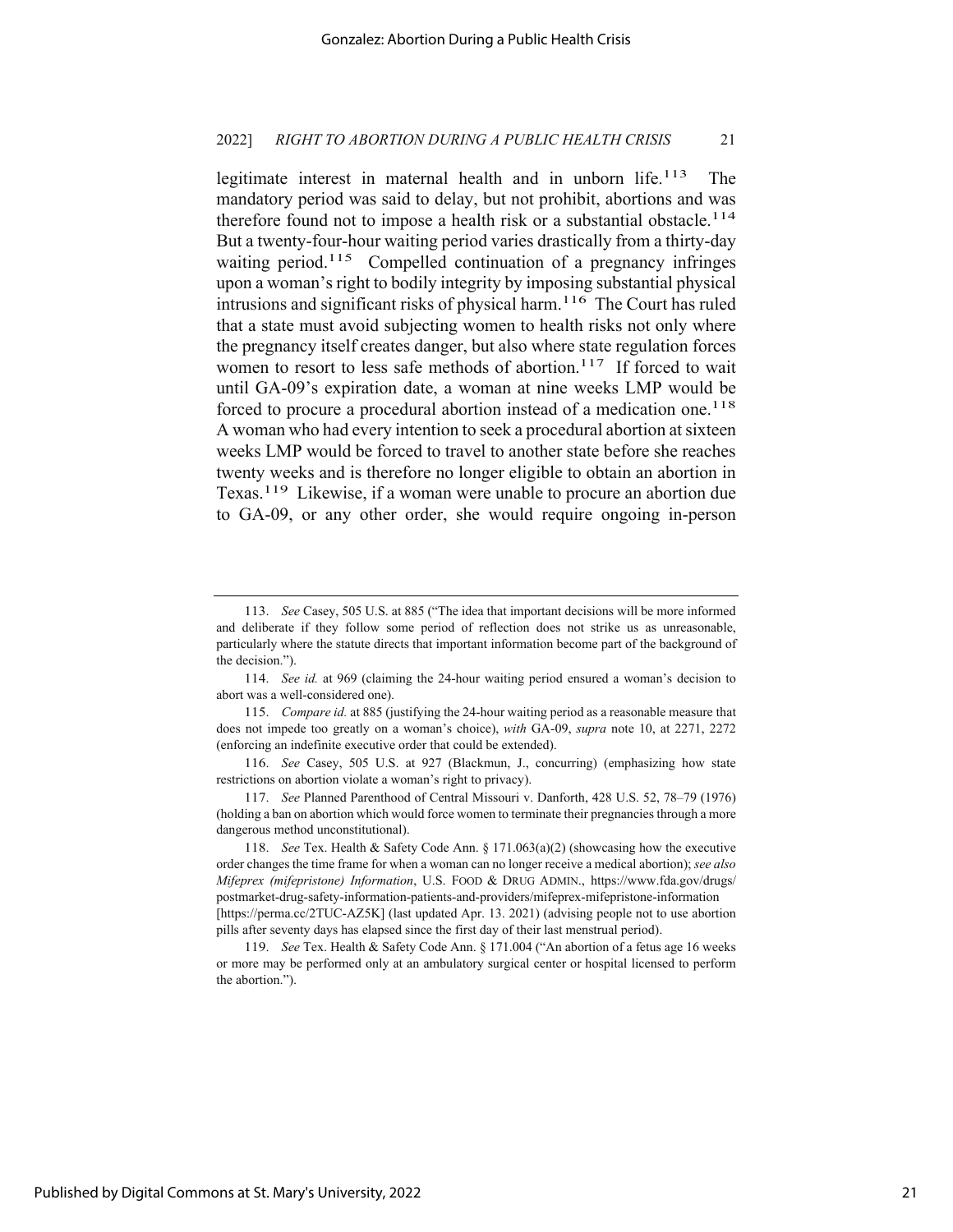legitimate interest in maternal health and in unborn life.<sup>113</sup> The mandatory period was said to delay, but not prohibit, abortions and was therefore found not to impose a health risk or a substantial obstacle.<sup>114</sup> But a twenty-four-hour waiting period varies drastically from a thirty-day waiting period.<sup>115</sup> Compelled continuation of a pregnancy infringes upon a woman's right to bodily integrity by imposing substantial physical intrusions and significant risks of physical harm.<sup>116</sup> The Court has ruled that a state must avoid subjecting women to health risks not only where the pregnancy itself creates danger, but also where state regulation forces women to resort to less safe methods of abortion.<sup>117</sup> If forced to wait until GA-09's expiration date, a woman at nine weeks LMP would be forced to procure a procedural abortion instead of a medication one.<sup>118</sup> A woman who had every intention to seek a procedural abortion at sixteen weeks LMP would be forced to travel to another state before she reaches twenty weeks and is therefore no longer eligible to obtain an abortion in Texas.119 Likewise, if a woman were unable to procure an abortion due to GA-09, or any other order, she would require ongoing in-person

<sup>113.</sup> *See* Casey, 505 U.S. at 885 ("The idea that important decisions will be more informed and deliberate if they follow some period of reflection does not strike us as unreasonable, particularly where the statute directs that important information become part of the background of the decision.").

<sup>114.</sup> *See id.* at 969 (claiming the 24-hour waiting period ensured a woman's decision to abort was a well-considered one).

<sup>115.</sup> *Compare id.* at 885 (justifying the 24-hour waiting period as a reasonable measure that does not impede too greatly on a woman's choice), *with* GA-09, *supra* note 10, at 2271, 2272 (enforcing an indefinite executive order that could be extended).

<sup>116.</sup> *See* Casey, 505 U.S. at 927 (Blackmun, J., concurring) (emphasizing how state restrictions on abortion violate a woman's right to privacy).

<sup>117.</sup> *See* Planned Parenthood of Central Missouri v. Danforth, 428 U.S. 52, 78–79 (1976) (holding a ban on abortion which would force women to terminate their pregnancies through a more dangerous method unconstitutional).

<sup>118.</sup> *See* Tex. Health & Safety Code Ann. § 171.063(a)(2) (showcasing how the executive order changes the time frame for when a woman can no longer receive a medical abortion); *see also Mifeprex (mifepristone) Information*, U.S. FOOD & DRUG ADMIN., https://www.fda.gov/drugs/ postmarket-drug-safety-information-patients-and-providers/mifeprex-mifepristone-information [https://perma.cc/2TUC-AZ5K] (last updated Apr. 13. 2021) (advising people not to use abortion pills after seventy days has elapsed since the first day of their last menstrual period).

<sup>119.</sup> *See* Tex. Health & Safety Code Ann. § 171.004 ("An abortion of a fetus age 16 weeks or more may be performed only at an ambulatory surgical center or hospital licensed to perform the abortion.").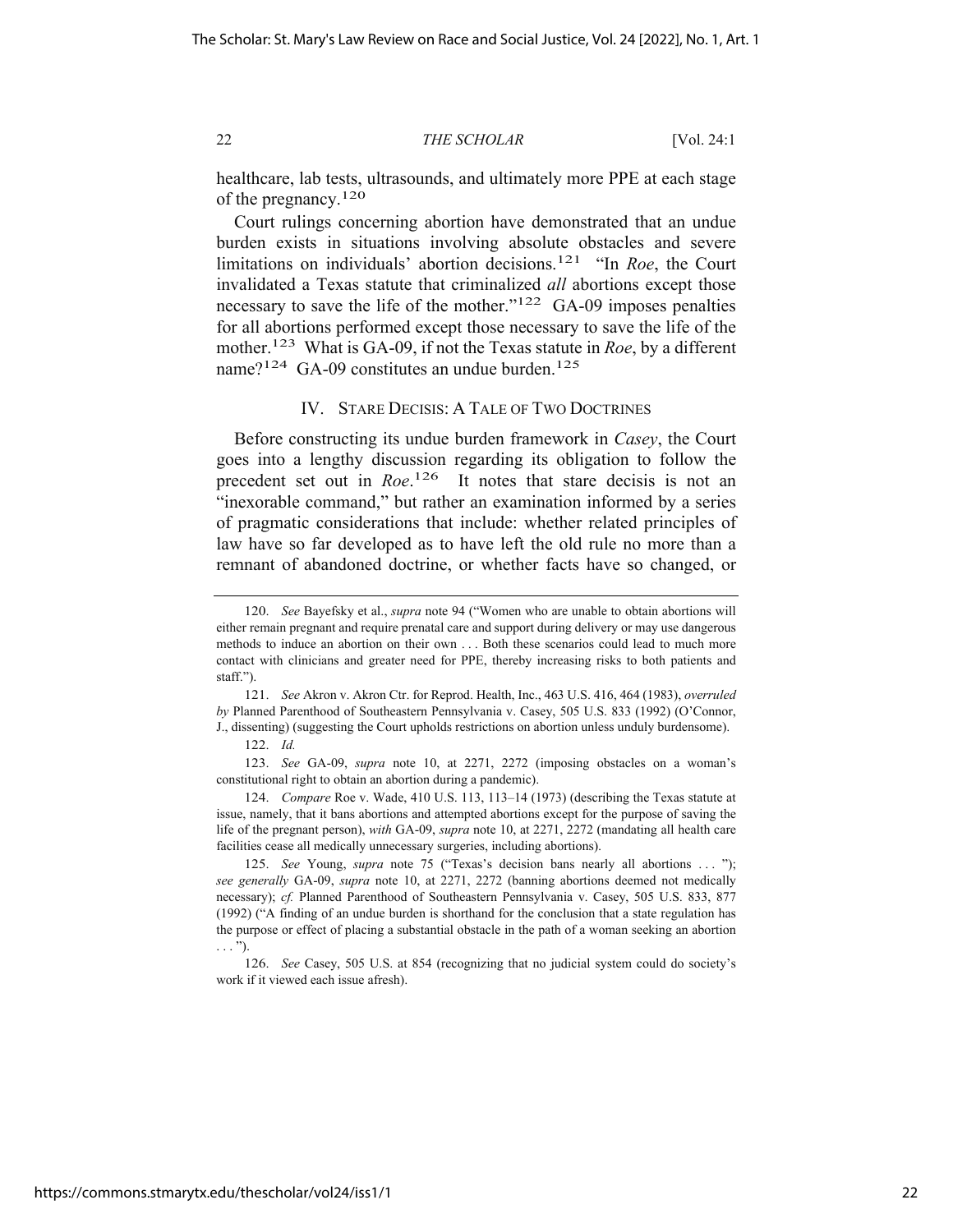healthcare, lab tests, ultrasounds, and ultimately more PPE at each stage of the pregnancy.120

Court rulings concerning abortion have demonstrated that an undue burden exists in situations involving absolute obstacles and severe limitations on individuals' abortion decisions.121 "In *Roe*, the Court invalidated a Texas statute that criminalized *all* abortions except those necessary to save the life of the mother."<sup>122</sup> GA-09 imposes penalties for all abortions performed except those necessary to save the life of the mother.123 What is GA-09, if not the Texas statute in *Roe*, by a different name?<sup>124</sup> GA-09 constitutes an undue burden.<sup>125</sup>

#### IV. STARE DECISIS: A TALE OF TWO DOCTRINES

Before constructing its undue burden framework in *Casey*, the Court goes into a lengthy discussion regarding its obligation to follow the precedent set out in *Roe*.<sup>126</sup> It notes that stare decisis is not an "inexorable command," but rather an examination informed by a series of pragmatic considerations that include: whether related principles of law have so far developed as to have left the old rule no more than a remnant of abandoned doctrine, or whether facts have so changed, or

<sup>120.</sup> *See* Bayefsky et al., *supra* note 94 ("Women who are unable to obtain abortions will either remain pregnant and require prenatal care and support during delivery or may use dangerous methods to induce an abortion on their own . . . Both these scenarios could lead to much more contact with clinicians and greater need for PPE, thereby increasing risks to both patients and staff.").

<sup>121.</sup> *See* Akron v. Akron Ctr. for Reprod. Health, Inc., 463 U.S. 416, 464 (1983), *overruled by* Planned Parenthood of Southeastern Pennsylvania v. Casey, 505 U.S. 833 (1992) (O'Connor, J., dissenting) (suggesting the Court upholds restrictions on abortion unless unduly burdensome).

<sup>122.</sup> *Id.*

<sup>123.</sup> *See* GA-09, *supra* note 10, at 2271, 2272 (imposing obstacles on a woman's constitutional right to obtain an abortion during a pandemic).

<sup>124.</sup> *Compare* Roe v. Wade, 410 U.S. 113, 113–14 (1973) (describing the Texas statute at issue, namely, that it bans abortions and attempted abortions except for the purpose of saving the life of the pregnant person), *with* GA-09, *supra* note 10, at 2271, 2272 (mandating all health care facilities cease all medically unnecessary surgeries, including abortions).

<sup>125.</sup> *See* Young, *supra* note 75 ("Texas's decision bans nearly all abortions ... "); *see generally* GA-09, *supra* note 10, at 2271, 2272 (banning abortions deemed not medically necessary); *cf.* Planned Parenthood of Southeastern Pennsylvania v. Casey, 505 U.S. 833, 877 (1992) ("A finding of an undue burden is shorthand for the conclusion that a state regulation has the purpose or effect of placing a substantial obstacle in the path of a woman seeking an abortion  $\ldots$ ").

<sup>126.</sup> *See* Casey, 505 U.S. at 854 (recognizing that no judicial system could do society's work if it viewed each issue afresh).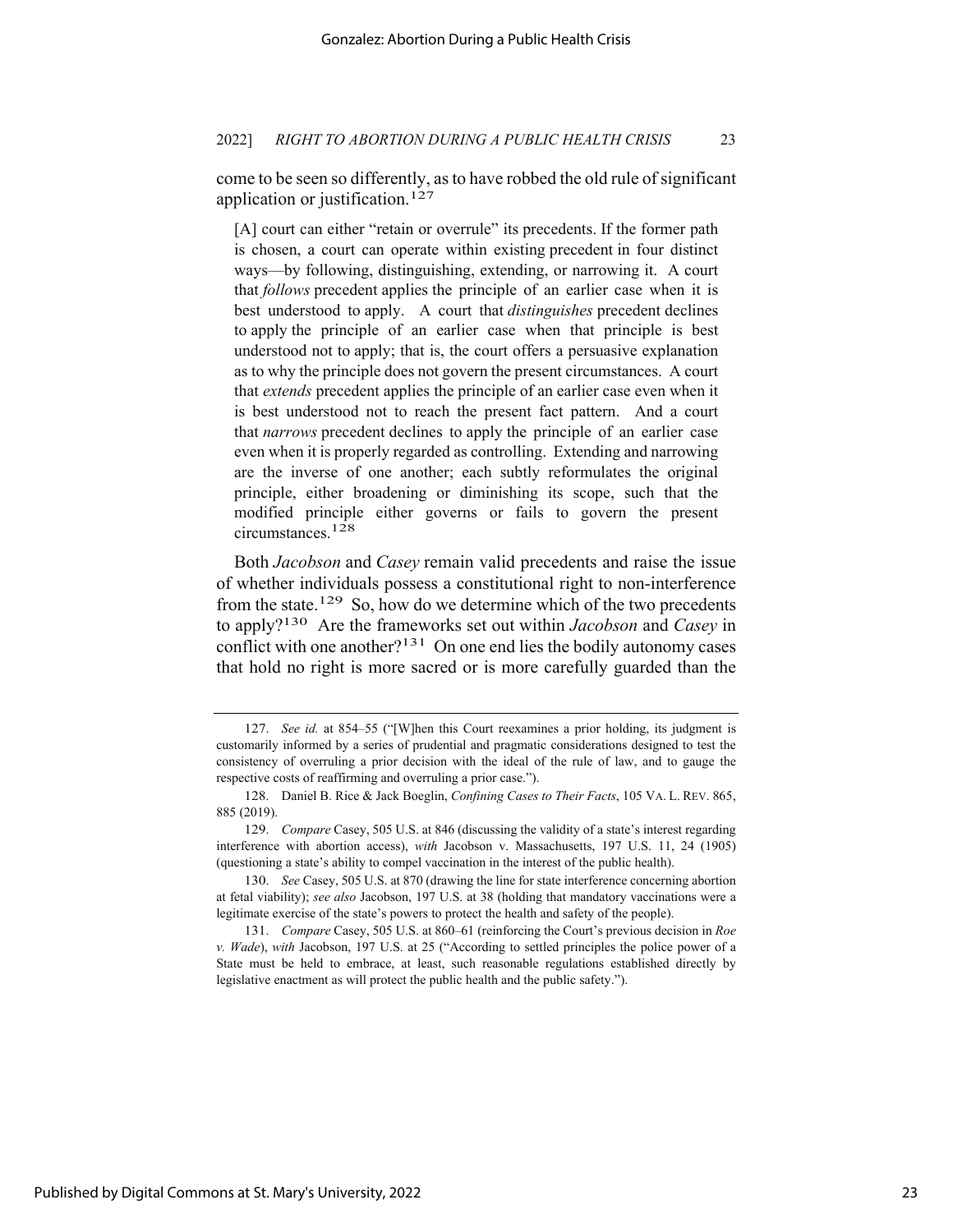come to be seen so differently, as to have robbed the old rule of significant application or justification.127

[A] court can either "retain or overrule" its precedents. If the former path is chosen, a court can operate within existing precedent in four distinct ways—by following, distinguishing, extending, or narrowing it. A court that *follows* precedent applies the principle of an earlier case when it is best understood to apply. A court that *distinguishes* precedent declines to apply the principle of an earlier case when that principle is best understood not to apply; that is, the court offers a persuasive explanation as to why the principle does not govern the present circumstances. A court that *extends* precedent applies the principle of an earlier case even when it is best understood not to reach the present fact pattern. And a court that *narrows* precedent declines to apply the principle of an earlier case even when it is properly regarded as controlling. Extending and narrowing are the inverse of one another; each subtly reformulates the original principle, either broadening or diminishing its scope, such that the modified principle either governs or fails to govern the present circumstances.128

Both *Jacobson* and *Casey* remain valid precedents and raise the issue of whether individuals possess a constitutional right to non-interference from the state.129 So, how do we determine which of the two precedents to apply?130 Are the frameworks set out within *Jacobson* and *Casey* in conflict with one another? $131$  On one end lies the bodily autonomy cases that hold no right is more sacred or is more carefully guarded than the

<sup>127.</sup> *See id.* at 854–55 ("[W]hen this Court reexamines a prior holding, its judgment is customarily informed by a series of prudential and pragmatic considerations designed to test the consistency of overruling a prior decision with the ideal of the rule of law, and to gauge the respective costs of reaffirming and overruling a prior case.").

<sup>128.</sup> Daniel B. Rice & Jack Boeglin, *Confining Cases to Their Facts*, 105 VA. L. REV. 865, 885 (2019).

<sup>129.</sup> *Compare* Casey, 505 U.S. at 846 (discussing the validity of a state's interest regarding interference with abortion access), *with* Jacobson v. Massachusetts, 197 U.S. 11, 24 (1905) (questioning a state's ability to compel vaccination in the interest of the public health).

<sup>130.</sup> *See* Casey, 505 U.S. at 870 (drawing the line for state interference concerning abortion at fetal viability); *see also* Jacobson, 197 U.S. at 38 (holding that mandatory vaccinations were a legitimate exercise of the state's powers to protect the health and safety of the people).

<sup>131.</sup> *Compare* Casey, 505 U.S. at 860–61 (reinforcing the Court's previous decision in *Roe v. Wade*), *with* Jacobson, 197 U.S. at 25 ("According to settled principles the police power of a State must be held to embrace, at least, such reasonable regulations established directly by legislative enactment as will protect the public health and the public safety.").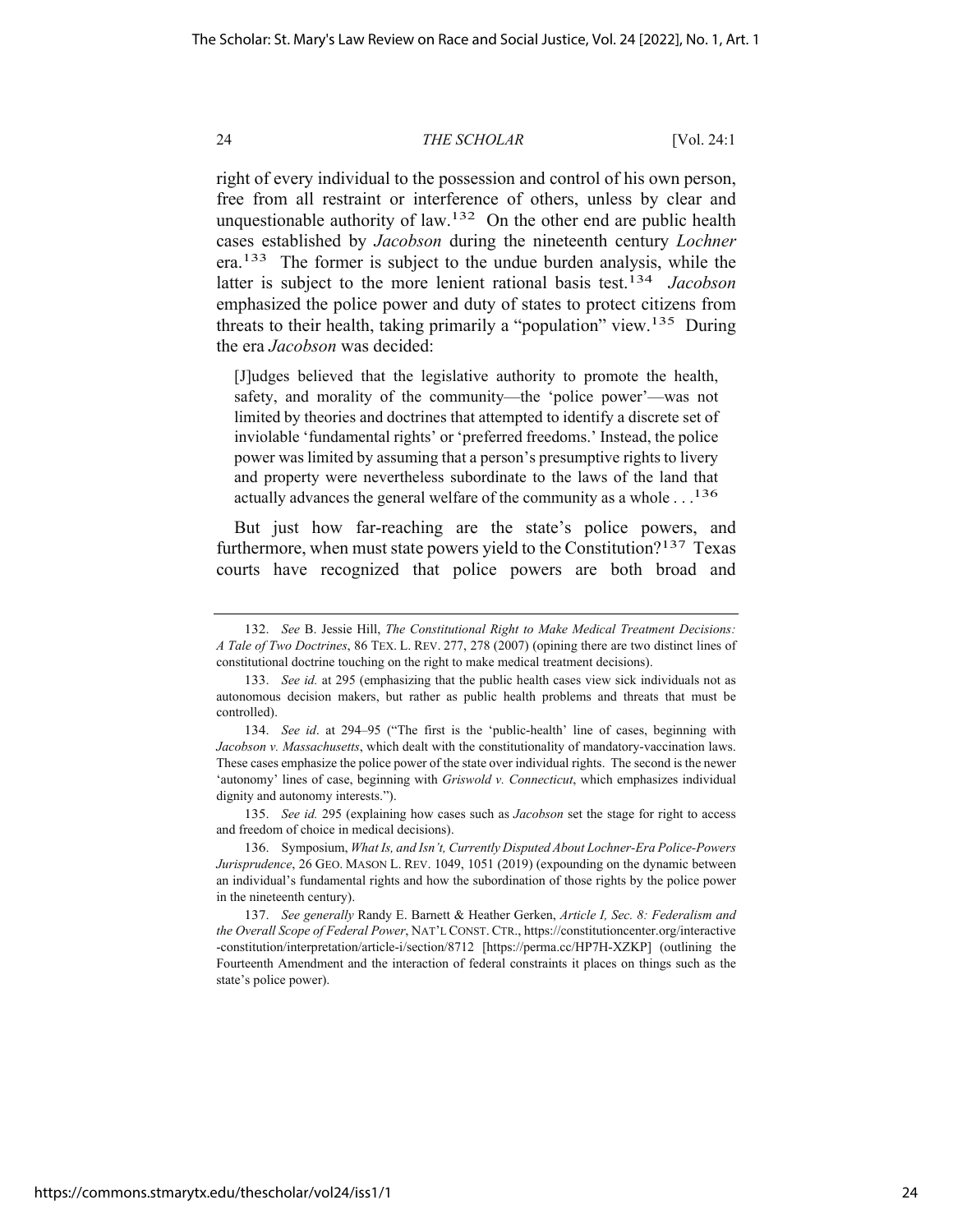right of every individual to the possession and control of his own person, free from all restraint or interference of others, unless by clear and unquestionable authority of law.<sup>132</sup> On the other end are public health cases established by *Jacobson* during the nineteenth century *Lochner* era.133 The former is subject to the undue burden analysis, while the latter is subject to the more lenient rational basis test.134 *Jacobson* emphasized the police power and duty of states to protect citizens from threats to their health, taking primarily a "population" view.<sup>135</sup> During the era *Jacobson* was decided:

[J]udges believed that the legislative authority to promote the health, safety, and morality of the community—the 'police power'—was not limited by theories and doctrines that attempted to identify a discrete set of inviolable 'fundamental rights' or 'preferred freedoms.' Instead, the police power was limited by assuming that a person's presumptive rights to livery and property were nevertheless subordinate to the laws of the land that actually advances the general welfare of the community as a whole  $\ldots^{136}$ 

But just how far-reaching are the state's police powers, and furthermore, when must state powers yield to the Constitution?137 Texas courts have recognized that police powers are both broad and

135. *See id.* 295 (explaining how cases such as *Jacobson* set the stage for right to access and freedom of choice in medical decisions).

136. Symposium, *What Is, and Isn't, Currently Disputed About Lochner-Era Police-Powers Jurisprudence*, 26 GEO. MASON L. REV. 1049, 1051 (2019) (expounding on the dynamic between an individual's fundamental rights and how the subordination of those rights by the police power in the nineteenth century).

137. *See generally* Randy E. Barnett & Heather Gerken, *Article I, Sec. 8: Federalism and the Overall Scope of Federal Power*, NAT'L CONST. CTR., https://constitutioncenter.org/interactive -constitution/interpretation/article-i/section/8712 [https://perma.cc/HP7H-XZKP] (outlining the Fourteenth Amendment and the interaction of federal constraints it places on things such as the state's police power).

<sup>132.</sup> *See* B. Jessie Hill, *The Constitutional Right to Make Medical Treatment Decisions: A Tale of Two Doctrines*, 86 TEX. L. REV. 277, 278 (2007) (opining there are two distinct lines of constitutional doctrine touching on the right to make medical treatment decisions).

<sup>133.</sup> *See id.* at 295 (emphasizing that the public health cases view sick individuals not as autonomous decision makers, but rather as public health problems and threats that must be controlled).

<sup>134.</sup> *See id*. at 294–95 ("The first is the 'public-health' line of cases, beginning with *Jacobson v. Massachusetts*, which dealt with the constitutionality of mandatory-vaccination laws. These cases emphasize the police power of the state over individual rights. The second is the newer 'autonomy' lines of case, beginning with *Griswold v. Connecticut*, which emphasizes individual dignity and autonomy interests.").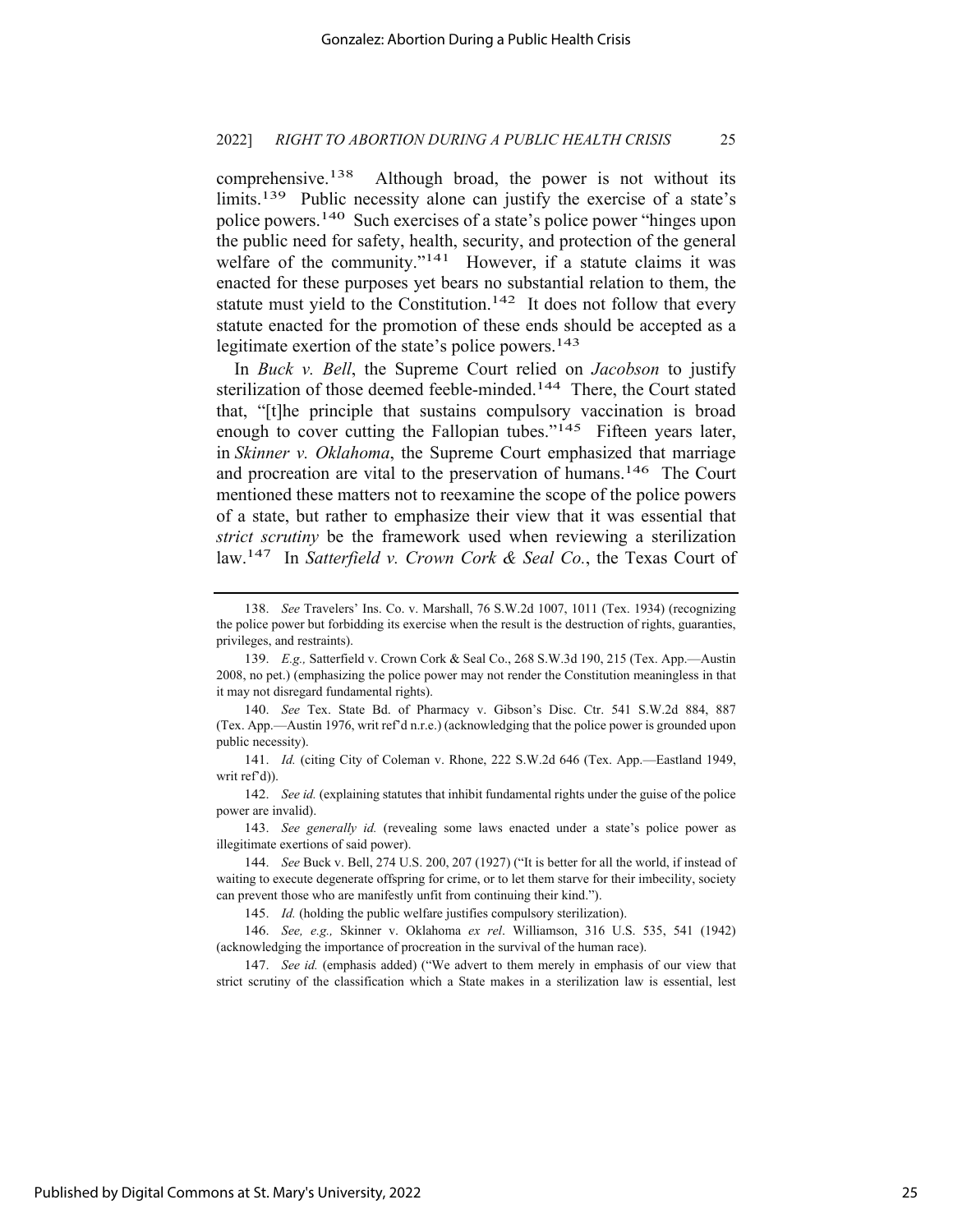comprehensive.<sup>138</sup> Although broad, the power is not without its limits.<sup>139</sup> Public necessity alone can justify the exercise of a state's police powers.140 Such exercises of a state's police power "hinges upon the public need for safety, health, security, and protection of the general welfare of the community."<sup>141</sup> However, if a statute claims it was enacted for these purposes yet bears no substantial relation to them, the statute must yield to the Constitution.<sup>142</sup> It does not follow that every statute enacted for the promotion of these ends should be accepted as a legitimate exertion of the state's police powers.<sup>143</sup>

In *Buck v. Bell*, the Supreme Court relied on *Jacobson* to justify sterilization of those deemed feeble-minded.<sup>144</sup> There, the Court stated that, "[t]he principle that sustains compulsory vaccination is broad enough to cover cutting the Fallopian tubes."<sup>145</sup> Fifteen years later, in *Skinner v. Oklahoma*, the Supreme Court emphasized that marriage and procreation are vital to the preservation of humans.146 The Court mentioned these matters not to reexamine the scope of the police powers of a state, but rather to emphasize their view that it was essential that *strict scrutiny* be the framework used when reviewing a sterilization law.147 In *Satterfield v. Crown Cork & Seal Co.*, the Texas Court of

141. *Id.* (citing City of Coleman v. Rhone, 222 S.W.2d 646 (Tex. App.—Eastland 1949, writ ref'd)).

142. *See id.* (explaining statutes that inhibit fundamental rights under the guise of the police power are invalid).

143. *See generally id.* (revealing some laws enacted under a state's police power as illegitimate exertions of said power).

145. *Id.* (holding the public welfare justifies compulsory sterilization).

147. *See id.* (emphasis added) ("We advert to them merely in emphasis of our view that strict scrutiny of the classification which a State makes in a sterilization law is essential, lest

<sup>138.</sup> *See* Travelers' Ins. Co. v. Marshall, 76 S.W.2d 1007, 1011 (Tex. 1934) (recognizing the police power but forbidding its exercise when the result is the destruction of rights, guaranties, privileges, and restraints).

<sup>139.</sup> *E.g.,* Satterfield v. Crown Cork & Seal Co., 268 S.W.3d 190, 215 (Tex. App.—Austin 2008, no pet.) (emphasizing the police power may not render the Constitution meaningless in that it may not disregard fundamental rights).

<sup>140.</sup> *See* Tex. State Bd. of Pharmacy v. Gibson's Disc. Ctr. 541 S.W.2d 884, 887 (Tex. App.—Austin 1976, writ ref'd n.r.e.) (acknowledging that the police power is grounded upon public necessity).

<sup>144.</sup> *See* Buck v. Bell, 274 U.S. 200, 207 (1927) ("It is better for all the world, if instead of waiting to execute degenerate offspring for crime, or to let them starve for their imbecility, society can prevent those who are manifestly unfit from continuing their kind.").

<sup>146.</sup> *See, e.g.,* Skinner v. Oklahoma *ex rel*. Williamson, 316 U.S. 535, 541 (1942) (acknowledging the importance of procreation in the survival of the human race).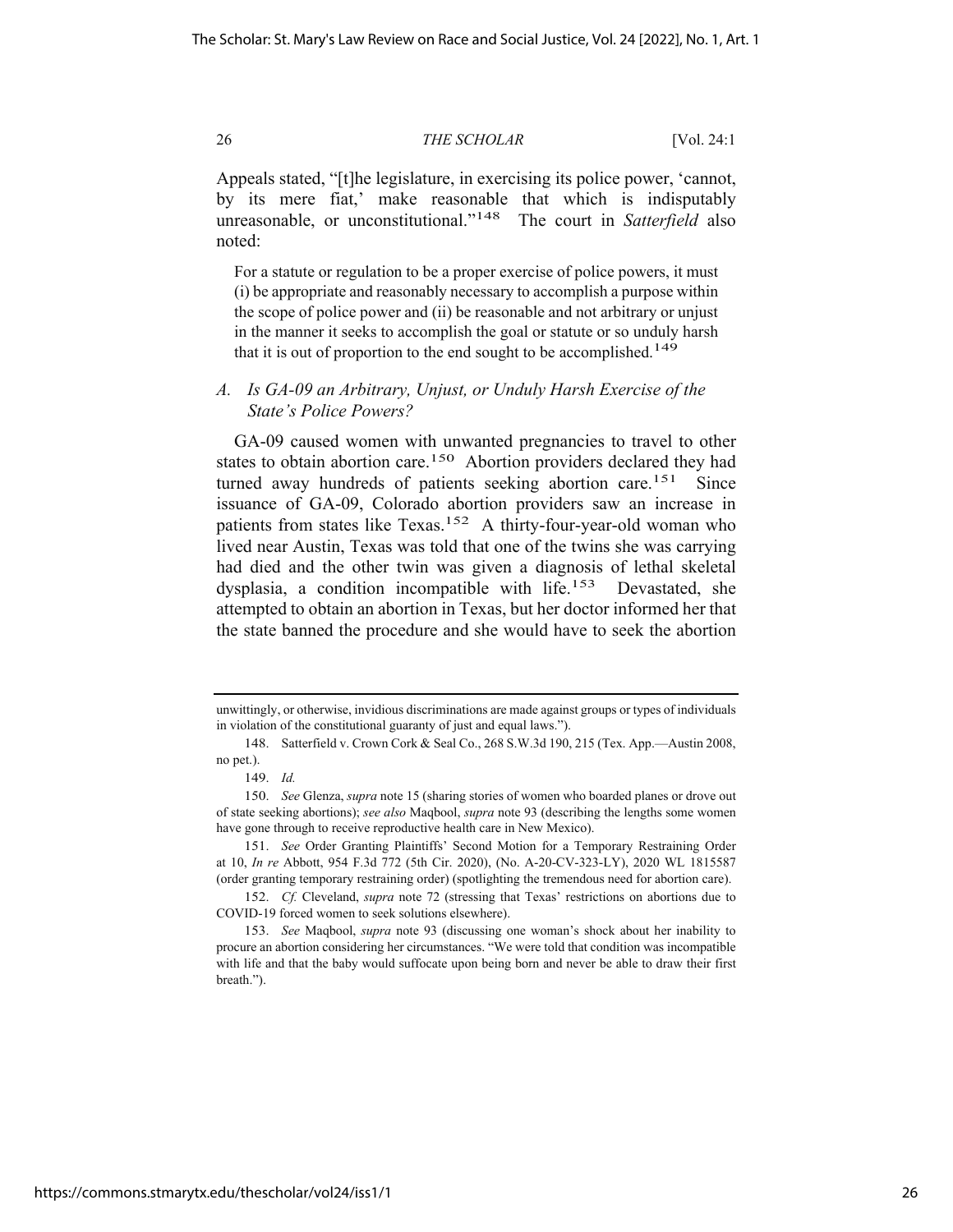Appeals stated, "[t]he legislature, in exercising its police power, 'cannot, by its mere fiat,' make reasonable that which is indisputably unreasonable, or unconstitutional."148 The court in *Satterfield* also noted:

For a statute or regulation to be a proper exercise of police powers, it must (i) be appropriate and reasonably necessary to accomplish a purpose within the scope of police power and (ii) be reasonable and not arbitrary or unjust in the manner it seeks to accomplish the goal or statute or so unduly harsh that it is out of proportion to the end sought to be accomplished.<sup>149</sup>

## *A. Is GA-09 an Arbitrary, Unjust, or Unduly Harsh Exercise of the State's Police Powers?*

GA-09 caused women with unwanted pregnancies to travel to other states to obtain abortion care.<sup>150</sup> Abortion providers declared they had turned away hundreds of patients seeking abortion care.<sup>151</sup> Since issuance of GA-09, Colorado abortion providers saw an increase in patients from states like Texas.<sup>152</sup> A thirty-four-year-old woman who lived near Austin, Texas was told that one of the twins she was carrying had died and the other twin was given a diagnosis of lethal skeletal dysplasia, a condition incompatible with life.153 Devastated, she attempted to obtain an abortion in Texas, but her doctor informed her that the state banned the procedure and she would have to seek the abortion

unwittingly, or otherwise, invidious discriminations are made against groups or types of individuals in violation of the constitutional guaranty of just and equal laws.").

<sup>148.</sup> Satterfield v. Crown Cork & Seal Co., 268 S.W.3d 190, 215 (Tex. App.—Austin 2008, no pet.).

<sup>149.</sup> *Id.*

<sup>150.</sup> *See* Glenza, *supra* note 15 (sharing stories of women who boarded planes or drove out of state seeking abortions); *see also* Maqbool, *supra* note 93 (describing the lengths some women have gone through to receive reproductive health care in New Mexico).

<sup>151.</sup> *See* Order Granting Plaintiffs' Second Motion for a Temporary Restraining Order at 10, *In re* Abbott, 954 F.3d 772 (5th Cir. 2020), (No. A-20-CV-323-LY), 2020 WL 1815587 (order granting temporary restraining order) (spotlighting the tremendous need for abortion care).

<sup>152.</sup> *Cf.* Cleveland, *supra* note 72 (stressing that Texas' restrictions on abortions due to COVID-19 forced women to seek solutions elsewhere).

<sup>153.</sup> *See* Maqbool, *supra* note 93 (discussing one woman's shock about her inability to procure an abortion considering her circumstances. "We were told that condition was incompatible with life and that the baby would suffocate upon being born and never be able to draw their first breath.").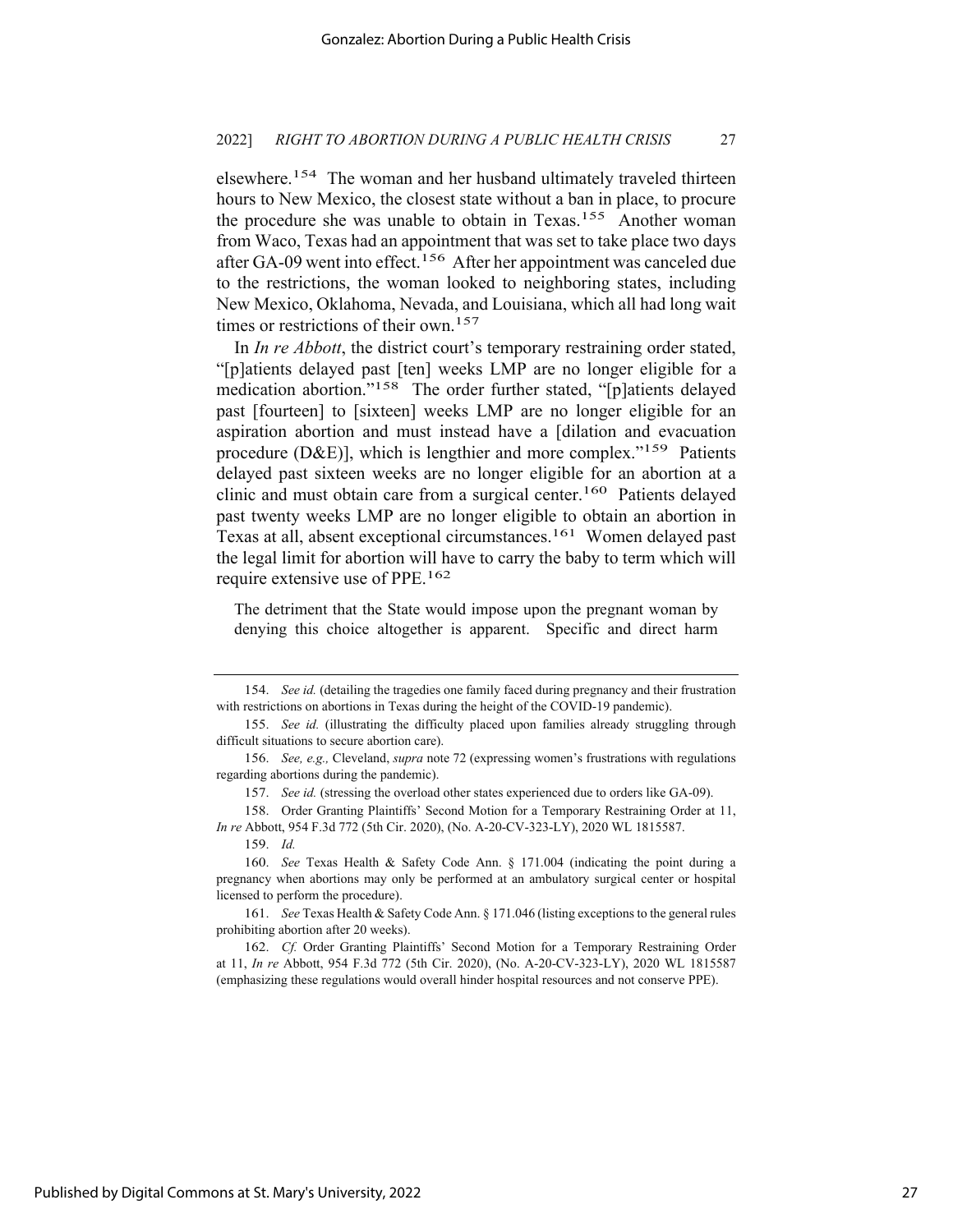elsewhere.<sup>154</sup> The woman and her husband ultimately traveled thirteen hours to New Mexico, the closest state without a ban in place, to procure the procedure she was unable to obtain in Texas.<sup>155</sup> Another woman from Waco, Texas had an appointment that was set to take place two days after GA-09 went into effect.<sup>156</sup> After her appointment was canceled due to the restrictions, the woman looked to neighboring states, including New Mexico, Oklahoma, Nevada, and Louisiana, which all had long wait times or restrictions of their own.<sup>157</sup>

In *In re Abbott*, the district court's temporary restraining order stated, "[p]atients delayed past [ten] weeks LMP are no longer eligible for a medication abortion."158 The order further stated, "[p]atients delayed past [fourteen] to [sixteen] weeks LMP are no longer eligible for an aspiration abortion and must instead have a [dilation and evacuation procedure (D&E)], which is lengthier and more complex."<sup>159</sup> Patients delayed past sixteen weeks are no longer eligible for an abortion at a clinic and must obtain care from a surgical center.160Patients delayed past twenty weeks LMP are no longer eligible to obtain an abortion in Texas at all, absent exceptional circumstances.161 Women delayed past the legal limit for abortion will have to carry the baby to term which will require extensive use of PPE.162

The detriment that the State would impose upon the pregnant woman by denying this choice altogether is apparent. Specific and direct harm

161. *See* Texas Health & Safety Code Ann. § 171.046 (listing exceptions to the general rules prohibiting abortion after 20 weeks).

<sup>154.</sup> *See id.* (detailing the tragedies one family faced during pregnancy and their frustration with restrictions on abortions in Texas during the height of the COVID-19 pandemic).

<sup>155.</sup> *See id.* (illustrating the difficulty placed upon families already struggling through difficult situations to secure abortion care).

<sup>156.</sup> *See, e.g.,* Cleveland, *supra* note 72 (expressing women's frustrations with regulations regarding abortions during the pandemic).

<sup>157.</sup> *See id.* (stressing the overload other states experienced due to orders like GA-09).

<sup>158.</sup> Order Granting Plaintiffs' Second Motion for a Temporary Restraining Order at 11, *In re* Abbott, 954 F.3d 772 (5th Cir. 2020), (No. A-20-CV-323-LY), 2020 WL 1815587.

<sup>159.</sup> *Id.*

<sup>160.</sup> *See* Texas Health & Safety Code Ann. § 171.004 (indicating the point during a pregnancy when abortions may only be performed at an ambulatory surgical center or hospital licensed to perform the procedure).

<sup>162.</sup> *Cf.* Order Granting Plaintiffs' Second Motion for a Temporary Restraining Order at 11, *In re* Abbott, 954 F.3d 772 (5th Cir. 2020), (No. A-20-CV-323-LY), 2020 WL 1815587 (emphasizing these regulations would overall hinder hospital resources and not conserve PPE).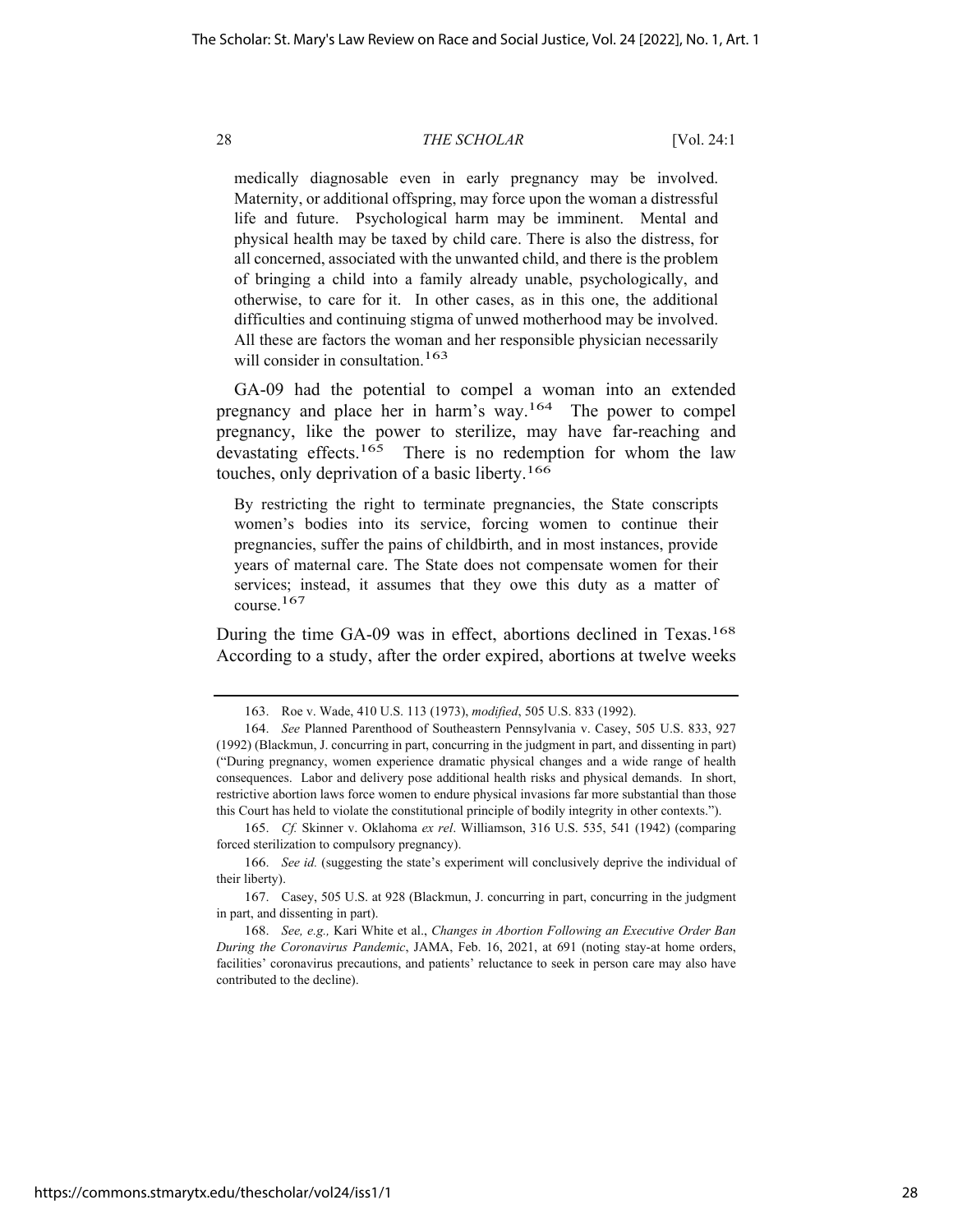medically diagnosable even in early pregnancy may be involved. Maternity, or additional offspring, may force upon the woman a distressful life and future. Psychological harm may be imminent. Mental and physical health may be taxed by child care. There is also the distress, for all concerned, associated with the unwanted child, and there is the problem of bringing a child into a family already unable, psychologically, and otherwise, to care for it. In other cases, as in this one, the additional difficulties and continuing stigma of unwed motherhood may be involved. All these are factors the woman and her responsible physician necessarily will consider in consultation.<sup>163</sup>

GA-09 had the potential to compel a woman into an extended pregnancy and place her in harm's way.164 The power to compel pregnancy, like the power to sterilize, may have far-reaching and devastating effects.<sup>165</sup> There is no redemption for whom the law touches, only deprivation of a basic liberty.166

By restricting the right to terminate pregnancies, the State conscripts women's bodies into its service, forcing women to continue their pregnancies, suffer the pains of childbirth, and in most instances, provide years of maternal care. The State does not compensate women for their services; instead, it assumes that they owe this duty as a matter of course.167

During the time GA-09 was in effect, abortions declined in Texas.<sup>168</sup> According to a study, after the order expired, abortions at twelve weeks

<sup>163.</sup> Roe v. Wade, 410 U.S. 113 (1973), *modified*, 505 U.S. 833 (1992).

<sup>164.</sup> *See* Planned Parenthood of Southeastern Pennsylvania v. Casey, 505 U.S. 833, 927 (1992) (Blackmun, J. concurring in part, concurring in the judgment in part, and dissenting in part) ("During pregnancy, women experience dramatic physical changes and a wide range of health consequences. Labor and delivery pose additional health risks and physical demands. In short, restrictive abortion laws force women to endure physical invasions far more substantial than those this Court has held to violate the constitutional principle of bodily integrity in other contexts.").

<sup>165.</sup> *Cf.* Skinner v. Oklahoma *ex rel*. Williamson, 316 U.S. 535, 541 (1942) (comparing forced sterilization to compulsory pregnancy).

<sup>166.</sup> *See id.* (suggesting the state's experiment will conclusively deprive the individual of their liberty).

<sup>167.</sup> Casey, 505 U.S. at 928 (Blackmun, J. concurring in part, concurring in the judgment in part, and dissenting in part).

<sup>168.</sup> *See, e.g.,* Kari White et al., *Changes in Abortion Following an Executive Order Ban During the Coronavirus Pandemic*, JAMA, Feb. 16, 2021, at 691 (noting stay-at home orders, facilities' coronavirus precautions, and patients' reluctance to seek in person care may also have contributed to the decline).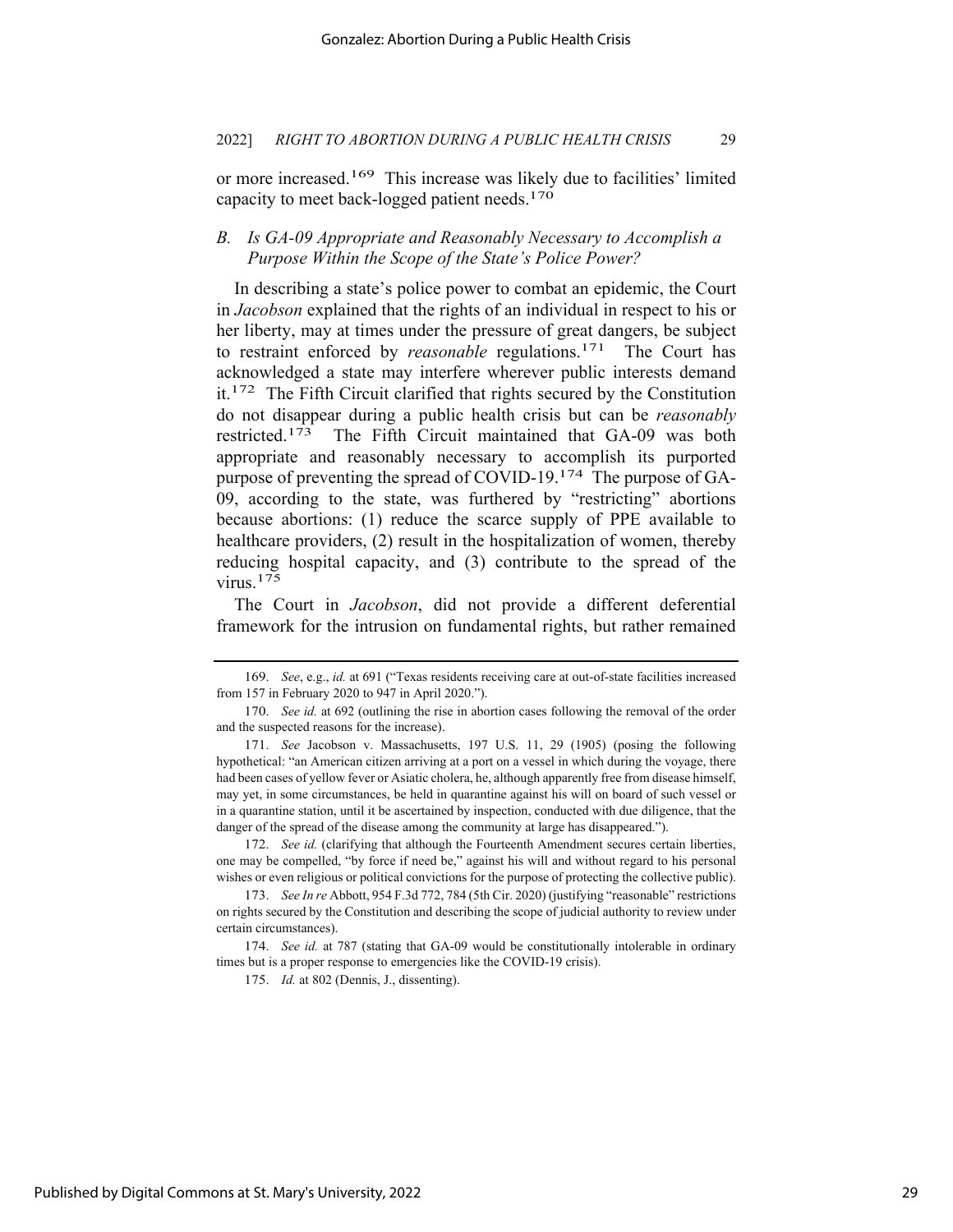or more increased.169 This increase was likely due to facilities' limited capacity to meet back-logged patient needs.170

## *B. Is GA-09 Appropriate and Reasonably Necessary to Accomplish a Purpose Within the Scope of the State's Police Power?*

In describing a state's police power to combat an epidemic, the Court in *Jacobson* explained that the rights of an individual in respect to his or her liberty, may at times under the pressure of great dangers, be subject to restraint enforced by *reasonable* regulations.<sup>171</sup> The Court has acknowledged a state may interfere wherever public interests demand it.172 The Fifth Circuit clarified that rights secured by the Constitution do not disappear during a public health crisis but can be *reasonably*  restricted.173 The Fifth Circuit maintained that GA-09 was both appropriate and reasonably necessary to accomplish its purported purpose of preventing the spread of COVID-19.174 The purpose of GA-09, according to the state, was furthered by "restricting" abortions because abortions: (1) reduce the scarce supply of PPE available to healthcare providers, (2) result in the hospitalization of women, thereby reducing hospital capacity, and (3) contribute to the spread of the virus.175

The Court in *Jacobson*, did not provide a different deferential framework for the intrusion on fundamental rights, but rather remained

<sup>169.</sup> *See*, e.g., *id.* at 691 ("Texas residents receiving care at out-of-state facilities increased from 157 in February 2020 to 947 in April 2020.").

<sup>170.</sup> *See id.* at 692 (outlining the rise in abortion cases following the removal of the order and the suspected reasons for the increase).

<sup>171.</sup> *See* Jacobson v. Massachusetts, 197 U.S. 11, 29 (1905) (posing the following hypothetical: "an American citizen arriving at a port on a vessel in which during the voyage, there had been cases of yellow fever or Asiatic cholera, he, although apparently free from disease himself, may yet, in some circumstances, be held in quarantine against his will on board of such vessel or in a quarantine station, until it be ascertained by inspection, conducted with due diligence, that the danger of the spread of the disease among the community at large has disappeared.").

<sup>172.</sup> *See id.* (clarifying that although the Fourteenth Amendment secures certain liberties, one may be compelled, "by force if need be," against his will and without regard to his personal wishes or even religious or political convictions for the purpose of protecting the collective public).

<sup>173.</sup> *See In re* Abbott, 954 F.3d 772, 784 (5th Cir. 2020) (justifying "reasonable" restrictions on rights secured by the Constitution and describing the scope of judicial authority to review under certain circumstances).

<sup>174.</sup> *See id.* at 787 (stating that GA-09 would be constitutionally intolerable in ordinary times but is a proper response to emergencies like the COVID-19 crisis).

<sup>175.</sup> *Id.* at 802 (Dennis, J., dissenting).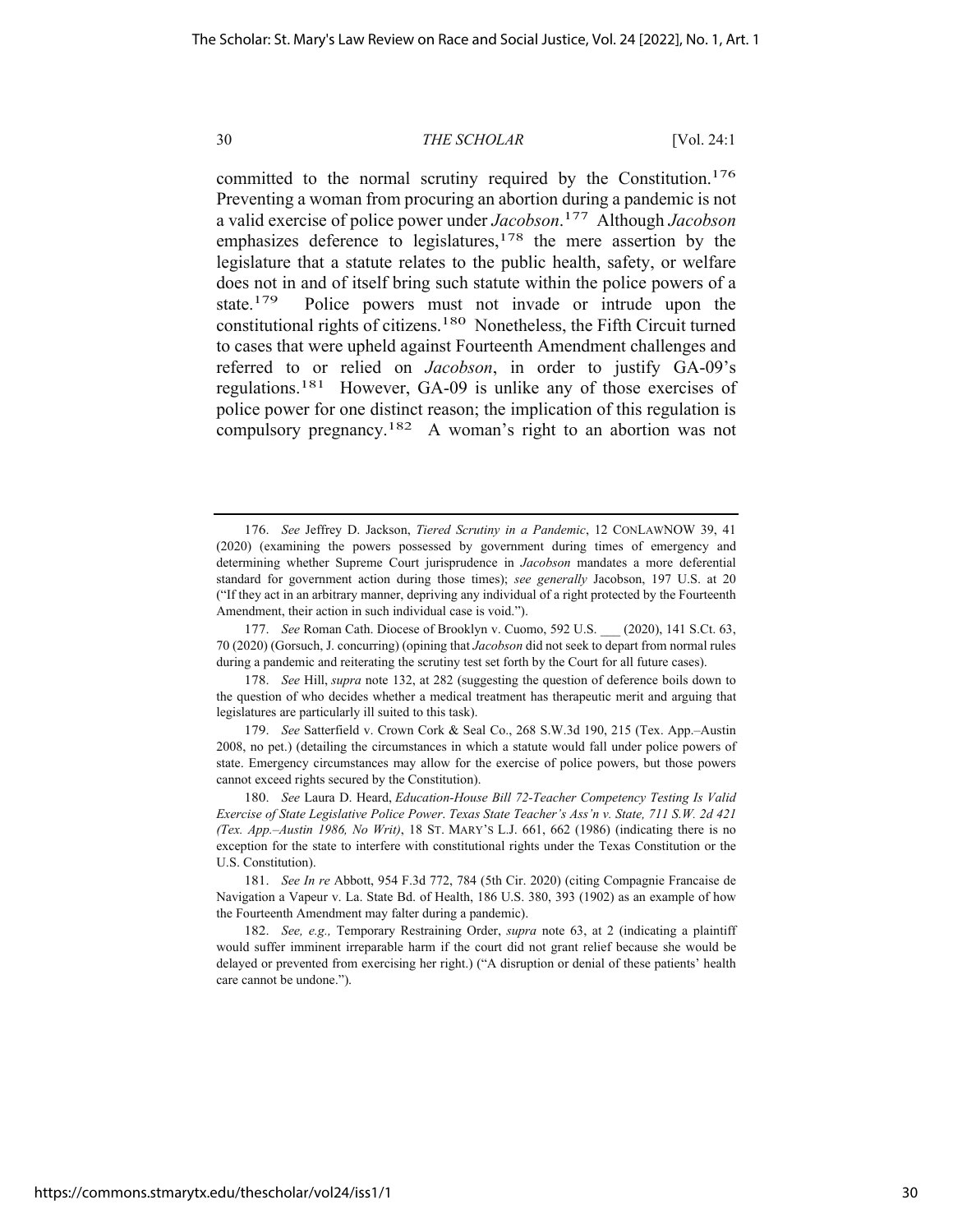committed to the normal scrutiny required by the Constitution.<sup>176</sup> Preventing a woman from procuring an abortion during a pandemic is not a valid exercise of police power under *Jacobson*. 177 Although *Jacobson*  emphasizes deference to legislatures,<sup>178</sup> the mere assertion by the legislature that a statute relates to the public health, safety, or welfare does not in and of itself bring such statute within the police powers of a state.<sup>179</sup> Police powers must not invade or intrude upon the constitutional rights of citizens.180 Nonetheless, the Fifth Circuit turned to cases that were upheld against Fourteenth Amendment challenges and referred to or relied on *Jacobson*, in order to justify GA-09's regulations.181 However, GA-09 is unlike any of those exercises of police power for one distinct reason; the implication of this regulation is compulsory pregnancy.182 A woman's right to an abortion was not

<sup>176.</sup> *See* Jeffrey D. Jackson, *Tiered Scrutiny in a Pandemic*, 12 CONLAWNOW 39, 41 (2020) (examining the powers possessed by government during times of emergency and determining whether Supreme Court jurisprudence in *Jacobson* mandates a more deferential standard for government action during those times); *see generally* Jacobson, 197 U.S. at 20 ("If they act in an arbitrary manner, depriving any individual of a right protected by the Fourteenth Amendment, their action in such individual case is void.").

<sup>177.</sup> *See* Roman Cath. Diocese of Brooklyn v. Cuomo, 592 U.S. \_\_\_ (2020), 141 S.Ct. 63, 70 (2020) (Gorsuch, J. concurring) (opining that *Jacobson* did not seek to depart from normal rules during a pandemic and reiterating the scrutiny test set forth by the Court for all future cases).

<sup>178.</sup> *See* Hill, *supra* note 132, at 282 (suggesting the question of deference boils down to the question of who decides whether a medical treatment has therapeutic merit and arguing that legislatures are particularly ill suited to this task).

<sup>179.</sup> *See* Satterfield v. Crown Cork & Seal Co., 268 S.W.3d 190, 215 (Tex. App.–Austin 2008, no pet.) (detailing the circumstances in which a statute would fall under police powers of state. Emergency circumstances may allow for the exercise of police powers, but those powers cannot exceed rights secured by the Constitution).

<sup>180.</sup> *See* Laura D. Heard, *Education-House Bill 72-Teacher Competency Testing Is Valid Exercise of State Legislative Police Power*. *Texas State Teacher's Ass'n v. State, 711 S.W. 2d 421 (Tex. App.–Austin 1986, No Writ)*, 18 ST. MARY'S L.J. 661, 662 (1986) (indicating there is no exception for the state to interfere with constitutional rights under the Texas Constitution or the U.S. Constitution).

<sup>181.</sup> *See In re* Abbott, 954 F.3d 772, 784 (5th Cir. 2020) (citing Compagnie Francaise de Navigation a Vapeur v. La. State Bd. of Health, 186 U.S. 380, 393 (1902) as an example of how the Fourteenth Amendment may falter during a pandemic).

<sup>182.</sup> *See, e.g.,* Temporary Restraining Order, *supra* note 63, at 2 (indicating a plaintiff would suffer imminent irreparable harm if the court did not grant relief because she would be delayed or prevented from exercising her right.) ("A disruption or denial of these patients' health care cannot be undone.").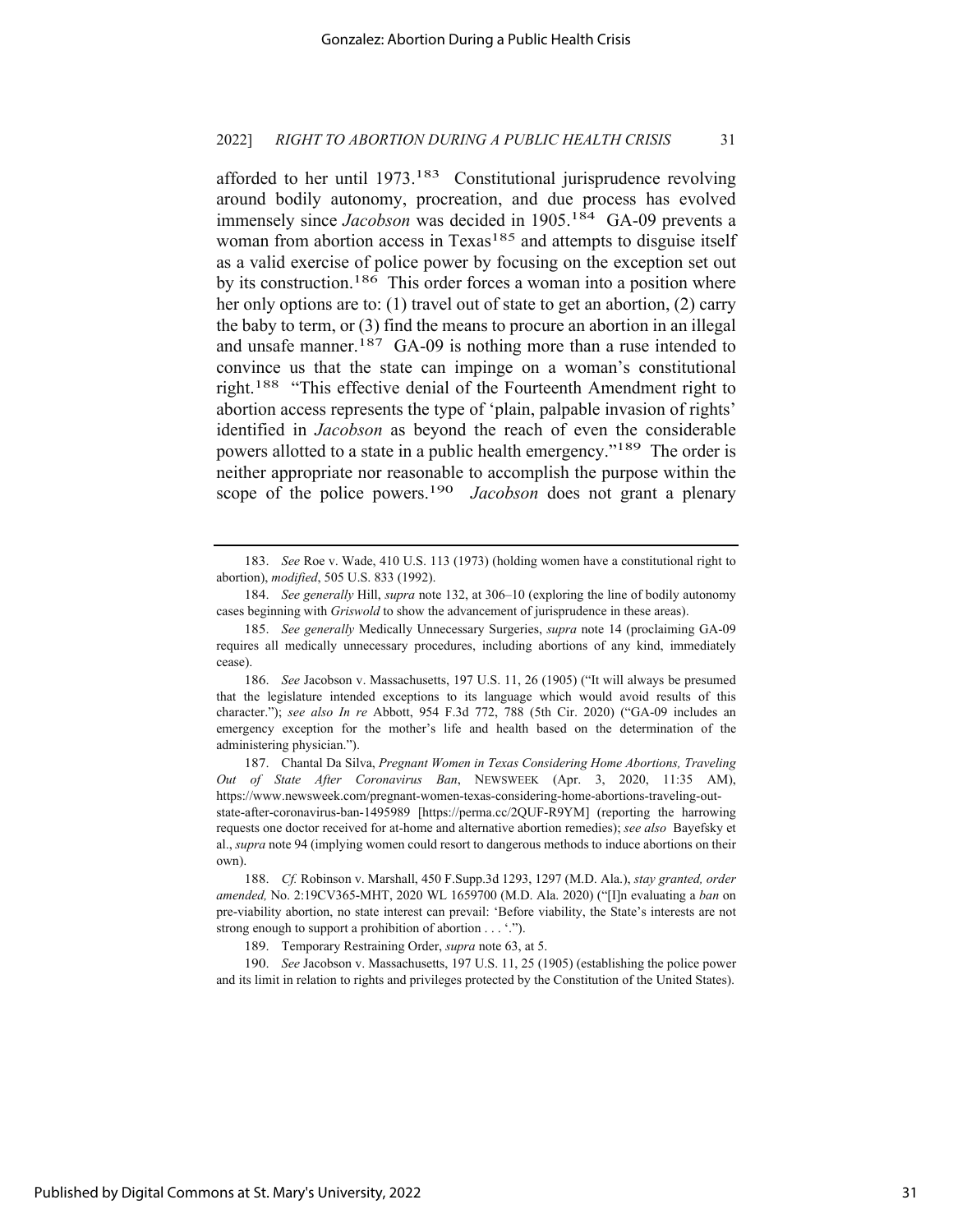afforded to her until  $1973<sup>183</sup>$  Constitutional jurisprudence revolving around bodily autonomy, procreation, and due process has evolved immensely since *Jacobson* was decided in 1905.<sup>184</sup> GA-09 prevents a woman from abortion access in Texas<sup>185</sup> and attempts to disguise itself as a valid exercise of police power by focusing on the exception set out by its construction.<sup>186</sup> This order forces a woman into a position where her only options are to: (1) travel out of state to get an abortion, (2) carry the baby to term, or (3) find the means to procure an abortion in an illegal and unsafe manner.<sup>187</sup> GA-09 is nothing more than a ruse intended to convince us that the state can impinge on a woman's constitutional right.<sup>188</sup> "This effective denial of the Fourteenth Amendment right to abortion access represents the type of 'plain, palpable invasion of rights' identified in *Jacobson* as beyond the reach of even the considerable powers allotted to a state in a public health emergency."<sup>189</sup> The order is neither appropriate nor reasonable to accomplish the purpose within the scope of the police powers.<sup>190</sup> *Jacobson* does not grant a plenary

al., *supra* note 94 (implying women could resort to dangerous methods to induce abortions on their own).

190. *See* Jacobson v. Massachusetts, 197 U.S. 11, 25 (1905) (establishing the police power and its limit in relation to rights and privileges protected by the Constitution of the United States).

<sup>183.</sup> *See* Roe v. Wade, 410 U.S. 113 (1973) (holding women have a constitutional right to abortion), *modified*, 505 U.S. 833 (1992).

<sup>184.</sup> *See generally* Hill, *supra* note 132, at 306–10 (exploring the line of bodily autonomy cases beginning with *Griswold* to show the advancement of jurisprudence in these areas).

<sup>185.</sup> *See generally* Medically Unnecessary Surgeries, *supra* note 14 (proclaiming GA-09 requires all medically unnecessary procedures, including abortions of any kind, immediately cease).

<sup>186.</sup> *See* Jacobson v. Massachusetts, 197 U.S. 11, 26 (1905) ("It will always be presumed that the legislature intended exceptions to its language which would avoid results of this character."); *see also In re* Abbott, 954 F.3d 772, 788 (5th Cir. 2020) ("GA-09 includes an emergency exception for the mother's life and health based on the determination of the administering physician.").

<sup>187.</sup> Chantal Da Silva, *Pregnant Women in Texas Considering Home Abortions, Traveling Out of State After Coronavirus Ban*, NEWSWEEK (Apr. 3, 2020, 11:35 AM), https://www.newsweek.com/pregnant-women-texas-considering-home-abortions-traveling-outstate-after-coronavirus-ban-1495989 [https://perma.cc/2QUF-R9YM] (reporting the harrowing requests one doctor received for at-home and alternative abortion remedies); *see also* Bayefsky et

<sup>188.</sup> *Cf.* Robinson v. Marshall, 450 F.Supp.3d 1293, 1297 (M.D. Ala.), *stay granted, order amended,* No. 2:19CV365-MHT, 2020 WL 1659700 (M.D. Ala. 2020) ("[I]n evaluating a *ban* on pre-viability abortion, no state interest can prevail: 'Before viability, the State's interests are not strong enough to support a prohibition of abortion . . . '.").

<sup>189.</sup> Temporary Restraining Order, *supra* note 63, at 5.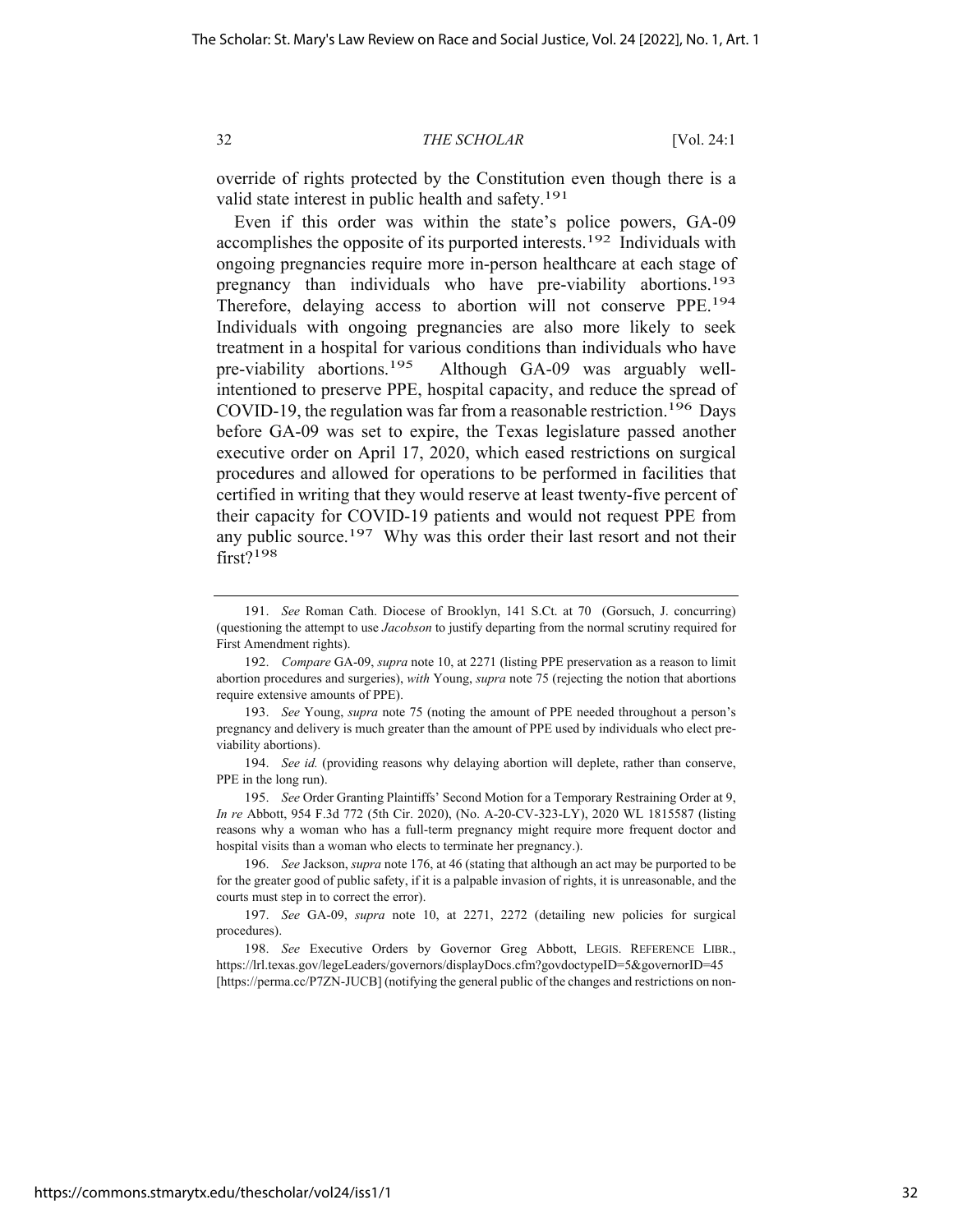override of rights protected by the Constitution even though there is a valid state interest in public health and safety.<sup>191</sup>

Even if this order was within the state's police powers, GA-09 accomplishes the opposite of its purported interests.192 Individuals with ongoing pregnancies require more in-person healthcare at each stage of pregnancy than individuals who have pre-viability abortions.193 Therefore, delaying access to abortion will not conserve PPE.194 Individuals with ongoing pregnancies are also more likely to seek treatment in a hospital for various conditions than individuals who have pre-viability abortions.195 Although GA-09 was arguably wellintentioned to preserve PPE, hospital capacity, and reduce the spread of COVID-19, the regulation was far from a reasonable restriction.196 Days before GA-09 was set to expire, the Texas legislature passed another executive order on April 17, 2020, which eased restrictions on surgical procedures and allowed for operations to be performed in facilities that certified in writing that they would reserve at least twenty-five percent of their capacity for COVID-19 patients and would not request PPE from any public source.<sup>197</sup> Why was this order their last resort and not their first?198

196. *See* Jackson, *supra* note 176, at 46 (stating that although an act may be purported to be for the greater good of public safety, if it is a palpable invasion of rights, it is unreasonable, and the courts must step in to correct the error).

197. *See* GA-09, *supra* note 10, at 2271, 2272 (detailing new policies for surgical procedures).

<sup>191.</sup> *See* Roman Cath. Diocese of Brooklyn, 141 S.Ct. at 70 (Gorsuch, J. concurring) (questioning the attempt to use *Jacobson* to justify departing from the normal scrutiny required for First Amendment rights).

<sup>192.</sup> *Compare* GA-09, *supra* note 10, at 2271 (listing PPE preservation as a reason to limit abortion procedures and surgeries), *with* Young, *supra* note 75 (rejecting the notion that abortions require extensive amounts of PPE).

<sup>193.</sup> *See* Young, *supra* note 75 (noting the amount of PPE needed throughout a person's pregnancy and delivery is much greater than the amount of PPE used by individuals who elect previability abortions).

<sup>194.</sup> *See id.* (providing reasons why delaying abortion will deplete, rather than conserve, PPE in the long run).

<sup>195.</sup> *See* Order Granting Plaintiffs' Second Motion for a Temporary Restraining Order at 9, *In re* Abbott, 954 F.3d 772 (5th Cir. 2020), (No. A-20-CV-323-LY), 2020 WL 1815587 (listing reasons why a woman who has a full-term pregnancy might require more frequent doctor and hospital visits than a woman who elects to terminate her pregnancy.).

<sup>198.</sup> *See* Executive Orders by Governor Greg Abbott, LEGIS. REFERENCE LIBR., https://lrl.texas.gov/legeLeaders/governors/displayDocs.cfm?govdoctypeID=5&governorID=45 [https://perma.cc/P7ZN-JUCB] (notifying the general public of the changes and restrictions on non-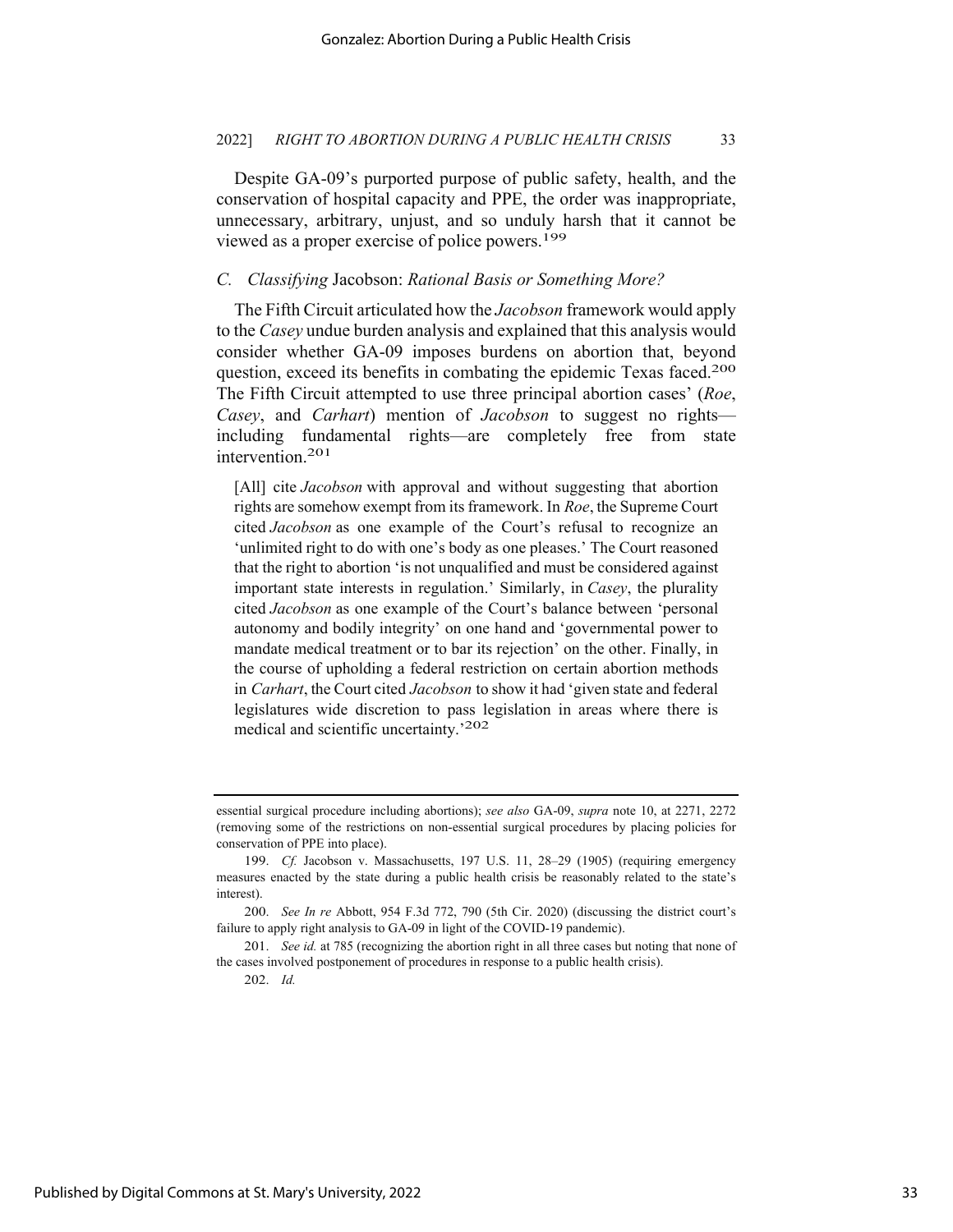Despite GA-09's purported purpose of public safety, health, and the conservation of hospital capacity and PPE, the order was inappropriate, unnecessary, arbitrary, unjust, and so unduly harsh that it cannot be viewed as a proper exercise of police powers.199

#### *C. Classifying* Jacobson: *Rational Basis or Something More?*

The Fifth Circuit articulated how the *Jacobson* framework would apply to the *Casey* undue burden analysis and explained that this analysis would consider whether GA-09 imposes burdens on abortion that, beyond question, exceed its benefits in combating the epidemic Texas faced.<sup>200</sup> The Fifth Circuit attempted to use three principal abortion cases' (*Roe*, *Casey*, and *Carhart*) mention of *Jacobson* to suggest no rights including fundamental rights—are completely free from state intervention.201

[All] cite *Jacobson* with approval and without suggesting that abortion rights are somehow exempt from its framework. In *Roe*, the Supreme Court cited *Jacobson* as one example of the Court's refusal to recognize an 'unlimited right to do with one's body as one pleases.' The Court reasoned that the right to abortion 'is not unqualified and must be considered against important state interests in regulation.' Similarly, in *Casey*, the plurality cited *Jacobson* as one example of the Court's balance between 'personal autonomy and bodily integrity' on one hand and 'governmental power to mandate medical treatment or to bar its rejection' on the other. Finally, in the course of upholding a federal restriction on certain abortion methods in *Carhart*, the Court cited *Jacobson* to show it had 'given state and federal legislatures wide discretion to pass legislation in areas where there is medical and scientific uncertainty.'202

202. *Id.* 

essential surgical procedure including abortions); *see also* GA-09, *supra* note 10, at 2271, 2272 (removing some of the restrictions on non-essential surgical procedures by placing policies for conservation of PPE into place).

<sup>199.</sup> *Cf.* Jacobson v. Massachusetts, 197 U.S. 11, 28–29 (1905) (requiring emergency measures enacted by the state during a public health crisis be reasonably related to the state's interest).

<sup>200.</sup> *See In re* Abbott, 954 F.3d 772, 790 (5th Cir. 2020) (discussing the district court's failure to apply right analysis to GA-09 in light of the COVID-19 pandemic).

<sup>201.</sup> *See id.* at 785 (recognizing the abortion right in all three cases but noting that none of the cases involved postponement of procedures in response to a public health crisis).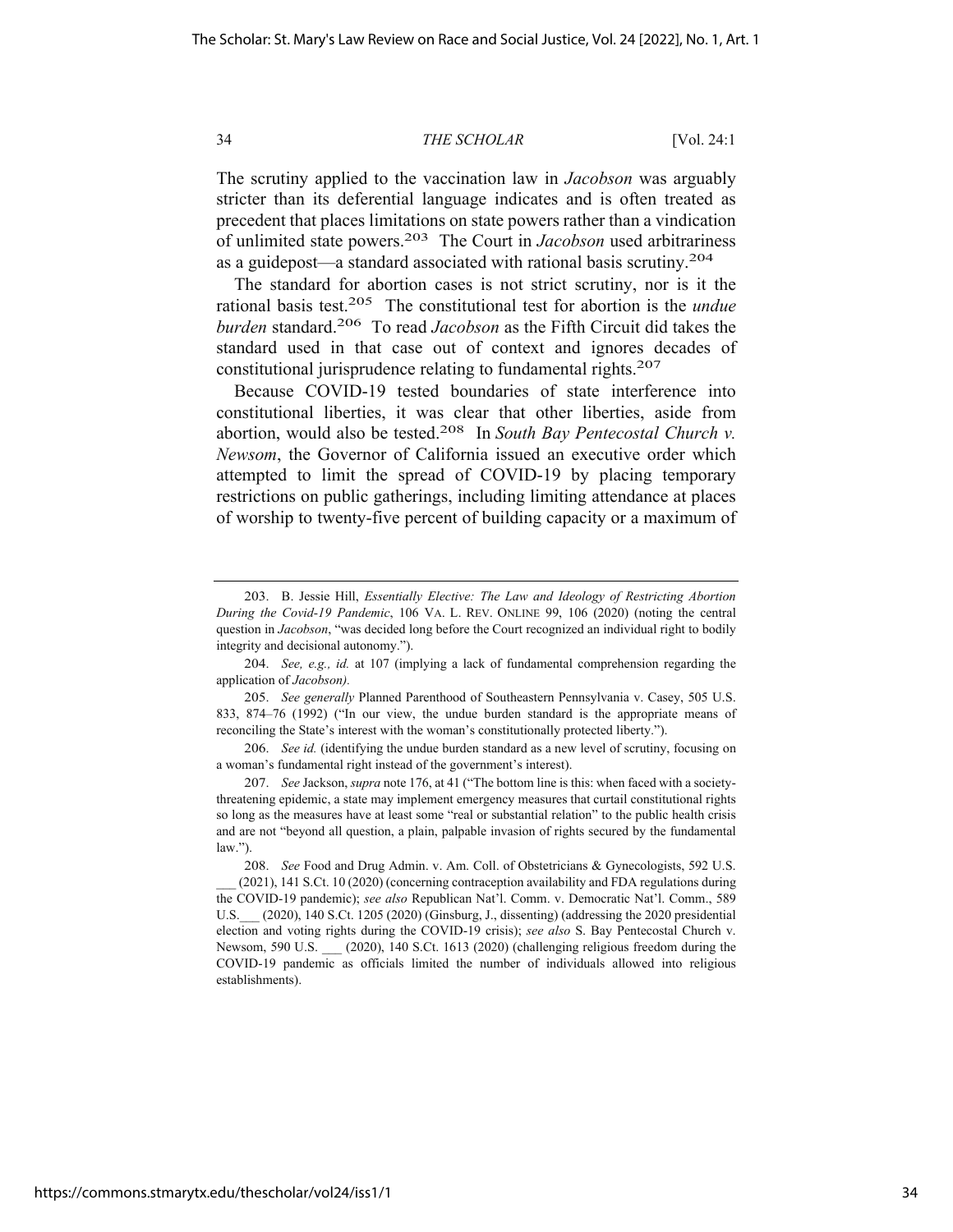The scrutiny applied to the vaccination law in *Jacobson* was arguably stricter than its deferential language indicates and is often treated as precedent that places limitations on state powers rather than a vindication of unlimited state powers.203 The Court in *Jacobson* used arbitrariness as a guidepost—a standard associated with rational basis scrutiny.204

The standard for abortion cases is not strict scrutiny, nor is it the rational basis test.205 The constitutional test for abortion is the *undue burden* standard.206 To read *Jacobson* as the Fifth Circuit did takes the standard used in that case out of context and ignores decades of constitutional jurisprudence relating to fundamental rights.207

Because COVID-19 tested boundaries of state interference into constitutional liberties, it was clear that other liberties, aside from abortion, would also be tested.208 In *South Bay Pentecostal Church v. Newsom*, the Governor of California issued an executive order which attempted to limit the spread of COVID-19 by placing temporary restrictions on public gatherings, including limiting attendance at places of worship to twenty-five percent of building capacity or a maximum of

<sup>203.</sup> B. Jessie Hill, *Essentially Elective: The Law and Ideology of Restricting Abortion During the Covid-19 Pandemic*, 106 VA. L. REV. ONLINE 99, 106 (2020) (noting the central question in *Jacobson*, "was decided long before the Court recognized an individual right to bodily integrity and decisional autonomy.").

<sup>204.</sup> *See, e.g., id.* at 107 (implying a lack of fundamental comprehension regarding the application of *Jacobson).*

<sup>205.</sup> *See generally* Planned Parenthood of Southeastern Pennsylvania v. Casey, 505 U.S. 833, 874–76 (1992) ("In our view, the undue burden standard is the appropriate means of reconciling the State's interest with the woman's constitutionally protected liberty.").

<sup>206.</sup> *See id.* (identifying the undue burden standard as a new level of scrutiny, focusing on a woman's fundamental right instead of the government's interest).

<sup>207.</sup> *See* Jackson, *supra* note 176, at 41 ("The bottom line is this: when faced with a societythreatening epidemic, a state may implement emergency measures that curtail constitutional rights so long as the measures have at least some "real or substantial relation" to the public health crisis and are not "beyond all question, a plain, palpable invasion of rights secured by the fundamental law.").

<sup>208.</sup> *See* Food and Drug Admin. v. Am. Coll. of Obstetricians & Gynecologists, 592 U.S. (2021), 141 S.Ct. 10 (2020) (concerning contraception availability and FDA regulations during the COVID-19 pandemic); *see also* Republican Nat'l. Comm. v. Democratic Nat'l. Comm., 589 U.S.\_\_\_ (2020), 140 S.Ct. 1205 (2020) (Ginsburg, J., dissenting) (addressing the 2020 presidential election and voting rights during the COVID-19 crisis); *see also* S. Bay Pentecostal Church v. Newsom, 590 U.S. (2020), 140 S.Ct. 1613 (2020) (challenging religious freedom during the COVID-19 pandemic as officials limited the number of individuals allowed into religious establishments).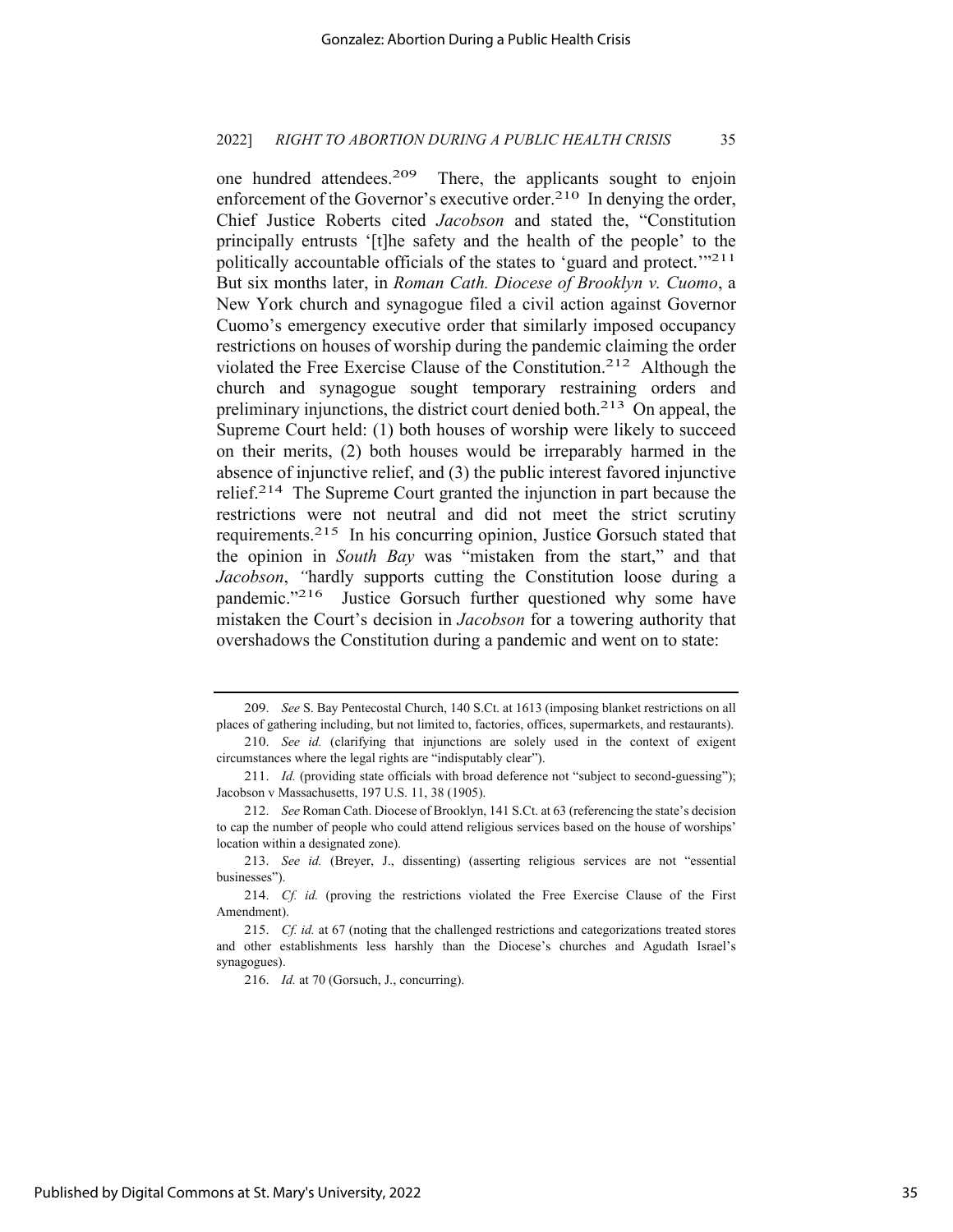one hundred attendees.209 There, the applicants sought to enjoin enforcement of the Governor's executive order.<sup>210</sup> In denying the order, Chief Justice Roberts cited *Jacobson* and stated the, "Constitution principally entrusts '[t]he safety and the health of the people' to the politically accountable officials of the states to 'guard and protect."<sup>211</sup> But six months later, in *Roman Cath. Diocese of Brooklyn v. Cuomo*, a New York church and synagogue filed a civil action against Governor Cuomo's emergency executive order that similarly imposed occupancy restrictions on houses of worship during the pandemic claiming the order violated the Free Exercise Clause of the Constitution.212 Although the church and synagogue sought temporary restraining orders and preliminary injunctions, the district court denied both.213 On appeal, the Supreme Court held: (1) both houses of worship were likely to succeed on their merits, (2) both houses would be irreparably harmed in the absence of injunctive relief, and (3) the public interest favored injunctive relief.<sup>214</sup> The Supreme Court granted the injunction in part because the restrictions were not neutral and did not meet the strict scrutiny requirements.215 In his concurring opinion, Justice Gorsuch stated that the opinion in *South Bay* was "mistaken from the start," and that *Jacobson*, *"*hardly supports cutting the Constitution loose during a pandemic."216 Justice Gorsuch further questioned why some have mistaken the Court's decision in *Jacobson* for a towering authority that overshadows the Constitution during a pandemic and went on to state:

<sup>209.</sup> *See* S. Bay Pentecostal Church, 140 S.Ct. at 1613 (imposing blanket restrictions on all places of gathering including, but not limited to, factories, offices, supermarkets, and restaurants).

<sup>210.</sup> *See id.* (clarifying that injunctions are solely used in the context of exigent circumstances where the legal rights are "indisputably clear").

<sup>211.</sup> *Id.* (providing state officials with broad deference not "subject to second-guessing"); Jacobson v Massachusetts, 197 U.S. 11, 38 (1905).

<sup>212.</sup> *See* Roman Cath. Diocese of Brooklyn, 141 S.Ct. at 63 (referencing the state's decision to cap the number of people who could attend religious services based on the house of worships' location within a designated zone).

<sup>213.</sup> *See id.* (Breyer, J., dissenting) (asserting religious services are not "essential businesses").

<sup>214.</sup> *Cf. id.* (proving the restrictions violated the Free Exercise Clause of the First Amendment).

<sup>215.</sup> *Cf. id.* at 67 (noting that the challenged restrictions and categorizations treated stores and other establishments less harshly than the Diocese's churches and Agudath Israel's synagogues).

<sup>216.</sup> *Id.* at 70 (Gorsuch, J., concurring).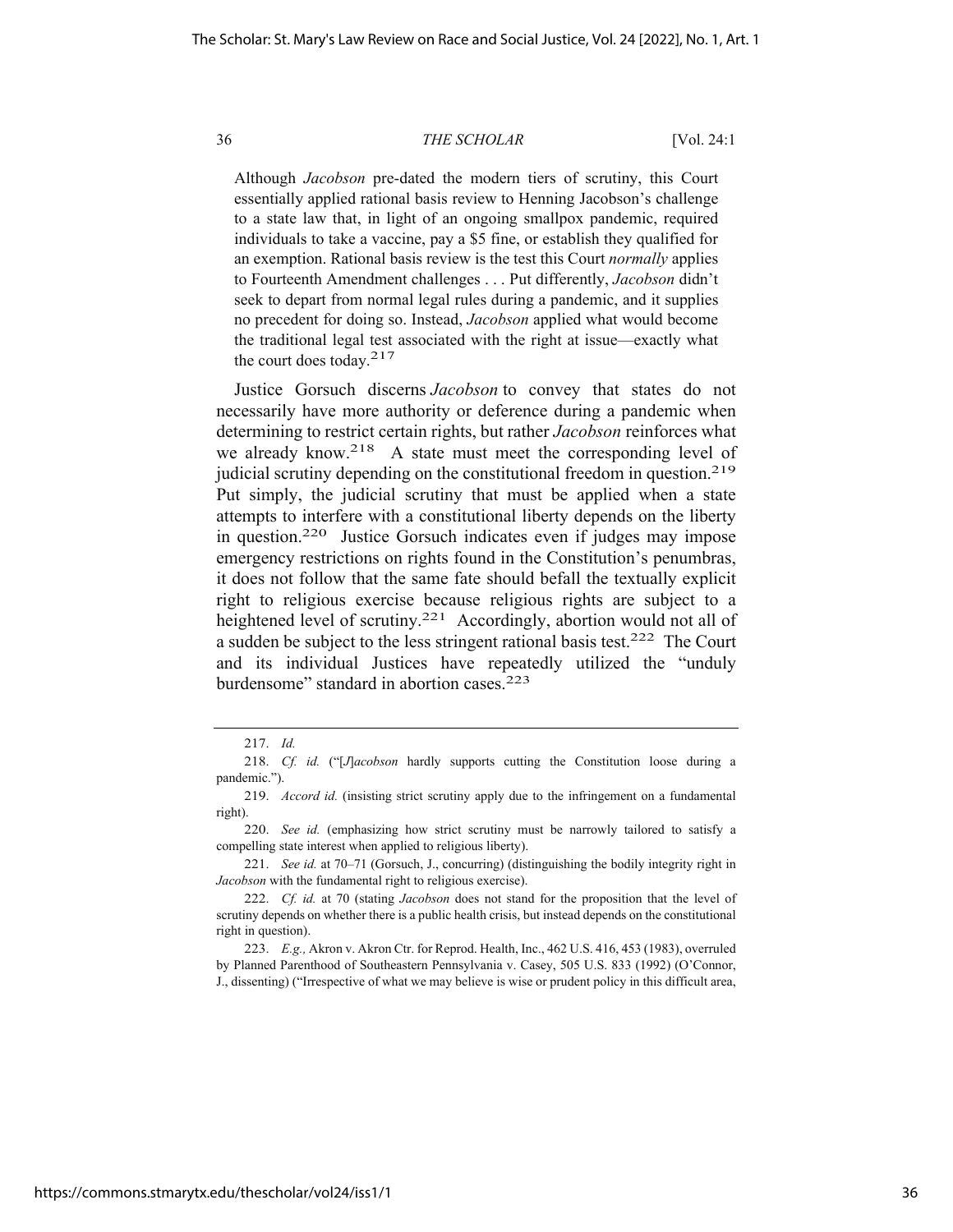Although *Jacobson* pre-dated the modern tiers of scrutiny, this Court essentially applied rational basis review to Henning Jacobson's challenge to a state law that, in light of an ongoing smallpox pandemic, required individuals to take a vaccine, pay a \$5 fine, or establish they qualified for an exemption. Rational basis review is the test this Court *normally* applies to Fourteenth Amendment challenges . . . Put differently, *Jacobson* didn't seek to depart from normal legal rules during a pandemic, and it supplies no precedent for doing so. Instead, *Jacobson* applied what would become the traditional legal test associated with the right at issue—exactly what the court does today.217

Justice Gorsuch discerns *Jacobson* to convey that states do not necessarily have more authority or deference during a pandemic when determining to restrict certain rights, but rather *Jacobson* reinforces what we already know.218 A state must meet the corresponding level of judicial scrutiny depending on the constitutional freedom in question.219 Put simply, the judicial scrutiny that must be applied when a state attempts to interfere with a constitutional liberty depends on the liberty in question.220 Justice Gorsuch indicates even if judges may impose emergency restrictions on rights found in the Constitution's penumbras, it does not follow that the same fate should befall the textually explicit right to religious exercise because religious rights are subject to a heightened level of scrutiny.<sup>221</sup> Accordingly, abortion would not all of a sudden be subject to the less stringent rational basis test.222 The Court and its individual Justices have repeatedly utilized the "unduly burdensome" standard in abortion cases.<sup>223</sup>

<sup>217.</sup> *Id.*

<sup>218.</sup> *Cf. id.* ("[*J*]*acobson* hardly supports cutting the Constitution loose during a pandemic.").

<sup>219.</sup> *Accord id.* (insisting strict scrutiny apply due to the infringement on a fundamental right).

<sup>220.</sup> *See id.* (emphasizing how strict scrutiny must be narrowly tailored to satisfy a compelling state interest when applied to religious liberty).

<sup>221.</sup> *See id.* at 70–71 (Gorsuch, J., concurring) (distinguishing the bodily integrity right in *Jacobson* with the fundamental right to religious exercise).

<sup>222.</sup> *Cf. id.* at 70 (stating *Jacobson* does not stand for the proposition that the level of scrutiny depends on whether there is a public health crisis, but instead depends on the constitutional right in question).

<sup>223.</sup> *E.g.,* Akron v. Akron Ctr. for Reprod. Health, Inc., 462 U.S. 416, 453 (1983), overruled by Planned Parenthood of Southeastern Pennsylvania v. Casey, 505 U.S. 833 (1992) (O'Connor, J., dissenting) ("Irrespective of what we may believe is wise or prudent policy in this difficult area,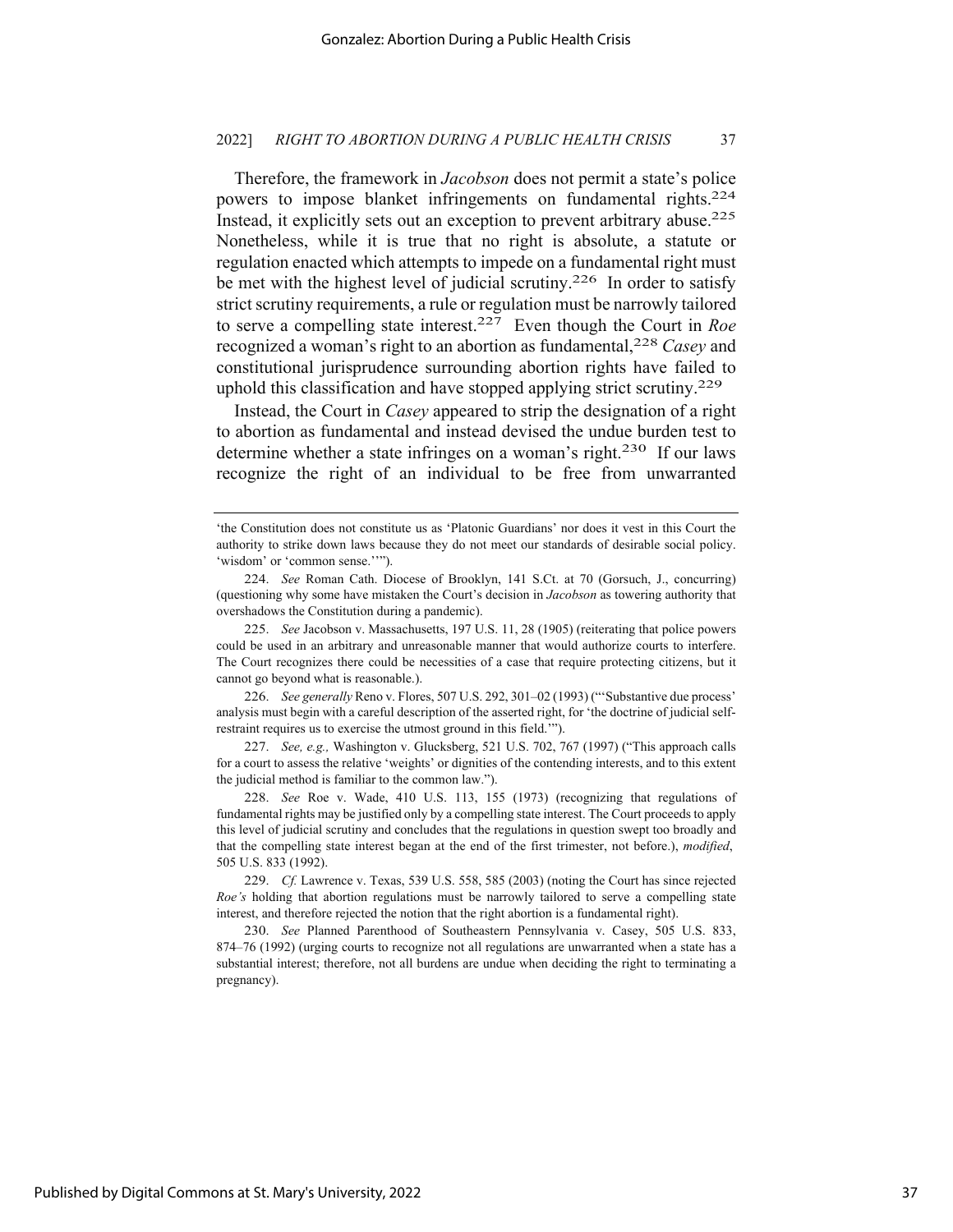Therefore, the framework in *Jacobson* does not permit a state's police powers to impose blanket infringements on fundamental rights.224 Instead, it explicitly sets out an exception to prevent arbitrary abuse.<sup>225</sup> Nonetheless, while it is true that no right is absolute, a statute or regulation enacted which attempts to impede on a fundamental right must be met with the highest level of judicial scrutiny.<sup>226</sup> In order to satisfy strict scrutiny requirements, a rule or regulation must be narrowly tailored to serve a compelling state interest.227 Even though the Court in *Roe* recognized a woman's right to an abortion as fundamental,228 *Casey* and constitutional jurisprudence surrounding abortion rights have failed to uphold this classification and have stopped applying strict scrutiny.229

Instead, the Court in *Casey* appeared to strip the designation of a right to abortion as fundamental and instead devised the undue burden test to determine whether a state infringes on a woman's right.<sup>230</sup> If our laws recognize the right of an individual to be free from unwarranted

226. *See generally* Reno v. Flores, 507 U.S. 292, 301–02 (1993) ("'Substantive due process' analysis must begin with a careful description of the asserted right, for 'the doctrine of judicial selfrestraint requires us to exercise the utmost ground in this field.'").

227. *See, e.g.,* Washington v. Glucksberg, 521 U.S. 702, 767 (1997) ("This approach calls for a court to assess the relative 'weights' or dignities of the contending interests, and to this extent the judicial method is familiar to the common law.").

<sup>&#</sup>x27;the Constitution does not constitute us as 'Platonic Guardians' nor does it vest in this Court the authority to strike down laws because they do not meet our standards of desirable social policy. 'wisdom' or 'common sense.''").

<sup>224.</sup> *See* Roman Cath. Diocese of Brooklyn, 141 S.Ct. at 70 (Gorsuch, J., concurring) (questioning why some have mistaken the Court's decision in *Jacobson* as towering authority that overshadows the Constitution during a pandemic).

<sup>225.</sup> *See* Jacobson v. Massachusetts, 197 U.S. 11, 28 (1905) (reiterating that police powers could be used in an arbitrary and unreasonable manner that would authorize courts to interfere. The Court recognizes there could be necessities of a case that require protecting citizens, but it cannot go beyond what is reasonable.).

<sup>228.</sup> *See* Roe v. Wade, 410 U.S. 113, 155 (1973) (recognizing that regulations of fundamental rights may be justified only by a compelling state interest. The Court proceeds to apply this level of judicial scrutiny and concludes that the regulations in question swept too broadly and that the compelling state interest began at the end of the first trimester, not before.), *modified*, 505 U.S. 833 (1992).

<sup>229.</sup> *Cf.* Lawrence v. Texas, 539 U.S. 558, 585 (2003) (noting the Court has since rejected *Roe's* holding that abortion regulations must be narrowly tailored to serve a compelling state interest, and therefore rejected the notion that the right abortion is a fundamental right).

<sup>230.</sup> *See* Planned Parenthood of Southeastern Pennsylvania v. Casey, 505 U.S. 833, 874–76 (1992) (urging courts to recognize not all regulations are unwarranted when a state has a substantial interest; therefore, not all burdens are undue when deciding the right to terminating a pregnancy).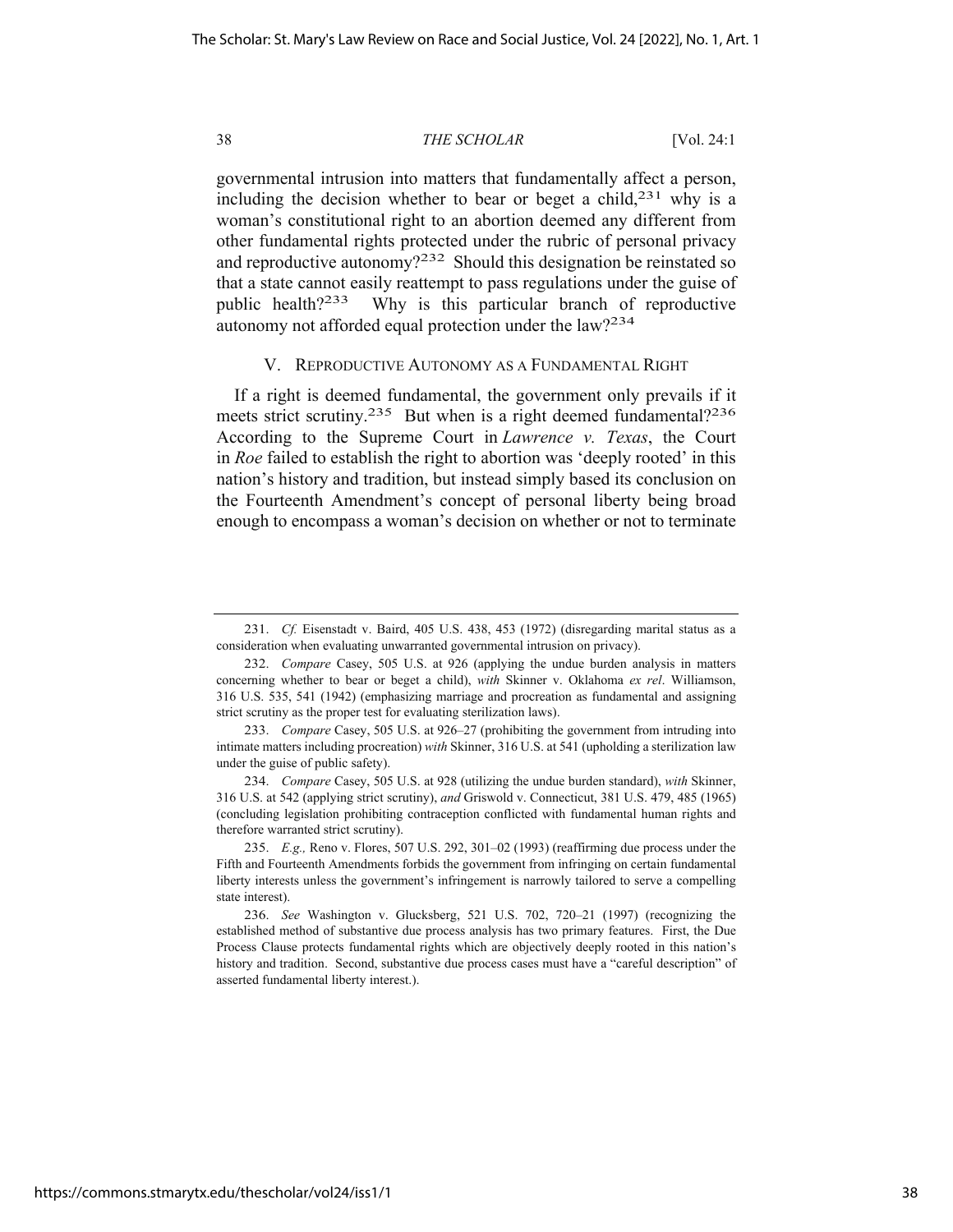governmental intrusion into matters that fundamentally affect a person, including the decision whether to bear or beget a child, $231$  why is a woman's constitutional right to an abortion deemed any different from other fundamental rights protected under the rubric of personal privacy and reproductive autonomy?<sup>232</sup> Should this designation be reinstated so that a state cannot easily reattempt to pass regulations under the guise of public health?<sup>233</sup> Why is this particular branch of reproductive autonomy not afforded equal protection under the law?234

#### V. REPRODUCTIVE AUTONOMY AS A FUNDAMENTAL RIGHT

If a right is deemed fundamental, the government only prevails if it meets strict scrutiny.<sup>235</sup> But when is a right deemed fundamental?<sup>236</sup> According to the Supreme Court in *Lawrence v. Texas*, the Court in *Roe* failed to establish the right to abortion was 'deeply rooted' in this nation's history and tradition, but instead simply based its conclusion on the Fourteenth Amendment's concept of personal liberty being broad enough to encompass a woman's decision on whether or not to terminate

<sup>231.</sup> *Cf.* Eisenstadt v. Baird, 405 U.S. 438, 453 (1972) (disregarding marital status as a consideration when evaluating unwarranted governmental intrusion on privacy).

<sup>232.</sup> *Compare* Casey, 505 U.S. at 926 (applying the undue burden analysis in matters concerning whether to bear or beget a child), *with* Skinner v. Oklahoma *ex rel*. Williamson, 316 U.S. 535, 541 (1942) (emphasizing marriage and procreation as fundamental and assigning strict scrutiny as the proper test for evaluating sterilization laws).

<sup>233.</sup> *Compare* Casey, 505 U.S. at 926–27 (prohibiting the government from intruding into intimate matters including procreation) *with* Skinner, 316 U.S. at 541 (upholding a sterilization law under the guise of public safety).

<sup>234.</sup> *Compare* Casey, 505 U.S. at 928 (utilizing the undue burden standard), *with* Skinner, 316 U.S. at 542 (applying strict scrutiny), *and* Griswold v. Connecticut, 381 U.S. 479, 485 (1965) (concluding legislation prohibiting contraception conflicted with fundamental human rights and therefore warranted strict scrutiny).

<sup>235.</sup> *E.g.,* Reno v. Flores, 507 U.S. 292, 301–02 (1993) (reaffirming due process under the Fifth and Fourteenth Amendments forbids the government from infringing on certain fundamental liberty interests unless the government's infringement is narrowly tailored to serve a compelling state interest).

<sup>236.</sup> *See* Washington v. Glucksberg, 521 U.S. 702, 720–21 (1997) (recognizing the established method of substantive due process analysis has two primary features. First, the Due Process Clause protects fundamental rights which are objectively deeply rooted in this nation's history and tradition. Second, substantive due process cases must have a "careful description" of asserted fundamental liberty interest.).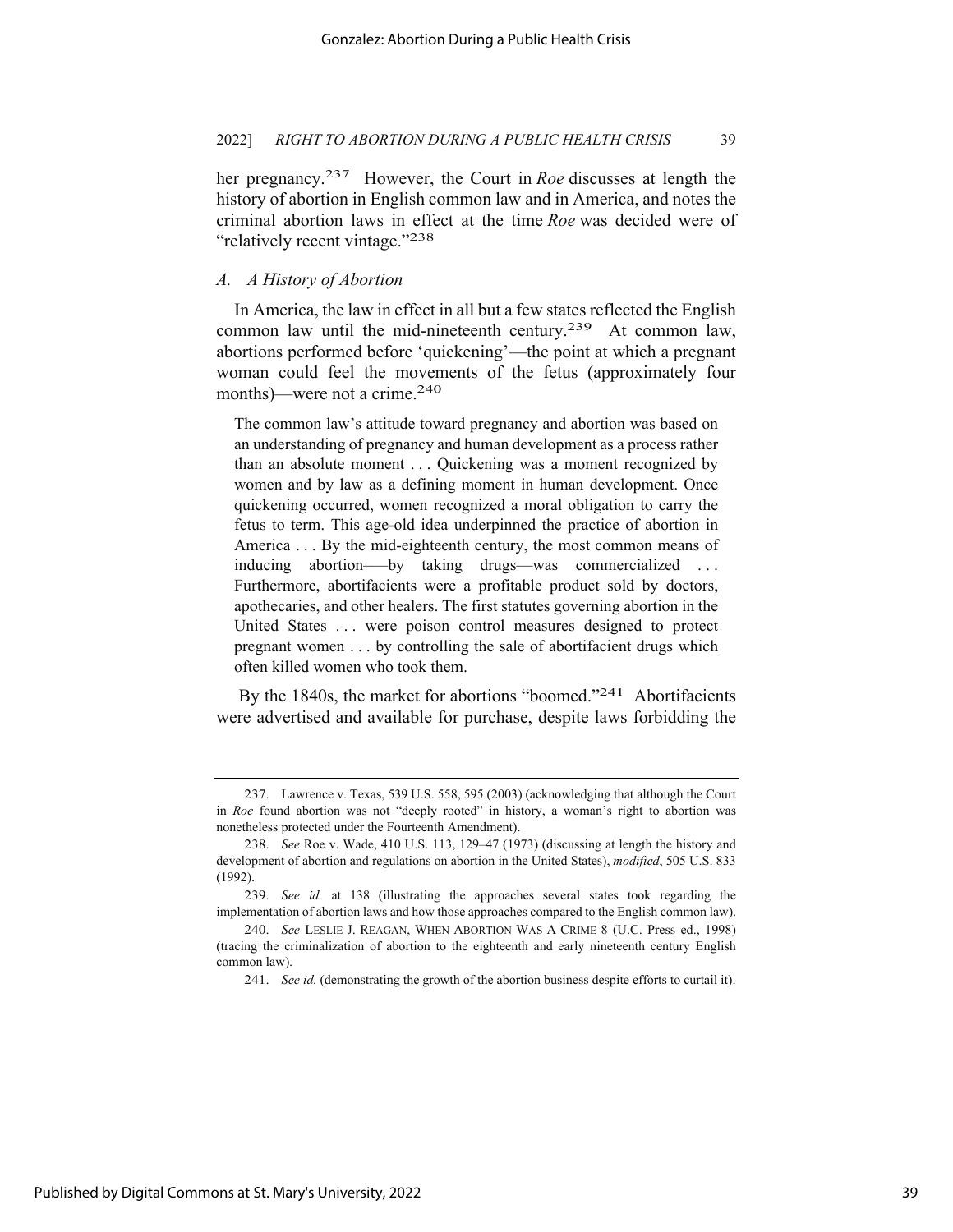her pregnancy.237 However, the Court in *Roe* discusses at length the history of abortion in English common law and in America, and notes the criminal abortion laws in effect at the time *Roe* was decided were of "relatively recent vintage."<sup>238</sup>

## *A. A History of Abortion*

In America, the law in effect in all but a few states reflected the English common law until the mid-nineteenth century.<sup>239</sup> At common law, abortions performed before 'quickening'—the point at which a pregnant woman could feel the movements of the fetus (approximately four months)—were not a crime.<sup>240</sup>

The common law's attitude toward pregnancy and abortion was based on an understanding of pregnancy and human development as a process rather than an absolute moment . . . Quickening was a moment recognized by women and by law as a defining moment in human development. Once quickening occurred, women recognized a moral obligation to carry the fetus to term. This age-old idea underpinned the practice of abortion in America . . . By the mid-eighteenth century, the most common means of inducing abortion–—by taking drugs—was commercialized . . . Furthermore, abortifacients were a profitable product sold by doctors, apothecaries, and other healers. The first statutes governing abortion in the United States ... were poison control measures designed to protect pregnant women . . . by controlling the sale of abortifacient drugs which often killed women who took them.

By the 1840s, the market for abortions "boomed."<sup>241</sup> Abortifacients were advertised and available for purchase, despite laws forbidding the

<sup>237.</sup> Lawrence v. Texas, 539 U.S. 558, 595 (2003) (acknowledging that although the Court in *Roe* found abortion was not "deeply rooted" in history, a woman's right to abortion was nonetheless protected under the Fourteenth Amendment).

<sup>238.</sup> *See* Roe v. Wade, 410 U.S. 113, 129–47 (1973) (discussing at length the history and development of abortion and regulations on abortion in the United States), *modified*, 505 U.S. 833 (1992).

<sup>239.</sup> *See id.* at 138 (illustrating the approaches several states took regarding the implementation of abortion laws and how those approaches compared to the English common law).

<sup>240.</sup> *See* LESLIE J. REAGAN, WHEN ABORTION WAS A CRIME 8 (U.C. Press ed., 1998) (tracing the criminalization of abortion to the eighteenth and early nineteenth century English common law).

<sup>241.</sup> *See id.* (demonstrating the growth of the abortion business despite efforts to curtail it).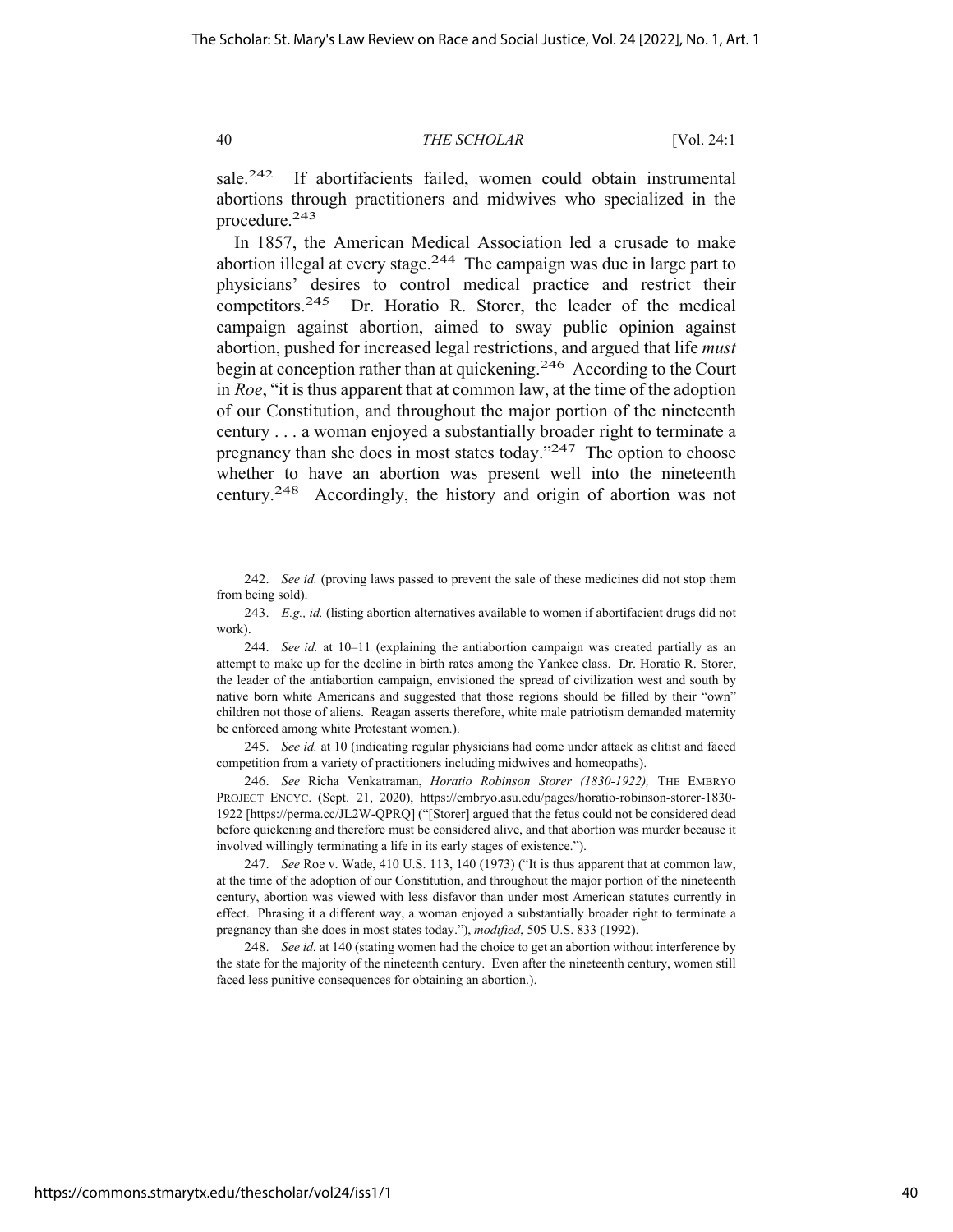sale.<sup>242</sup> If abortifacients failed, women could obtain instrumental abortions through practitioners and midwives who specialized in the procedure.243

In 1857, the American Medical Association led a crusade to make abortion illegal at every stage.<sup>244</sup> The campaign was due in large part to physicians' desires to control medical practice and restrict their competitors.245 Dr. Horatio R. Storer, the leader of the medical campaign against abortion, aimed to sway public opinion against abortion, pushed for increased legal restrictions, and argued that life *must* begin at conception rather than at quickening.246 According to the Court in *Roe*, "it is thus apparent that at common law, at the time of the adoption of our Constitution, and throughout the major portion of the nineteenth century . . . a woman enjoyed a substantially broader right to terminate a pregnancy than she does in most states today."247 The option to choose whether to have an abortion was present well into the nineteenth century.248 Accordingly, the history and origin of abortion was not

245. *See id.* at 10 (indicating regular physicians had come under attack as elitist and faced competition from a variety of practitioners including midwives and homeopaths).

246. *See* Richa Venkatraman, *Horatio Robinson Storer (1830-1922),* THE EMBRYO PROJECT ENCYC. (Sept. 21, 2020), https://embryo.asu.edu/pages/horatio-robinson-storer-1830- 1922 [https://perma.cc/JL2W-QPRQ] ("[Storer] argued that the fetus could not be considered dead before quickening and therefore must be considered alive, and that abortion was murder because it involved willingly terminating a life in its early stages of existence.").

247. *See* Roe v. Wade, 410 U.S. 113, 140 (1973) ("It is thus apparent that at common law, at the time of the adoption of our Constitution, and throughout the major portion of the nineteenth century, abortion was viewed with less disfavor than under most American statutes currently in effect. Phrasing it a different way, a woman enjoyed a substantially broader right to terminate a pregnancy than she does in most states today."), *modified*, 505 U.S. 833 (1992).

248. *See id.* at 140 (stating women had the choice to get an abortion without interference by the state for the majority of the nineteenth century. Even after the nineteenth century, women still faced less punitive consequences for obtaining an abortion.).

<sup>242.</sup> *See id.* (proving laws passed to prevent the sale of these medicines did not stop them from being sold).

<sup>243.</sup> *E.g., id.* (listing abortion alternatives available to women if abortifacient drugs did not work).

<sup>244.</sup> *See id.* at 10–11 (explaining the antiabortion campaign was created partially as an attempt to make up for the decline in birth rates among the Yankee class. Dr. Horatio R. Storer, the leader of the antiabortion campaign, envisioned the spread of civilization west and south by native born white Americans and suggested that those regions should be filled by their "own" children not those of aliens. Reagan asserts therefore, white male patriotism demanded maternity be enforced among white Protestant women.).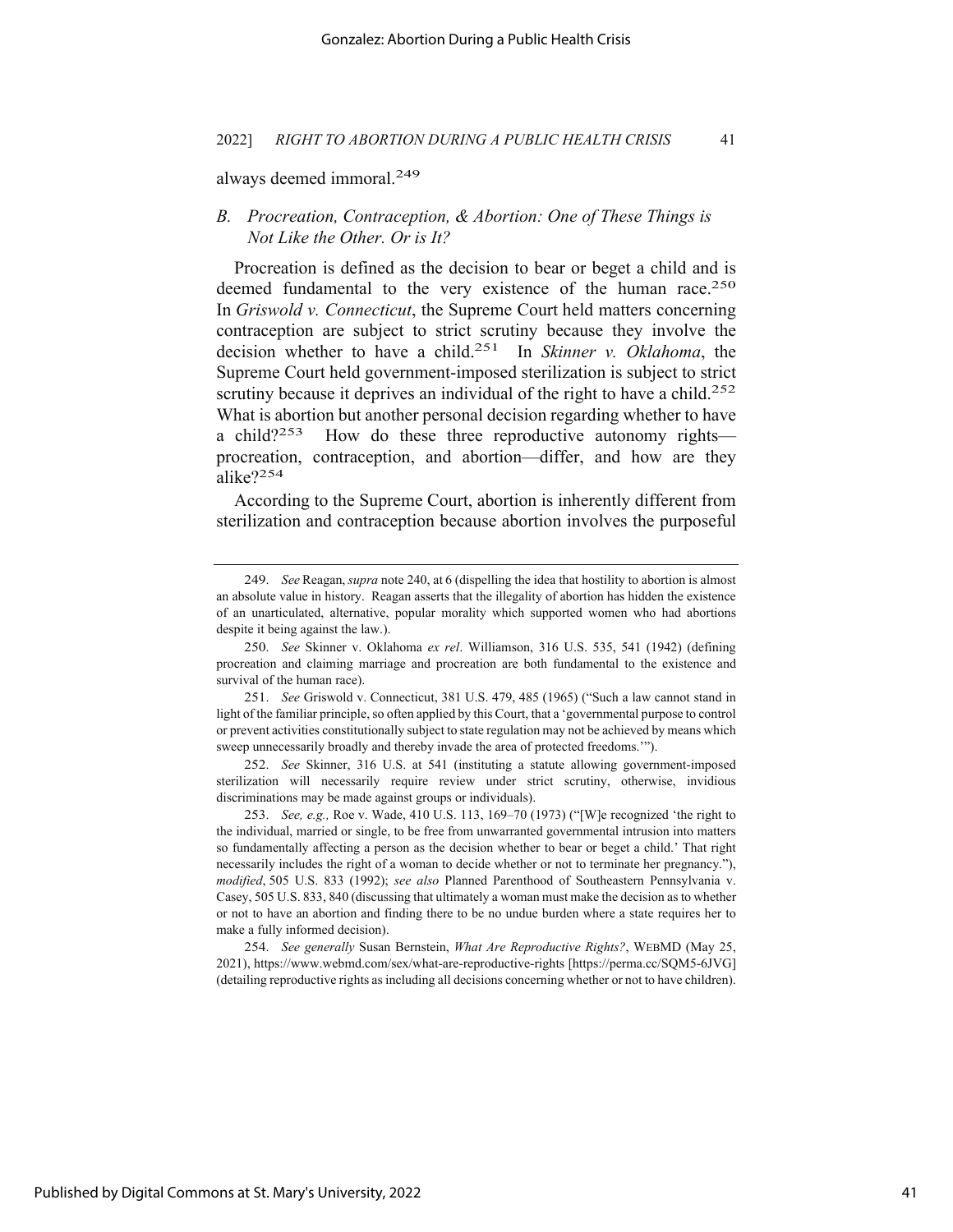always deemed immoral.249

### *B. Procreation, Contraception, & Abortion: One of These Things is Not Like the Other. Or is It?*

Procreation is defined as the decision to bear or beget a child and is deemed fundamental to the very existence of the human race.<sup>250</sup> In *Griswold v. Connecticut*, the Supreme Court held matters concerning contraception are subject to strict scrutiny because they involve the decision whether to have a child.251 In *Skinner v. Oklahoma*, the Supreme Court held government-imposed sterilization is subject to strict scrutiny because it deprives an individual of the right to have a child.<sup>252</sup> What is abortion but another personal decision regarding whether to have a child? $253$  How do these three reproductive autonomy rights procreation, contraception, and abortion—differ, and how are they alike?254

According to the Supreme Court, abortion is inherently different from sterilization and contraception because abortion involves the purposeful

252. *See* Skinner, 316 U.S. at 541 (instituting a statute allowing government-imposed sterilization will necessarily require review under strict scrutiny, otherwise, invidious discriminations may be made against groups or individuals).

Published by Digital Commons at St. Mary's University, 2022

<sup>249.</sup> *See* Reagan,*supra* note 240, at 6 (dispelling the idea that hostility to abortion is almost an absolute value in history. Reagan asserts that the illegality of abortion has hidden the existence of an unarticulated, alternative, popular morality which supported women who had abortions despite it being against the law.).

<sup>250.</sup> *See* Skinner v. Oklahoma *ex rel*. Williamson, 316 U.S. 535, 541 (1942) (defining procreation and claiming marriage and procreation are both fundamental to the existence and survival of the human race).

<sup>251.</sup> *See* Griswold v. Connecticut, 381 U.S. 479, 485 (1965) ("Such a law cannot stand in light of the familiar principle, so often applied by this Court, that a 'governmental purpose to control or prevent activities constitutionally subject to state regulation may not be achieved by means which sweep unnecessarily broadly and thereby invade the area of protected freedoms.'").

<sup>253.</sup> *See, e.g.,* Roe v. Wade, 410 U.S. 113, 169–70 (1973) ("[W]e recognized 'the right to the individual, married or single, to be free from unwarranted governmental intrusion into matters so fundamentally affecting a person as the decision whether to bear or beget a child.' That right necessarily includes the right of a woman to decide whether or not to terminate her pregnancy."), *modified*, 505 U.S. 833 (1992); *see also* Planned Parenthood of Southeastern Pennsylvania v. Casey, 505 U.S. 833, 840 (discussing that ultimately a woman must make the decision as to whether or not to have an abortion and finding there to be no undue burden where a state requires her to make a fully informed decision).

<sup>254.</sup> *See generally* Susan Bernstein, *What Are Reproductive Rights?*, WEBMD (May 25, 2021), https://www.webmd.com/sex/what-are-reproductive-rights [https://perma.cc/SQM5-6JVG] (detailing reproductive rights as including all decisions concerning whether or not to have children).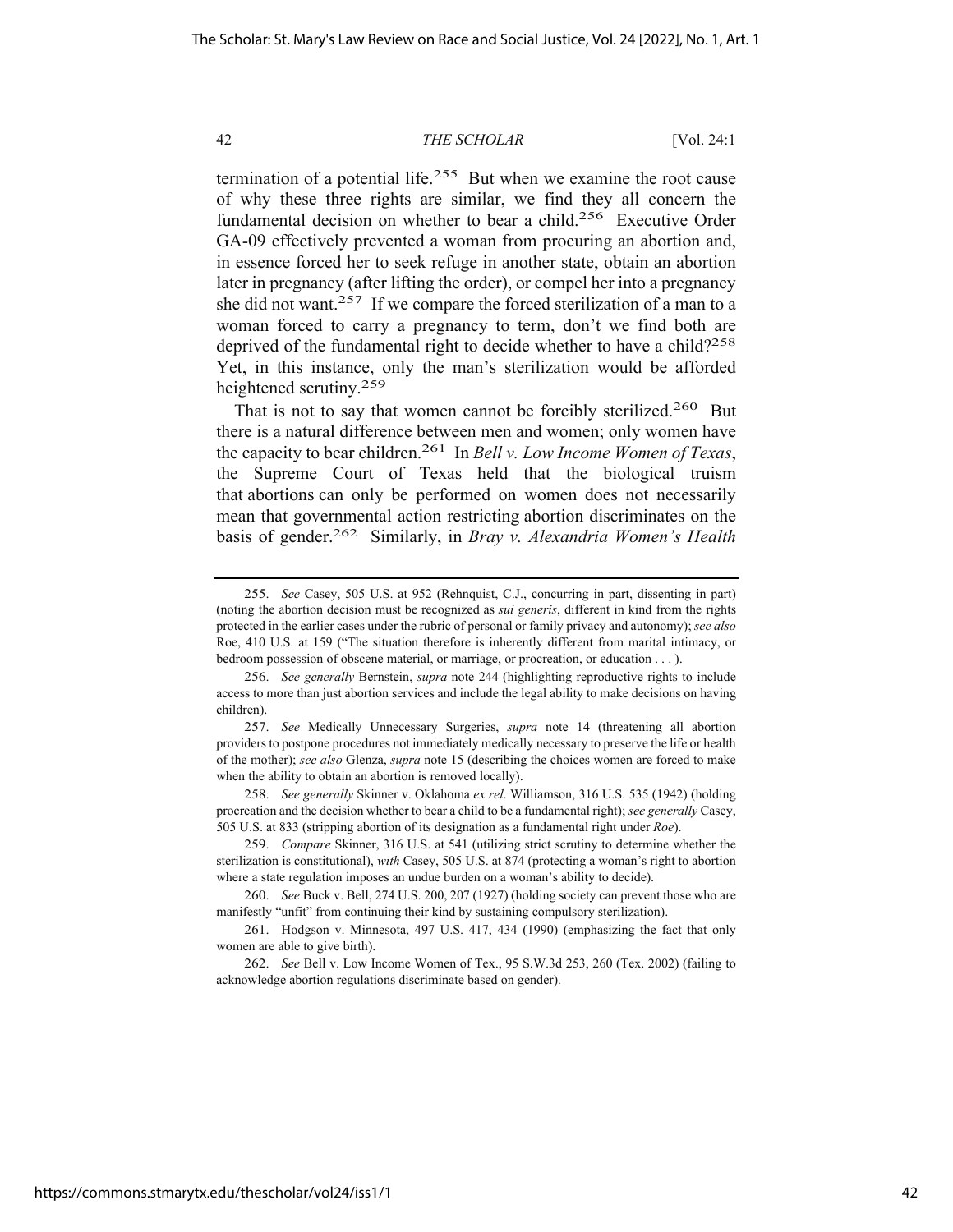termination of a potential life.<sup>255</sup> But when we examine the root cause of why these three rights are similar, we find they all concern the fundamental decision on whether to bear a child.256 Executive Order GA-09 effectively prevented a woman from procuring an abortion and, in essence forced her to seek refuge in another state, obtain an abortion later in pregnancy (after lifting the order), or compel her into a pregnancy she did not want.<sup>257</sup> If we compare the forced sterilization of a man to a woman forced to carry a pregnancy to term, don't we find both are deprived of the fundamental right to decide whether to have a child?<sup>258</sup> Yet, in this instance, only the man's sterilization would be afforded heightened scrutiny.<sup>259</sup>

That is not to say that women cannot be forcibly sterilized.<sup>260</sup> But there is a natural difference between men and women; only women have the capacity to bear children.261 In *Bell v. Low Income Women of Texas*, the Supreme Court of Texas held that the biological truism that abortions can only be performed on women does not necessarily mean that governmental action restricting abortion discriminates on the basis of gender.262 Similarly, in *Bray v. Alexandria Women's Health* 

258. *See generally* Skinner v. Oklahoma *ex rel*. Williamson, 316 U.S. 535 (1942) (holding procreation and the decision whether to bear a child to be a fundamental right); *see generally* Casey, 505 U.S. at 833 (stripping abortion of its designation as a fundamental right under *Roe*).

<sup>255.</sup> *See* Casey, 505 U.S. at 952 (Rehnquist, C.J., concurring in part, dissenting in part) (noting the abortion decision must be recognized as *sui generis*, different in kind from the rights protected in the earlier cases under the rubric of personal or family privacy and autonomy); *see also*  Roe, 410 U.S. at 159 ("The situation therefore is inherently different from marital intimacy, or bedroom possession of obscene material, or marriage, or procreation, or education . . . ).

<sup>256.</sup> *See generally* Bernstein, *supra* note 244 (highlighting reproductive rights to include access to more than just abortion services and include the legal ability to make decisions on having children).

<sup>257.</sup> *See* Medically Unnecessary Surgeries, *supra* note 14 (threatening all abortion providers to postpone procedures not immediately medically necessary to preserve the life or health of the mother); *see also* Glenza, *supra* note 15 (describing the choices women are forced to make when the ability to obtain an abortion is removed locally).

<sup>259.</sup> *Compare* Skinner, 316 U.S. at 541 (utilizing strict scrutiny to determine whether the sterilization is constitutional), *with* Casey, 505 U.S. at 874 (protecting a woman's right to abortion where a state regulation imposes an undue burden on a woman's ability to decide).

<sup>260.</sup> *See* Buck v. Bell, 274 U.S. 200, 207 (1927) (holding society can prevent those who are manifestly "unfit" from continuing their kind by sustaining compulsory sterilization).

<sup>261.</sup> Hodgson v. Minnesota, 497 U.S. 417, 434 (1990) (emphasizing the fact that only women are able to give birth).

<sup>262.</sup> *See* Bell v. Low Income Women of Tex., 95 S.W.3d 253, 260 (Tex. 2002) (failing to acknowledge abortion regulations discriminate based on gender).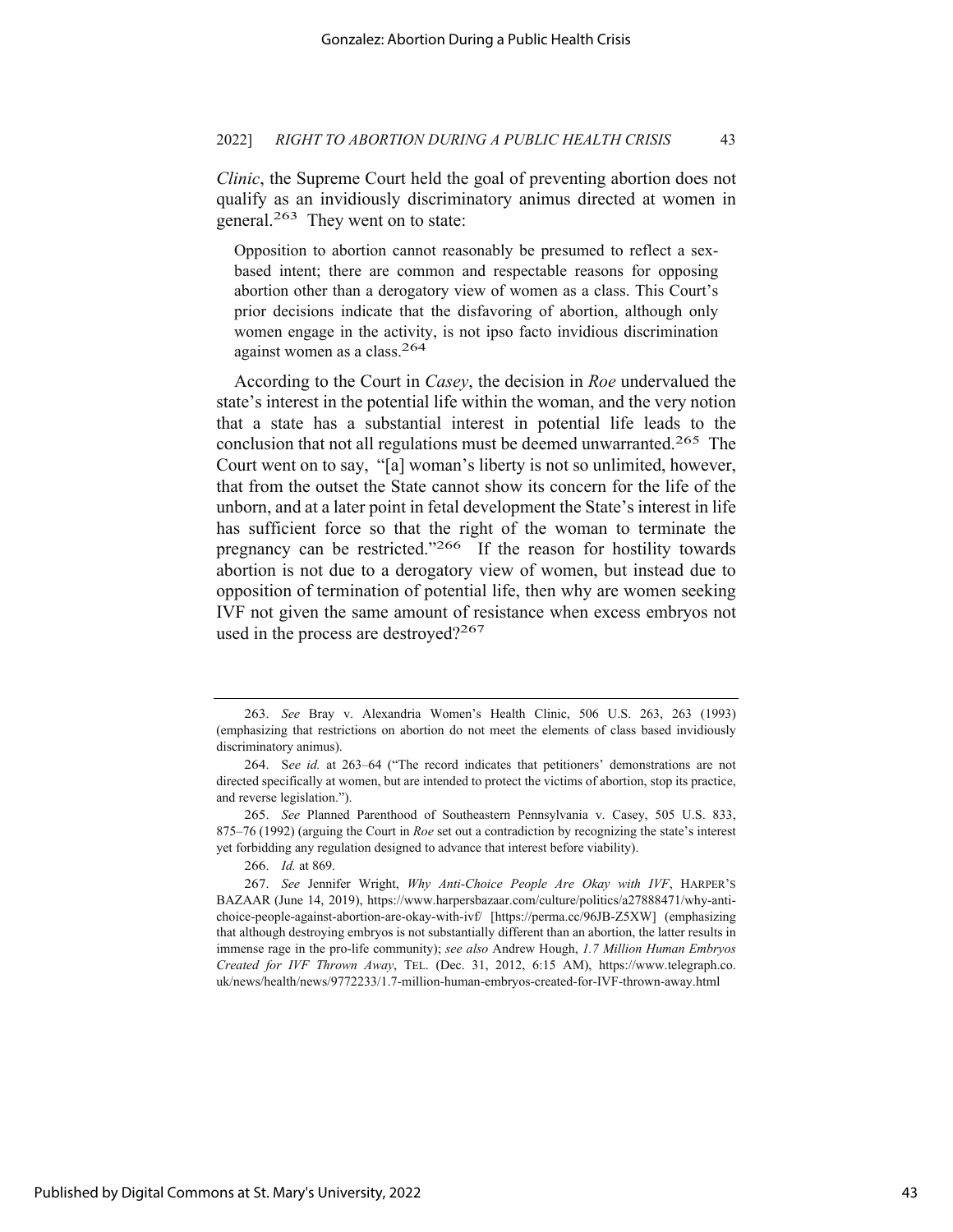*Clinic*, the Supreme Court held the goal of preventing abortion does not qualify as an invidiously discriminatory animus directed at women in general.263 They went on to state:

Opposition to abortion cannot reasonably be presumed to reflect a sexbased intent; there are common and respectable reasons for opposing abortion other than a derogatory view of women as a class. This Court's prior decisions indicate that the disfavoring of abortion, although only women engage in the activity, is not ipso facto invidious discrimination against women as a class.264

According to the Court in *Casey*, the decision in *Roe* undervalued the state's interest in the potential life within the woman, and the very notion that a state has a substantial interest in potential life leads to the conclusion that not all regulations must be deemed unwarranted.265 The Court went on to say, "[a] woman's liberty is not so unlimited, however, that from the outset the State cannot show its concern for the life of the unborn, and at a later point in fetal development the State's interest in life has sufficient force so that the right of the woman to terminate the pregnancy can be restricted."<sup>266</sup> If the reason for hostility towards abortion is not due to a derogatory view of women, but instead due to opposition of termination of potential life, then why are women seeking IVF not given the same amount of resistance when excess embryos not used in the process are destroyed?<sup>267</sup>

266. *Id.* at 869.

<sup>263.</sup> *See* Bray v. Alexandria Women's Health Clinic, 506 U.S. 263, 263 (1993) (emphasizing that restrictions on abortion do not meet the elements of class based invidiously discriminatory animus).

<sup>264.</sup> S*ee id.* at 263–64 ("The record indicates that petitioners' demonstrations are not directed specifically at women, but are intended to protect the victims of abortion, stop its practice, and reverse legislation.").

<sup>265.</sup> *See* Planned Parenthood of Southeastern Pennsylvania v. Casey, 505 U.S. 833, 875–76 (1992) (arguing the Court in *Roe* set out a contradiction by recognizing the state's interest yet forbidding any regulation designed to advance that interest before viability).

<sup>267.</sup> *See* Jennifer Wright, *Why Anti-Choice People Are Okay with IVF*, HARPER'S BAZAAR (June 14, 2019), https://www.harpersbazaar.com/culture/politics/a27888471/why-antichoice-people-against-abortion-are-okay-with-ivf/ [https://perma.cc/96JB-Z5XW] (emphasizing that although destroying embryos is not substantially different than an abortion, the latter results in immense rage in the pro-life community); *see also* Andrew Hough, *1.7 Million Human Embryos Created for IVF Thrown Away*, TEL. (Dec. 31, 2012, 6:15 AM), https://www.telegraph.co. uk/news/health/news/9772233/1.7-million-human-embryos-created-for-IVF-thrown-away.html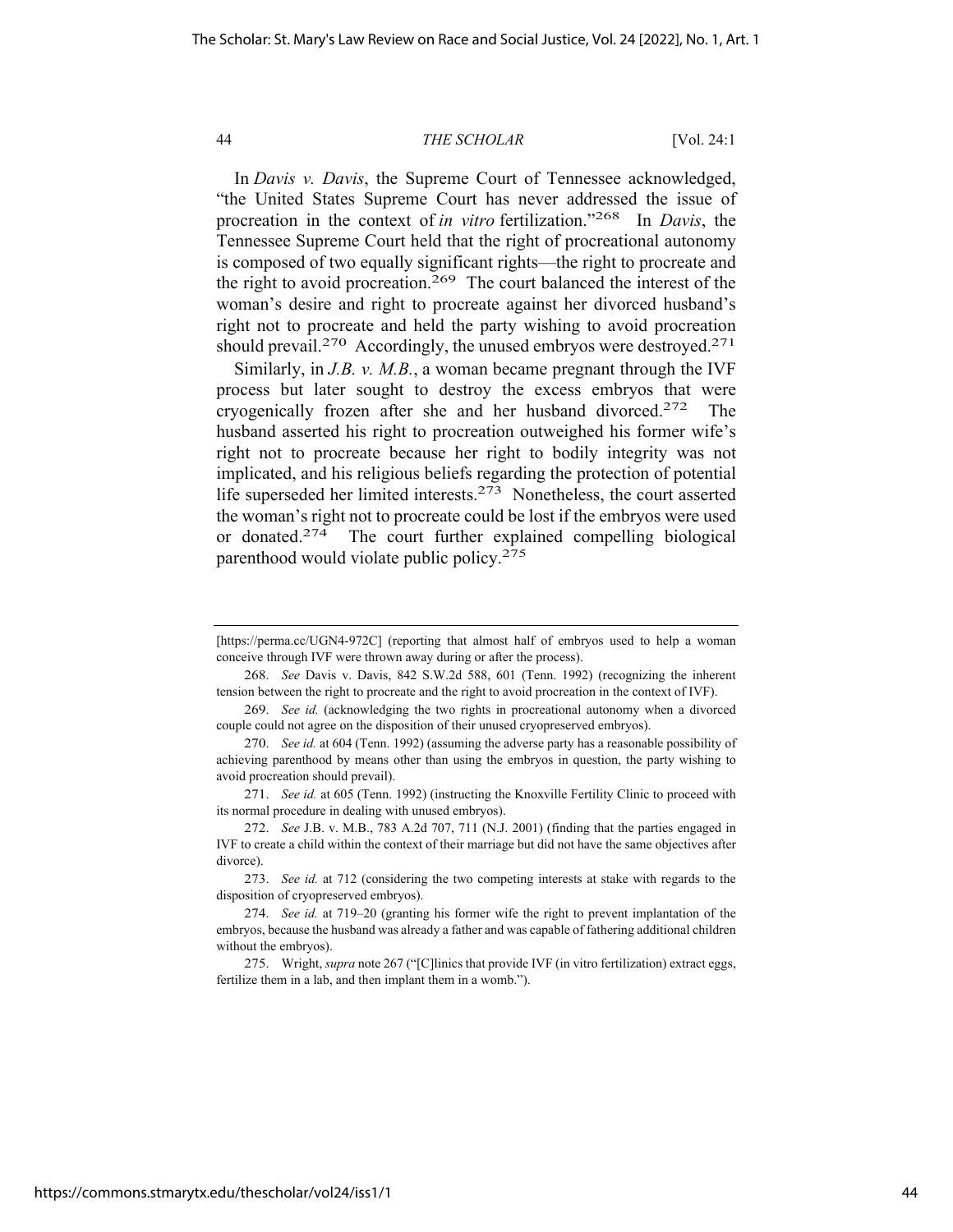In *Davis v. Davis*, the Supreme Court of Tennessee acknowledged, "the United States Supreme Court has never addressed the issue of procreation in the context of *in vitro* fertilization."268 In *Davis*, the Tennessee Supreme Court held that the right of procreational autonomy is composed of two equally significant rights—the right to procreate and the right to avoid procreation.<sup>269</sup> The court balanced the interest of the woman's desire and right to procreate against her divorced husband's right not to procreate and held the party wishing to avoid procreation should prevail.<sup>270</sup> Accordingly, the unused embryos were destroyed.<sup>271</sup>

Similarly, in *J.B. v. M.B.*, a woman became pregnant through the IVF process but later sought to destroy the excess embryos that were cryogenically frozen after she and her husband divorced.272 The husband asserted his right to procreation outweighed his former wife's right not to procreate because her right to bodily integrity was not implicated, and his religious beliefs regarding the protection of potential life superseded her limited interests.273 Nonetheless, the court asserted the woman's right not to procreate could be lost if the embryos were used or donated.274The court further explained compelling biological parenthood would violate public policy.275

<sup>[</sup>https://perma.cc/UGN4-972C] (reporting that almost half of embryos used to help a woman conceive through IVF were thrown away during or after the process).

<sup>268.</sup> *See* Davis v. Davis, 842 S.W.2d 588, 601 (Tenn. 1992) (recognizing the inherent tension between the right to procreate and the right to avoid procreation in the context of IVF).

<sup>269.</sup> *See id.* (acknowledging the two rights in procreational autonomy when a divorced couple could not agree on the disposition of their unused cryopreserved embryos).

<sup>270.</sup> *See id.* at 604 (Tenn. 1992) (assuming the adverse party has a reasonable possibility of achieving parenthood by means other than using the embryos in question, the party wishing to avoid procreation should prevail).

<sup>271.</sup> *See id.* at 605 (Tenn. 1992) (instructing the Knoxville Fertility Clinic to proceed with its normal procedure in dealing with unused embryos).

<sup>272.</sup> *See* J.B. v. M.B., 783 A.2d 707, 711 (N.J. 2001) (finding that the parties engaged in IVF to create a child within the context of their marriage but did not have the same objectives after divorce).

<sup>273.</sup> *See id.* at 712 (considering the two competing interests at stake with regards to the disposition of cryopreserved embryos).

<sup>274.</sup> *See id.* at 719–20 (granting his former wife the right to prevent implantation of the embryos, because the husband was already a father and was capable of fathering additional children without the embryos).

<sup>275.</sup> Wright, *supra* note 267 ("[C]linics that provide IVF (in vitro fertilization) extract eggs, fertilize them in a lab, and then implant them in a womb.").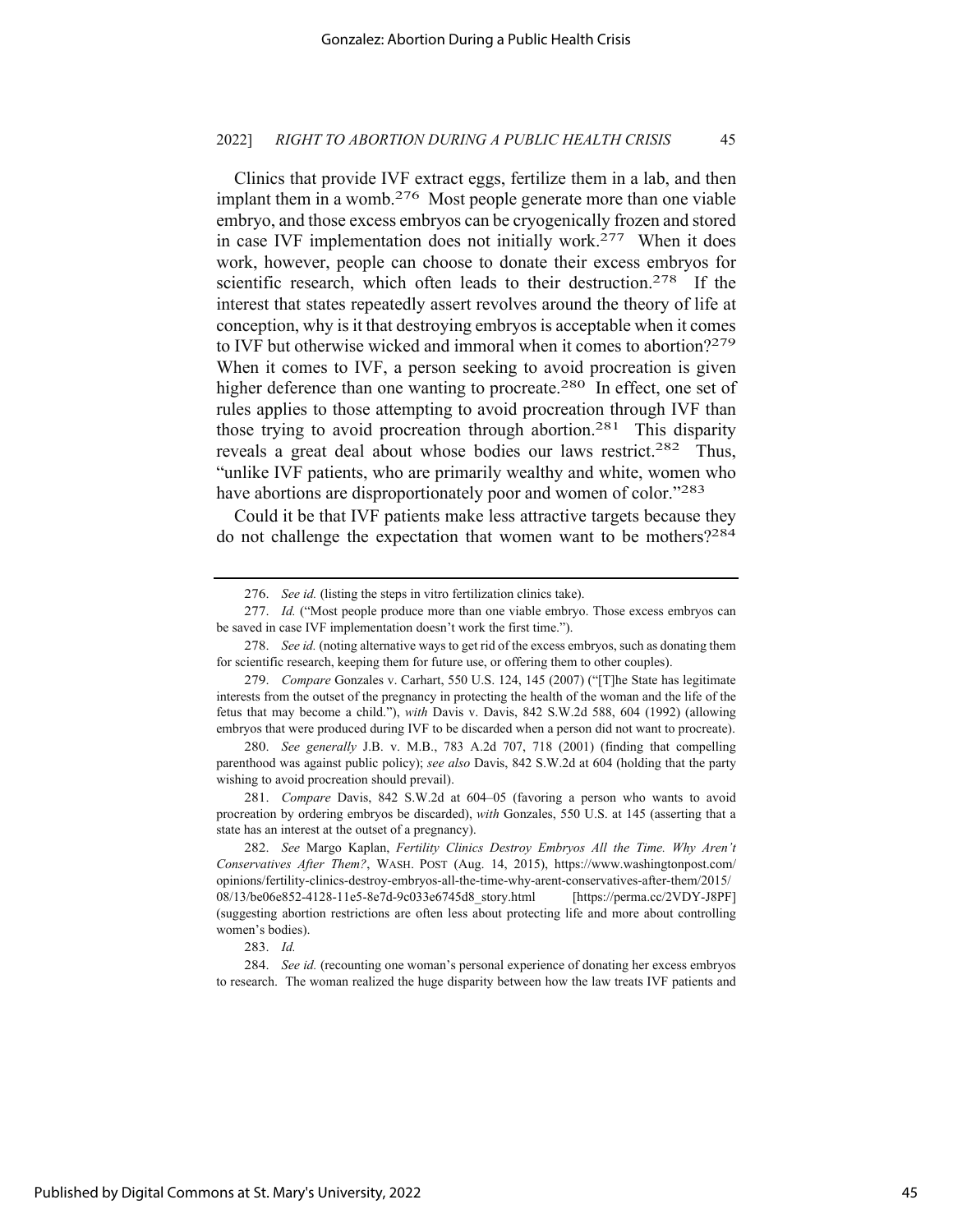Clinics that provide IVF extract eggs, fertilize them in a lab, and then implant them in a womb.<sup>276</sup> Most people generate more than one viable embryo, and those excess embryos can be cryogenically frozen and stored in case IVF implementation does not initially work.<sup>277</sup> When it does work, however, people can choose to donate their excess embryos for scientific research, which often leads to their destruction.<sup>278</sup> If the interest that states repeatedly assert revolves around the theory of life at conception, why is it that destroying embryos is acceptable when it comes to IVF but otherwise wicked and immoral when it comes to abortion?279 When it comes to IVF, a person seeking to avoid procreation is given higher deference than one wanting to procreate.<sup>280</sup> In effect, one set of rules applies to those attempting to avoid procreation through IVF than those trying to avoid procreation through abortion.<sup>281</sup> This disparity reveals a great deal about whose bodies our laws restrict.<sup>282</sup> Thus, "unlike IVF patients, who are primarily wealthy and white, women who have abortions are disproportionately poor and women of color."<sup>283</sup>

Could it be that IVF patients make less attractive targets because they do not challenge the expectation that women want to be mothers?284

<sup>276.</sup> *See id.* (listing the steps in vitro fertilization clinics take).

<sup>277.</sup> *Id.* ("Most people produce more than one viable embryo. Those excess embryos can be saved in case IVF implementation doesn't work the first time.").

<sup>278.</sup> *See id.* (noting alternative ways to get rid of the excess embryos, such as donating them for scientific research, keeping them for future use, or offering them to other couples).

<sup>279.</sup> *Compare* Gonzales v. Carhart, 550 U.S. 124, 145 (2007) ("[T]he State has legitimate interests from the outset of the pregnancy in protecting the health of the woman and the life of the fetus that may become a child."), *with* Davis v. Davis, 842 S.W.2d 588, 604 (1992) (allowing embryos that were produced during IVF to be discarded when a person did not want to procreate).

<sup>280.</sup> *See generally* J.B. v. M.B., 783 A.2d 707, 718 (2001) (finding that compelling parenthood was against public policy); *see also* Davis, 842 S.W.2d at 604 (holding that the party wishing to avoid procreation should prevail).

<sup>281.</sup> *Compare* Davis, 842 S.W.2d at 604–05 (favoring a person who wants to avoid procreation by ordering embryos be discarded), *with* Gonzales, 550 U.S. at 145 (asserting that a state has an interest at the outset of a pregnancy).

<sup>282.</sup> *See* Margo Kaplan, *Fertility Clinics Destroy Embryos All the Time. Why Aren't Conservatives After Them?*, WASH. POST (Aug. 14, 2015), https://www.washingtonpost.com/ opinions/fertility-clinics-destroy-embryos-all-the-time-why-arent-conservatives-after-them/2015/ 08/13/be06e852-4128-11e5-8e7d-9c033e6745d8\_story.html [https://perma.cc/2VDY-J8PF] (suggesting abortion restrictions are often less about protecting life and more about controlling women's bodies).

<sup>283.</sup> *Id.*

<sup>284.</sup> *See id.* (recounting one woman's personal experience of donating her excess embryos to research. The woman realized the huge disparity between how the law treats IVF patients and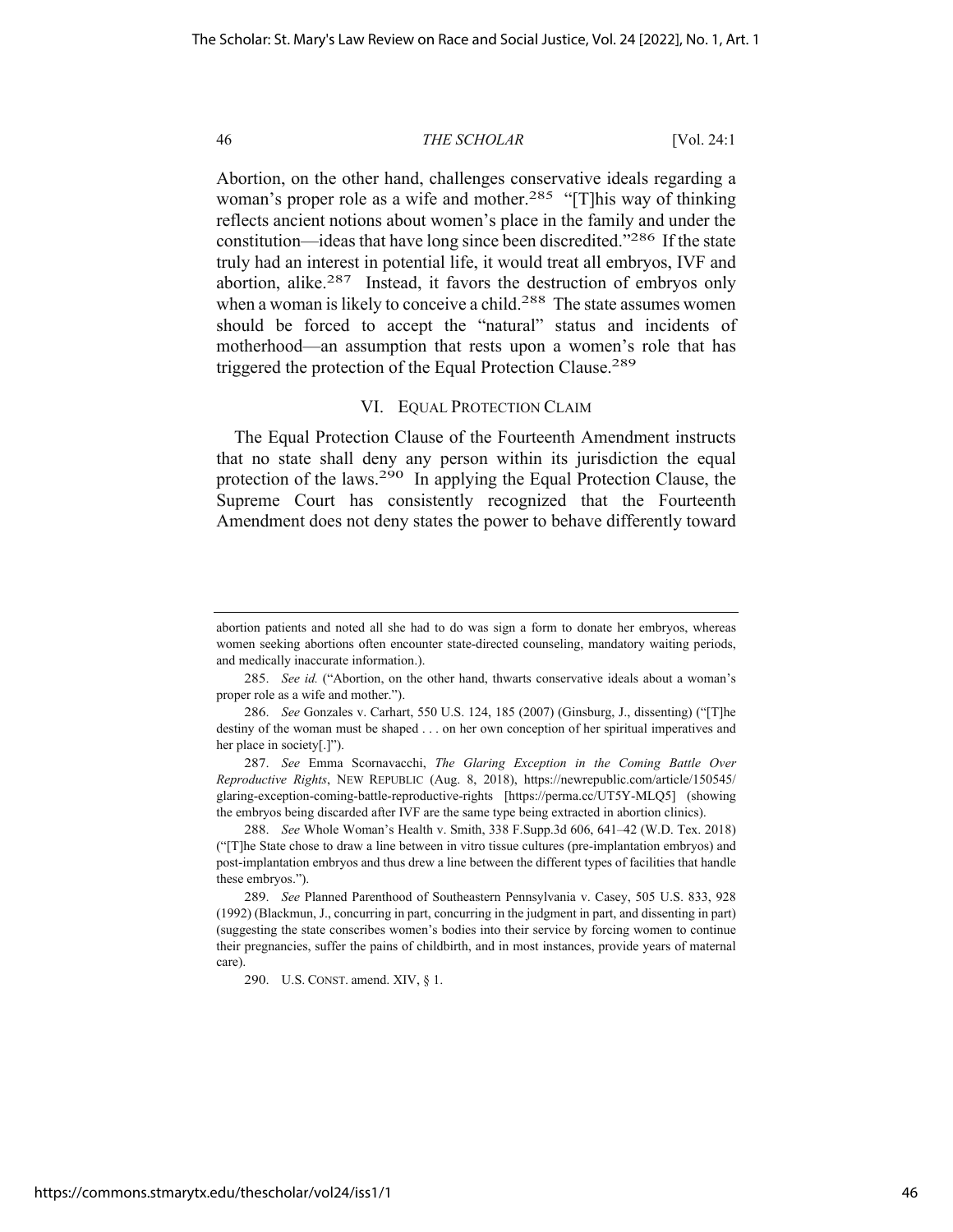Abortion, on the other hand, challenges conservative ideals regarding a woman's proper role as a wife and mother.<sup>285</sup> "[T]his way of thinking reflects ancient notions about women's place in the family and under the constitution—ideas that have long since been discredited."286 If the state truly had an interest in potential life, it would treat all embryos, IVF and abortion, alike.<sup>287</sup> Instead, it favors the destruction of embryos only when a woman is likely to conceive a child.<sup>288</sup> The state assumes women should be forced to accept the "natural" status and incidents of motherhood—an assumption that rests upon a women's role that has triggered the protection of the Equal Protection Clause.<sup>289</sup>

#### VI. EQUAL PROTECTION CLAIM

The Equal Protection Clause of the Fourteenth Amendment instructs that no state shall deny any person within its jurisdiction the equal protection of the laws.<sup>290</sup> In applying the Equal Protection Clause, the Supreme Court has consistently recognized that the Fourteenth Amendment does not deny states the power to behave differently toward

287. *See* Emma Scornavacchi, *The Glaring Exception in the Coming Battle Over Reproductive Rights*, NEW REPUBLIC (Aug. 8, 2018), https://newrepublic.com/article/150545/ glaring-exception-coming-battle-reproductive-rights [https://perma.cc/UT5Y-MLQ5] (showing the embryos being discarded after IVF are the same type being extracted in abortion clinics).

288. *See* Whole Woman's Health v. Smith, 338 F.Supp.3d 606, 641–42 (W.D. Tex. 2018) ("[T]he State chose to draw a line between in vitro tissue cultures (pre-implantation embryos) and post-implantation embryos and thus drew a line between the different types of facilities that handle these embryos.").

290. U.S. CONST. amend. XIV, § 1.

abortion patients and noted all she had to do was sign a form to donate her embryos, whereas women seeking abortions often encounter state-directed counseling, mandatory waiting periods, and medically inaccurate information.).

<sup>285.</sup> *See id.* ("Abortion, on the other hand, thwarts conservative ideals about a woman's proper role as a wife and mother.").

<sup>286.</sup> *See* Gonzales v. Carhart, 550 U.S. 124, 185 (2007) (Ginsburg, J., dissenting) ("[T]he destiny of the woman must be shaped . . . on her own conception of her spiritual imperatives and her place in society[.]").

<sup>289.</sup> *See* Planned Parenthood of Southeastern Pennsylvania v. Casey, 505 U.S. 833, 928 (1992) (Blackmun, J., concurring in part, concurring in the judgment in part, and dissenting in part) (suggesting the state conscribes women's bodies into their service by forcing women to continue their pregnancies, suffer the pains of childbirth, and in most instances, provide years of maternal care).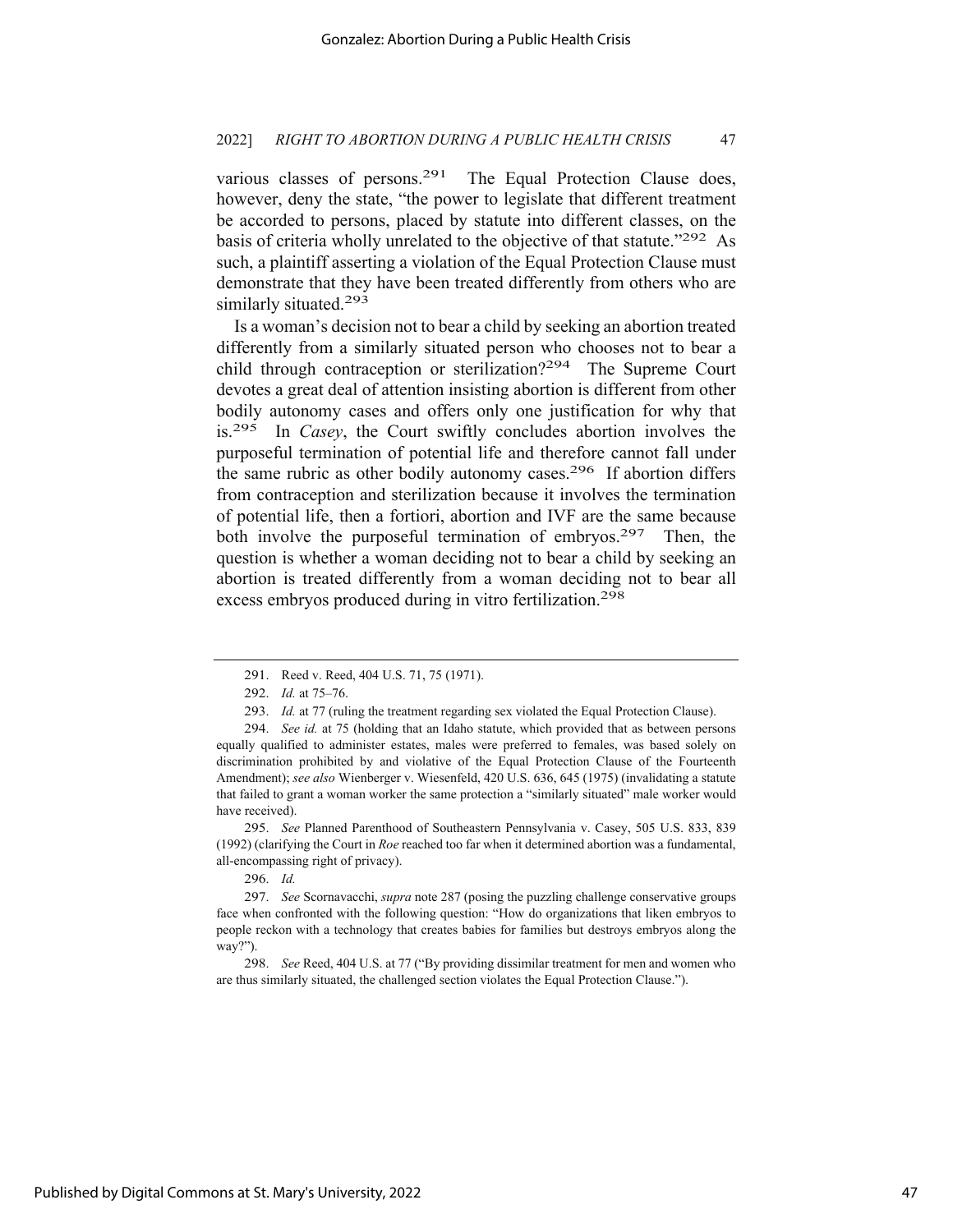various classes of persons.<sup>291</sup> The Equal Protection Clause does, however, deny the state, "the power to legislate that different treatment be accorded to persons, placed by statute into different classes, on the basis of criteria wholly unrelated to the objective of that statute."<sup>292</sup> As such, a plaintiff asserting a violation of the Equal Protection Clause must demonstrate that they have been treated differently from others who are similarly situated.<sup>293</sup>

Is a woman's decision not to bear a child by seeking an abortion treated differently from a similarly situated person who chooses not to bear a child through contraception or sterilization?294 The Supreme Court devotes a great deal of attention insisting abortion is different from other bodily autonomy cases and offers only one justification for why that is.295 In *Casey*, the Court swiftly concludes abortion involves the purposeful termination of potential life and therefore cannot fall under the same rubric as other bodily autonomy cases.296 If abortion differs from contraception and sterilization because it involves the termination of potential life, then a fortiori, abortion and IVF are the same because both involve the purposeful termination of embryos.<sup>297</sup> Then, the question is whether a woman deciding not to bear a child by seeking an abortion is treated differently from a woman deciding not to bear all excess embryos produced during in vitro fertilization.298

295. *See* Planned Parenthood of Southeastern Pennsylvania v. Casey, 505 U.S. 833, 839 (1992) (clarifying the Court in *Roe* reached too far when it determined abortion was a fundamental, all-encompassing right of privacy).

296. *Id.*

298. *See* Reed, 404 U.S. at 77 ("By providing dissimilar treatment for men and women who are thus similarly situated, the challenged section violates the Equal Protection Clause.").

<sup>291.</sup> Reed v. Reed, 404 U.S. 71, 75 (1971).

<sup>292.</sup> *Id.* at 75–76.

<sup>293.</sup> *Id.* at 77 (ruling the treatment regarding sex violated the Equal Protection Clause).

<sup>294.</sup> *See id.* at 75 (holding that an Idaho statute, which provided that as between persons equally qualified to administer estates, males were preferred to females, was based solely on discrimination prohibited by and violative of the Equal Protection Clause of the Fourteenth Amendment); *see also* Wienberger v. Wiesenfeld, 420 U.S. 636, 645 (1975) (invalidating a statute that failed to grant a woman worker the same protection a "similarly situated" male worker would have received).

<sup>297.</sup> *See* Scornavacchi, *supra* note 287 (posing the puzzling challenge conservative groups face when confronted with the following question: "How do organizations that liken embryos to people reckon with a technology that creates babies for families but destroys embryos along the way?").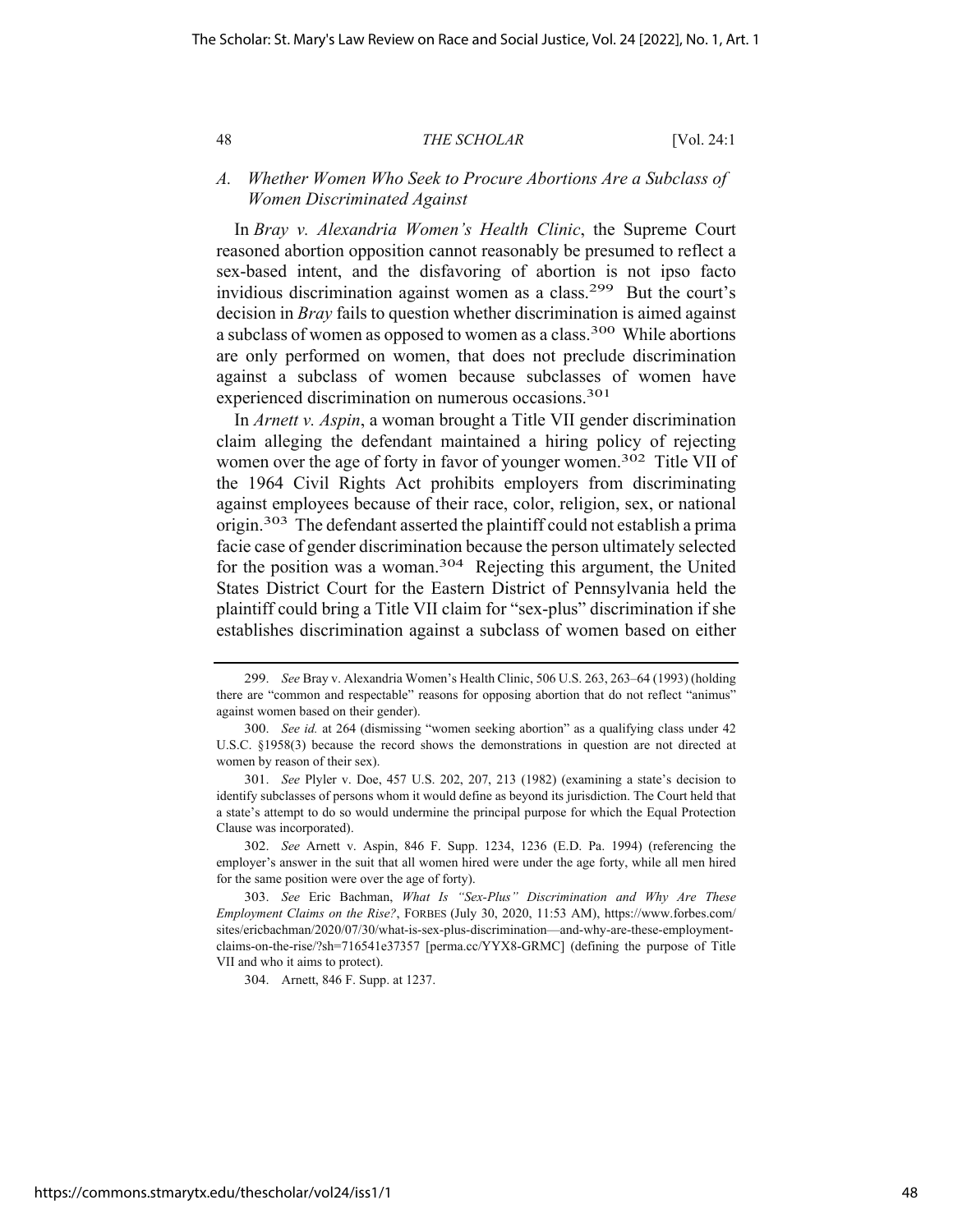## *A. Whether Women Who Seek to Procure Abortions Are a Subclass of Women Discriminated Against*

In *Bray v. Alexandria Women's Health Clinic*, the Supreme Court reasoned abortion opposition cannot reasonably be presumed to reflect a sex-based intent, and the disfavoring of abortion is not ipso facto invidious discrimination against women as a class.<sup>299</sup> But the court's decision in *Bray* fails to question whether discrimination is aimed against a subclass of women as opposed to women as a class.300 While abortions are only performed on women, that does not preclude discrimination against a subclass of women because subclasses of women have experienced discrimination on numerous occasions.<sup>301</sup>

In *Arnett v. Aspin*, a woman brought a Title VII gender discrimination claim alleging the defendant maintained a hiring policy of rejecting women over the age of forty in favor of younger women.<sup>302</sup> Title VII of the 1964 Civil Rights Act prohibits employers from discriminating against employees because of their race, color, religion, sex, or national origin.303 The defendant asserted the plaintiff could not establish a prima facie case of gender discrimination because the person ultimately selected for the position was a woman.304 Rejecting this argument, the United States District Court for the Eastern District of Pennsylvania held the plaintiff could bring a Title VII claim for "sex-plus" discrimination if she establishes discrimination against a subclass of women based on either

302. *See* Arnett v. Aspin, 846 F. Supp. 1234, 1236 (E.D. Pa. 1994) (referencing the employer's answer in the suit that all women hired were under the age forty, while all men hired for the same position were over the age of forty).

304. Arnett, 846 F. Supp. at 1237.

<sup>299.</sup> *See* Bray v. Alexandria Women's Health Clinic, 506 U.S. 263, 263–64 (1993) (holding there are "common and respectable" reasons for opposing abortion that do not reflect "animus" against women based on their gender).

<sup>300.</sup> *See id.* at 264 (dismissing "women seeking abortion" as a qualifying class under 42 U.S.C. §1958(3) because the record shows the demonstrations in question are not directed at women by reason of their sex).

<sup>301.</sup> *See* Plyler v. Doe, 457 U.S. 202, 207, 213 (1982) (examining a state's decision to identify subclasses of persons whom it would define as beyond its jurisdiction. The Court held that a state's attempt to do so would undermine the principal purpose for which the Equal Protection Clause was incorporated).

<sup>303.</sup> *See* Eric Bachman, *What Is "Sex-Plus" Discrimination and Why Are These Employment Claims on the Rise?*, FORBES (July 30, 2020, 11:53 AM), https://www.forbes.com/ sites/ericbachman/2020/07/30/what-is-sex-plus-discrimination—and-why-are-these-employmentclaims-on-the-rise/?sh=716541e37357 [perma.cc/YYX8-GRMC] (defining the purpose of Title VII and who it aims to protect).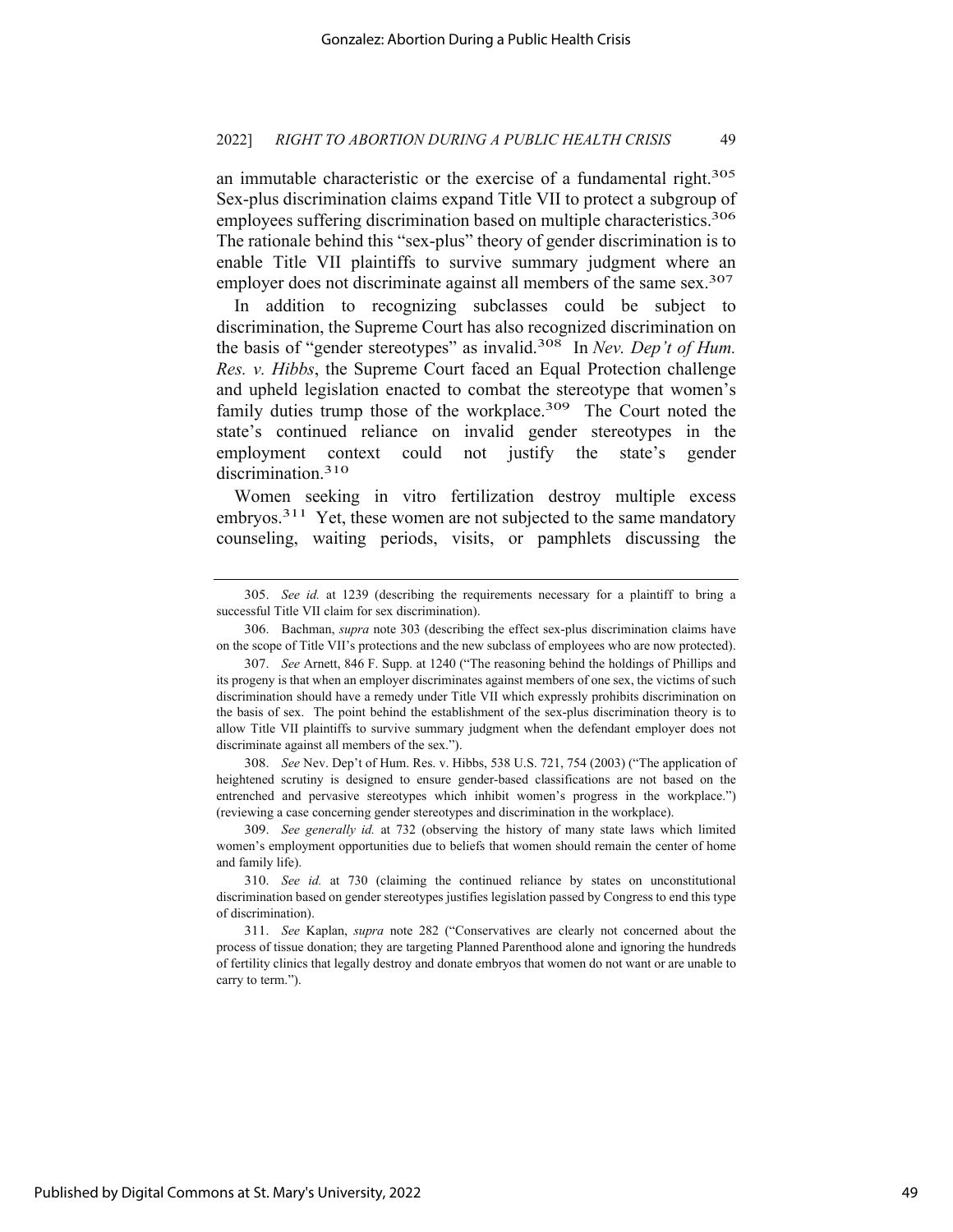an immutable characteristic or the exercise of a fundamental right.<sup>305</sup> Sex-plus discrimination claims expand Title VII to protect a subgroup of employees suffering discrimination based on multiple characteristics.<sup>306</sup> The rationale behind this "sex-plus" theory of gender discrimination is to enable Title VII plaintiffs to survive summary judgment where an employer does not discriminate against all members of the same sex.<sup>307</sup>

In addition to recognizing subclasses could be subject to discrimination, the Supreme Court has also recognized discrimination on the basis of "gender stereotypes" as invalid.308 In *Nev. Dep't of Hum. Res. v. Hibbs*, the Supreme Court faced an Equal Protection challenge and upheld legislation enacted to combat the stereotype that women's family duties trump those of the workplace.<sup>309</sup> The Court noted the state's continued reliance on invalid gender stereotypes in the employment context could not justify the state's gender discrimination.<sup>310</sup>

Women seeking in vitro fertilization destroy multiple excess embryos.<sup>311</sup> Yet, these women are not subjected to the same mandatory counseling, waiting periods, visits, or pamphlets discussing the

308. *See* Nev. Dep't of Hum. Res. v. Hibbs, 538 U.S. 721, 754 (2003) ("The application of heightened scrutiny is designed to ensure gender-based classifications are not based on the entrenched and pervasive stereotypes which inhibit women's progress in the workplace.") (reviewing a case concerning gender stereotypes and discrimination in the workplace).

<sup>305.</sup> *See id.* at 1239 (describing the requirements necessary for a plaintiff to bring a successful Title VII claim for sex discrimination).

<sup>306.</sup> Bachman, *supra* note 303 (describing the effect sex-plus discrimination claims have on the scope of Title VII's protections and the new subclass of employees who are now protected).

<sup>307.</sup> *See* Arnett, 846 F. Supp. at 1240 ("The reasoning behind the holdings of Phillips and its progeny is that when an employer discriminates against members of one sex, the victims of such discrimination should have a remedy under Title VII which expressly prohibits discrimination on the basis of sex. The point behind the establishment of the sex-plus discrimination theory is to allow Title VII plaintiffs to survive summary judgment when the defendant employer does not discriminate against all members of the sex.").

<sup>309.</sup> *See generally id.* at 732 (observing the history of many state laws which limited women's employment opportunities due to beliefs that women should remain the center of home and family life).

<sup>310.</sup> *See id.* at 730 (claiming the continued reliance by states on unconstitutional discrimination based on gender stereotypes justifies legislation passed by Congress to end this type of discrimination).

<sup>311.</sup> *See* Kaplan, *supra* note 282 ("Conservatives are clearly not concerned about the process of tissue donation; they are targeting Planned Parenthood alone and ignoring the hundreds of fertility clinics that legally destroy and donate embryos that women do not want or are unable to carry to term.").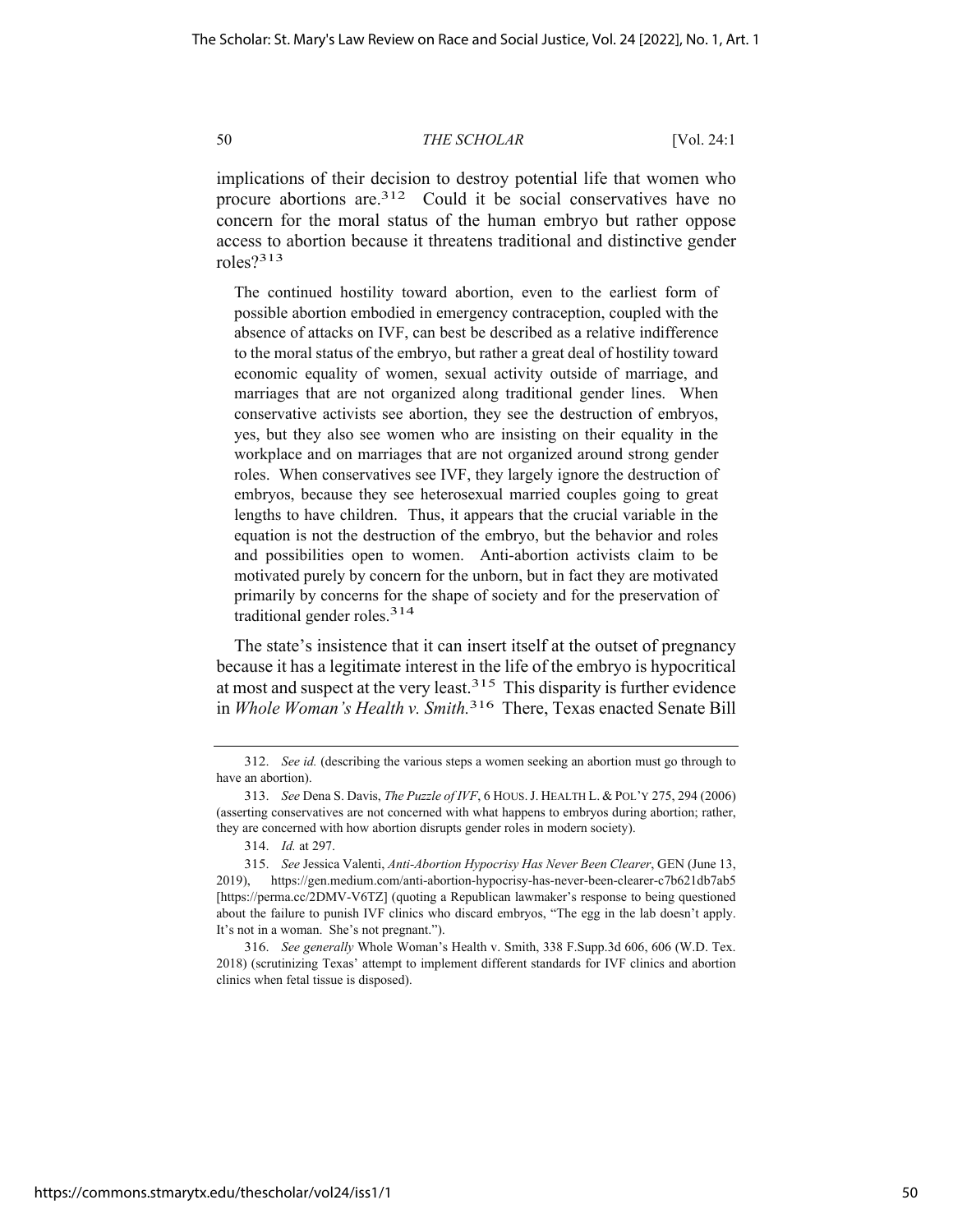implications of their decision to destroy potential life that women who procure abortions are.<sup>312</sup> Could it be social conservatives have no concern for the moral status of the human embryo but rather oppose access to abortion because it threatens traditional and distinctive gender roles?313

The continued hostility toward abortion, even to the earliest form of possible abortion embodied in emergency contraception, coupled with the absence of attacks on IVF, can best be described as a relative indifference to the moral status of the embryo, but rather a great deal of hostility toward economic equality of women, sexual activity outside of marriage, and marriages that are not organized along traditional gender lines. When conservative activists see abortion, they see the destruction of embryos, yes, but they also see women who are insisting on their equality in the workplace and on marriages that are not organized around strong gender roles. When conservatives see IVF, they largely ignore the destruction of embryos, because they see heterosexual married couples going to great lengths to have children. Thus, it appears that the crucial variable in the equation is not the destruction of the embryo, but the behavior and roles and possibilities open to women. Anti-abortion activists claim to be motivated purely by concern for the unborn, but in fact they are motivated primarily by concerns for the shape of society and for the preservation of traditional gender roles.314

The state's insistence that it can insert itself at the outset of pregnancy because it has a legitimate interest in the life of the embryo is hypocritical at most and suspect at the very least.<sup>315</sup> This disparity is further evidence in *Whole Woman's Health v. Smith.*316There, Texas enacted Senate Bill

<sup>312.</sup> *See id.* (describing the various steps a women seeking an abortion must go through to have an abortion).

<sup>313.</sup> *See* Dena S. Davis, *The Puzzle of IVF*, 6 HOUS.J. HEALTH L. & POL'Y 275, 294 (2006) (asserting conservatives are not concerned with what happens to embryos during abortion; rather, they are concerned with how abortion disrupts gender roles in modern society).

<sup>314.</sup> *Id.* at 297.

<sup>315.</sup> *See* Jessica Valenti, *Anti-Abortion Hypocrisy Has Never Been Clearer*, GEN (June 13, 2019), https://gen.medium.com/anti-abortion-hypocrisy-has-never-been-clearer-c7b621db7ab5 [https://perma.cc/2DMV-V6TZ] (quoting a Republican lawmaker's response to being questioned about the failure to punish IVF clinics who discard embryos, "The egg in the lab doesn't apply. It's not in a woman. She's not pregnant.").

<sup>316.</sup> *See generally* Whole Woman's Health v. Smith, 338 F.Supp.3d 606, 606 (W.D. Tex. 2018) (scrutinizing Texas' attempt to implement different standards for IVF clinics and abortion clinics when fetal tissue is disposed).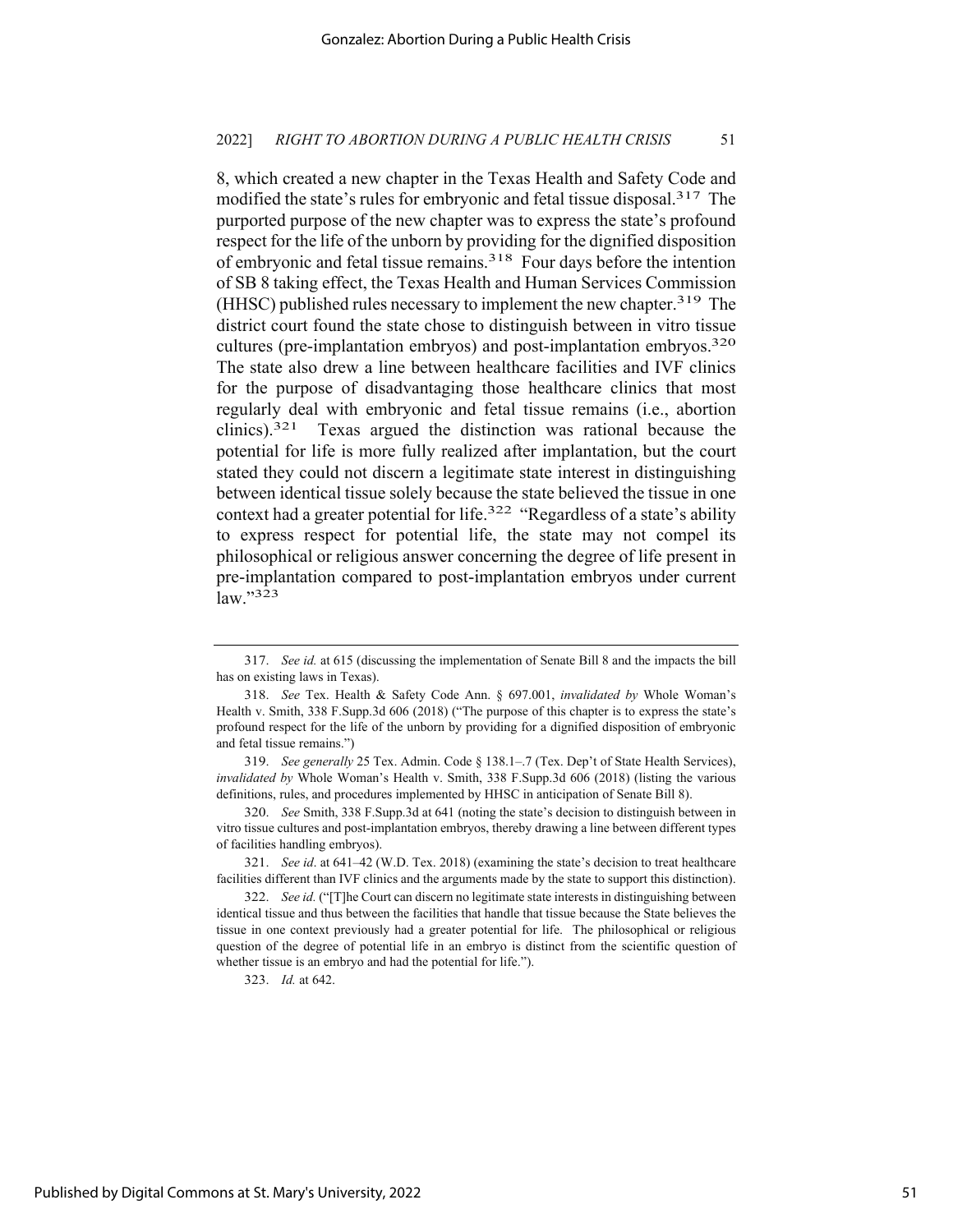8, which created a new chapter in the Texas Health and Safety Code and modified the state's rules for embryonic and fetal tissue disposal.317 The purported purpose of the new chapter was to express the state's profound respect for the life of the unborn by providing for the dignified disposition of embryonic and fetal tissue remains.<sup>318</sup> Four days before the intention of SB 8 taking effect, the Texas Health and Human Services Commission (HHSC) published rules necessary to implement the new chapter.<sup>319</sup> The district court found the state chose to distinguish between in vitro tissue cultures (pre-implantation embryos) and post-implantation embryos.320 The state also drew a line between healthcare facilities and IVF clinics for the purpose of disadvantaging those healthcare clinics that most regularly deal with embryonic and fetal tissue remains (i.e., abortion clinics).321 Texas argued the distinction was rational because the potential for life is more fully realized after implantation, but the court stated they could not discern a legitimate state interest in distinguishing between identical tissue solely because the state believed the tissue in one context had a greater potential for life.<sup>322</sup> "Regardless of a state's ability to express respect for potential life, the state may not compel its philosophical or religious answer concerning the degree of life present in pre-implantation compared to post-implantation embryos under current law."323

319. *See generally* 25 Tex. Admin. Code § 138.1–.7 (Tex. Dep't of State Health Services), *invalidated by* Whole Woman's Health v. Smith, 338 F.Supp.3d 606 (2018) (listing the various definitions, rules, and procedures implemented by HHSC in anticipation of Senate Bill 8).

321. *See id*. at 641–42 (W.D. Tex. 2018) (examining the state's decision to treat healthcare facilities different than IVF clinics and the arguments made by the state to support this distinction).

323. *Id.* at 642.

<sup>317.</sup> *See id.* at 615 (discussing the implementation of Senate Bill 8 and the impacts the bill has on existing laws in Texas).

<sup>318.</sup> *See* Tex. Health & Safety Code Ann. § 697.001, *invalidated by* Whole Woman's Health v. Smith, 338 F.Supp.3d 606 (2018) ("The purpose of this chapter is to express the state's profound respect for the life of the unborn by providing for a dignified disposition of embryonic and fetal tissue remains.")

<sup>320.</sup> *See* Smith, 338 F.Supp.3d at 641 (noting the state's decision to distinguish between in vitro tissue cultures and post-implantation embryos, thereby drawing a line between different types of facilities handling embryos).

<sup>322.</sup> *See id.* ("[T]he Court can discern no legitimate state interests in distinguishing between identical tissue and thus between the facilities that handle that tissue because the State believes the tissue in one context previously had a greater potential for life. The philosophical or religious question of the degree of potential life in an embryo is distinct from the scientific question of whether tissue is an embryo and had the potential for life.").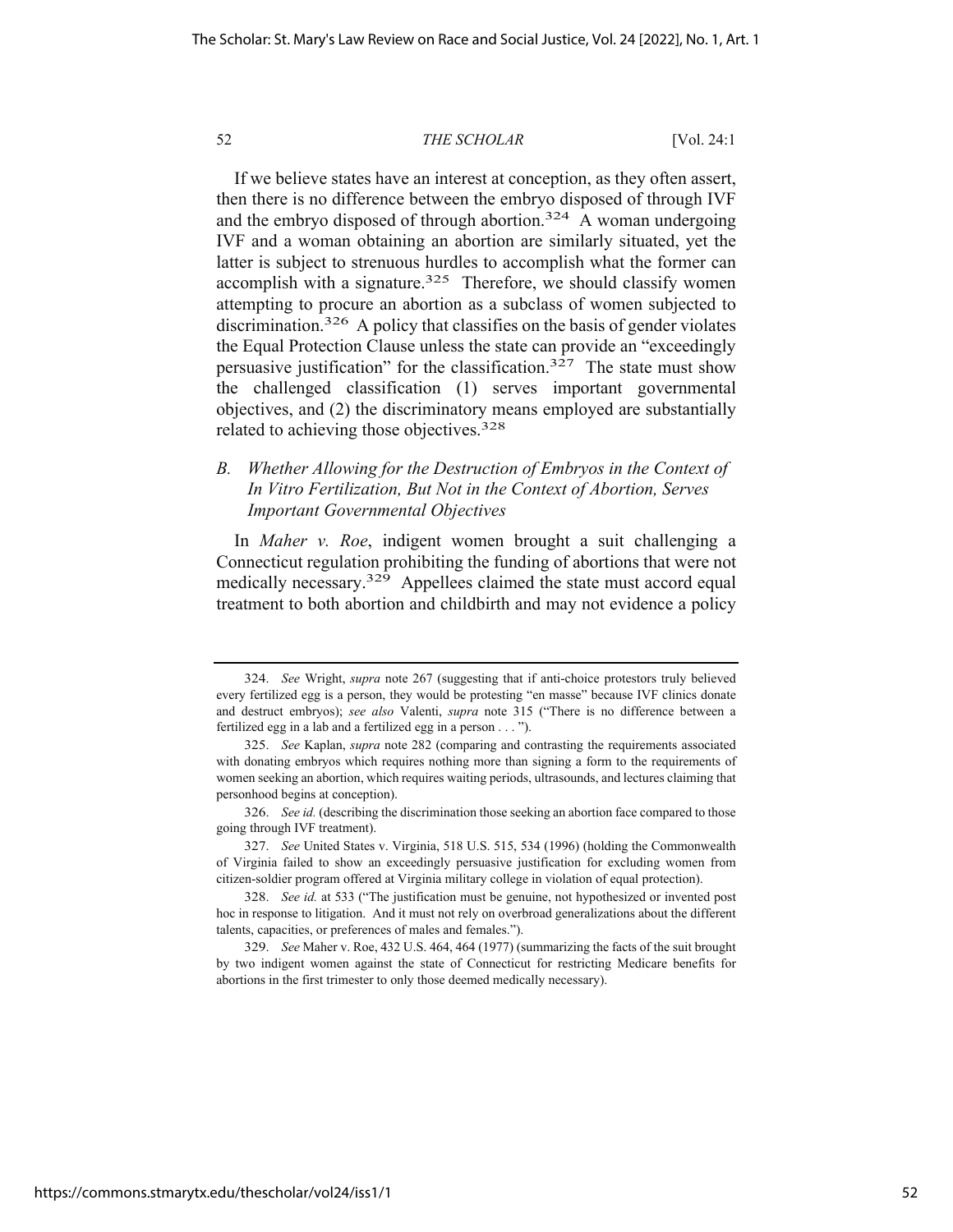If we believe states have an interest at conception, as they often assert, then there is no difference between the embryo disposed of through IVF and the embryo disposed of through abortion.<sup>324</sup> A woman undergoing IVF and a woman obtaining an abortion are similarly situated, yet the latter is subject to strenuous hurdles to accomplish what the former can accomplish with a signature.<sup>325</sup> Therefore, we should classify women attempting to procure an abortion as a subclass of women subjected to discrimination.<sup>326</sup> A policy that classifies on the basis of gender violates the Equal Protection Clause unless the state can provide an "exceedingly persuasive justification" for the classification.<sup>327</sup> The state must show the challenged classification (1) serves important governmental objectives, and (2) the discriminatory means employed are substantially related to achieving those objectives.328

## *B. Whether Allowing for the Destruction of Embryos in the Context of In Vitro Fertilization, But Not in the Context of Abortion, Serves Important Governmental Objectives*

In *Maher v. Roe*, indigent women brought a suit challenging a Connecticut regulation prohibiting the funding of abortions that were not medically necessary.<sup>329</sup> Appellees claimed the state must accord equal treatment to both abortion and childbirth and may not evidence a policy

<sup>324.</sup> *See* Wright, *supra* note 267 (suggesting that if anti-choice protestors truly believed every fertilized egg is a person, they would be protesting "en masse" because IVF clinics donate and destruct embryos); *see also* Valenti, *supra* note 315 ("There is no difference between a fertilized egg in a lab and a fertilized egg in a person . . . ").

<sup>325.</sup> *See* Kaplan, *supra* note 282 (comparing and contrasting the requirements associated with donating embryos which requires nothing more than signing a form to the requirements of women seeking an abortion, which requires waiting periods, ultrasounds, and lectures claiming that personhood begins at conception).

<sup>326.</sup> *See id.* (describing the discrimination those seeking an abortion face compared to those going through IVF treatment).

<sup>327.</sup> *See* United States v. Virginia, 518 U.S. 515, 534 (1996) (holding the Commonwealth of Virginia failed to show an exceedingly persuasive justification for excluding women from citizen-soldier program offered at Virginia military college in violation of equal protection).

<sup>328.</sup> *See id.* at 533 ("The justification must be genuine, not hypothesized or invented post hoc in response to litigation. And it must not rely on overbroad generalizations about the different talents, capacities, or preferences of males and females.").

<sup>329.</sup> *See* Maher v. Roe, 432 U.S. 464, 464 (1977) (summarizing the facts of the suit brought by two indigent women against the state of Connecticut for restricting Medicare benefits for abortions in the first trimester to only those deemed medically necessary).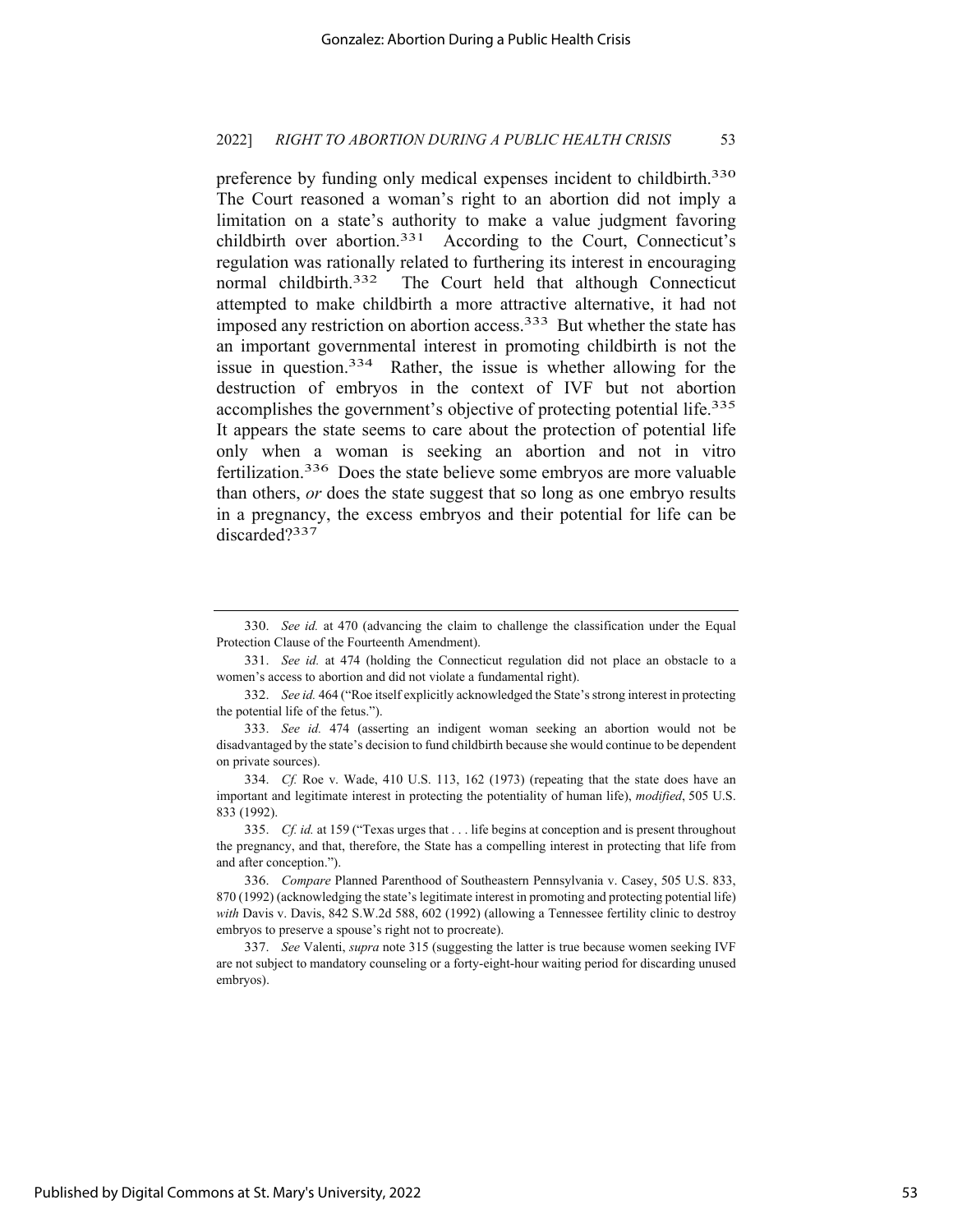preference by funding only medical expenses incident to childbirth.<sup>330</sup> The Court reasoned a woman's right to an abortion did not imply a limitation on a state's authority to make a value judgment favoring childbirth over abortion.<sup>331</sup> According to the Court, Connecticut's regulation was rationally related to furthering its interest in encouraging normal childbirth.<sup>332</sup> The Court held that although Connecticut attempted to make childbirth a more attractive alternative, it had not imposed any restriction on abortion access.<sup>333</sup> But whether the state has an important governmental interest in promoting childbirth is not the issue in question.334 Rather, the issue is whether allowing for the destruction of embryos in the context of IVF but not abortion accomplishes the government's objective of protecting potential life.<sup>335</sup> It appears the state seems to care about the protection of potential life only when a woman is seeking an abortion and not in vitro fertilization.336 Does the state believe some embryos are more valuable than others, *or* does the state suggest that so long as one embryo results in a pregnancy, the excess embryos and their potential for life can be discarded?337

<sup>330.</sup> *See id.* at 470 (advancing the claim to challenge the classification under the Equal Protection Clause of the Fourteenth Amendment).

<sup>331.</sup> *See id.* at 474 (holding the Connecticut regulation did not place an obstacle to a women's access to abortion and did not violate a fundamental right).

<sup>332.</sup> *See id.* 464 ("Roe itself explicitly acknowledged the State's strong interest in protecting the potential life of the fetus.").

<sup>333.</sup> *See id.* 474 (asserting an indigent woman seeking an abortion would not be disadvantaged by the state's decision to fund childbirth because she would continue to be dependent on private sources).

<sup>334.</sup> *Cf.* Roe v. Wade, 410 U.S. 113, 162 (1973) (repeating that the state does have an important and legitimate interest in protecting the potentiality of human life), *modified*, 505 U.S. 833 (1992).

<sup>335.</sup> *Cf. id.* at 159 ("Texas urges that . . . life begins at conception and is present throughout the pregnancy, and that, therefore, the State has a compelling interest in protecting that life from and after conception.").

<sup>336.</sup> *Compare* Planned Parenthood of Southeastern Pennsylvania v. Casey, 505 U.S. 833, 870 (1992) (acknowledging the state's legitimate interest in promoting and protecting potential life) *with* Davis v. Davis, 842 S.W.2d 588, 602 (1992) (allowing a Tennessee fertility clinic to destroy embryos to preserve a spouse's right not to procreate).

<sup>337.</sup> *See* Valenti, *supra* note 315 (suggesting the latter is true because women seeking IVF are not subject to mandatory counseling or a forty-eight-hour waiting period for discarding unused embryos).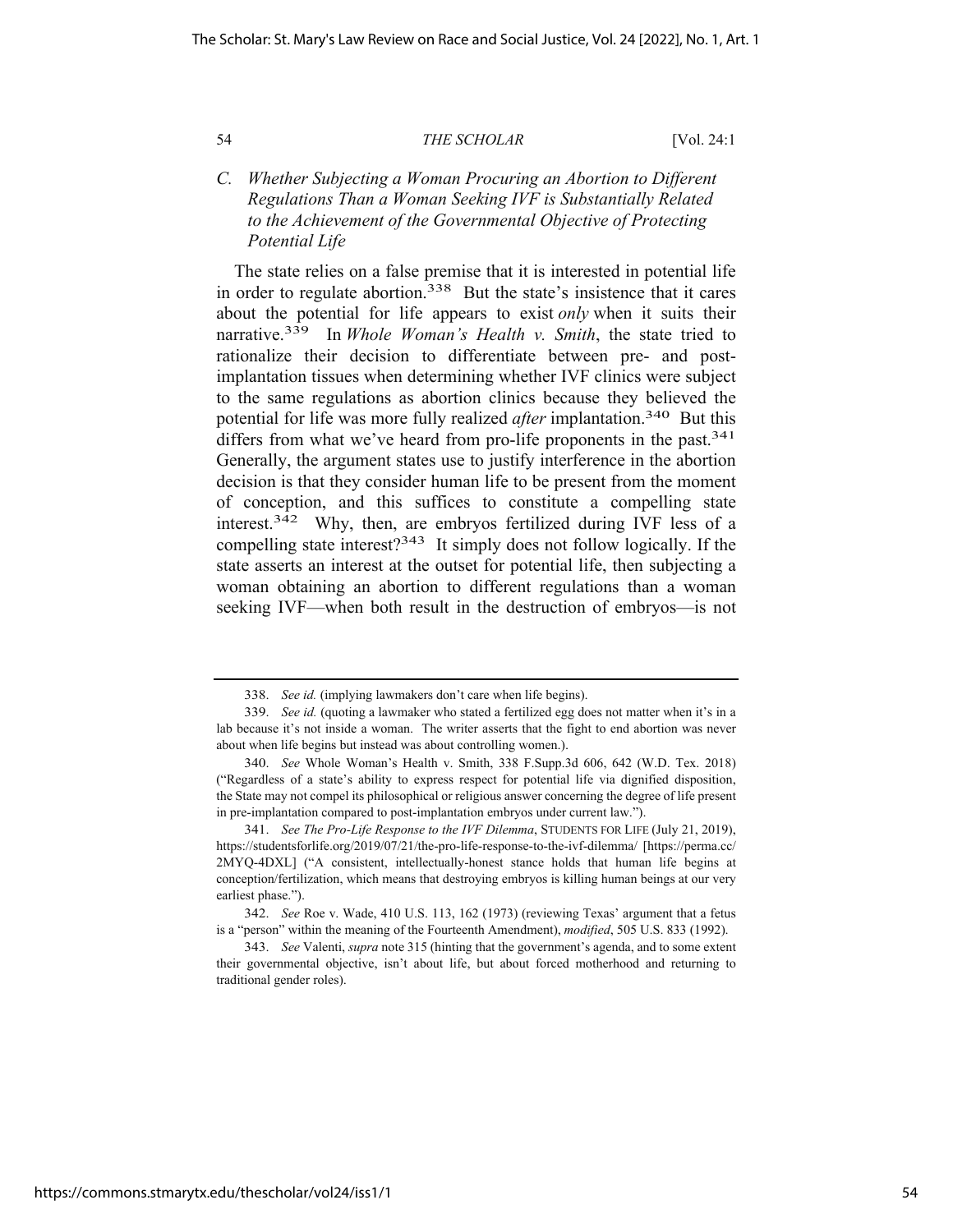## *C. Whether Subjecting a Woman Procuring an Abortion to Different Regulations Than a Woman Seeking IVF is Substantially Related to the Achievement of the Governmental Objective of Protecting Potential Life*

The state relies on a false premise that it is interested in potential life in order to regulate abortion.<sup>338</sup> But the state's insistence that it cares about the potential for life appears to exist *only* when it suits their narrative.339 In *Whole Woman's Health v. Smith*, the state tried to rationalize their decision to differentiate between pre- and postimplantation tissues when determining whether IVF clinics were subject to the same regulations as abortion clinics because they believed the potential for life was more fully realized *after* implantation.340 But this differs from what we've heard from pro-life proponents in the past.<sup>341</sup> Generally, the argument states use to justify interference in the abortion decision is that they consider human life to be present from the moment of conception, and this suffices to constitute a compelling state interest.342 Why, then, are embryos fertilized during IVF less of a compelling state interest?343 It simply does not follow logically. If the state asserts an interest at the outset for potential life, then subjecting a woman obtaining an abortion to different regulations than a woman seeking IVF—when both result in the destruction of embryos—is not

<sup>338.</sup> *See id.* (implying lawmakers don't care when life begins).

<sup>339.</sup> *See id.* (quoting a lawmaker who stated a fertilized egg does not matter when it's in a lab because it's not inside a woman. The writer asserts that the fight to end abortion was never about when life begins but instead was about controlling women.).

<sup>340.</sup> *See* Whole Woman's Health v. Smith, 338 F.Supp.3d 606, 642 (W.D. Tex. 2018) ("Regardless of a state's ability to express respect for potential life via dignified disposition, the State may not compel its philosophical or religious answer concerning the degree of life present in pre-implantation compared to post-implantation embryos under current law.").

<sup>341.</sup> *See The Pro-Life Response to the IVF Dilemma*, STUDENTS FOR LIFE (July 21, 2019), https://studentsforlife.org/2019/07/21/the-pro-life-response-to-the-ivf-dilemma/ [https://perma.cc/ 2MYQ-4DXL] ("A consistent, intellectually-honest stance holds that human life begins at conception/fertilization, which means that destroying embryos is killing human beings at our very earliest phase.").

<sup>342.</sup> *See* Roe v. Wade, 410 U.S. 113, 162 (1973) (reviewing Texas' argument that a fetus is a "person" within the meaning of the Fourteenth Amendment), *modified*, 505 U.S. 833 (1992).

<sup>343.</sup> *See* Valenti, *supra* note 315 (hinting that the government's agenda, and to some extent their governmental objective, isn't about life, but about forced motherhood and returning to traditional gender roles).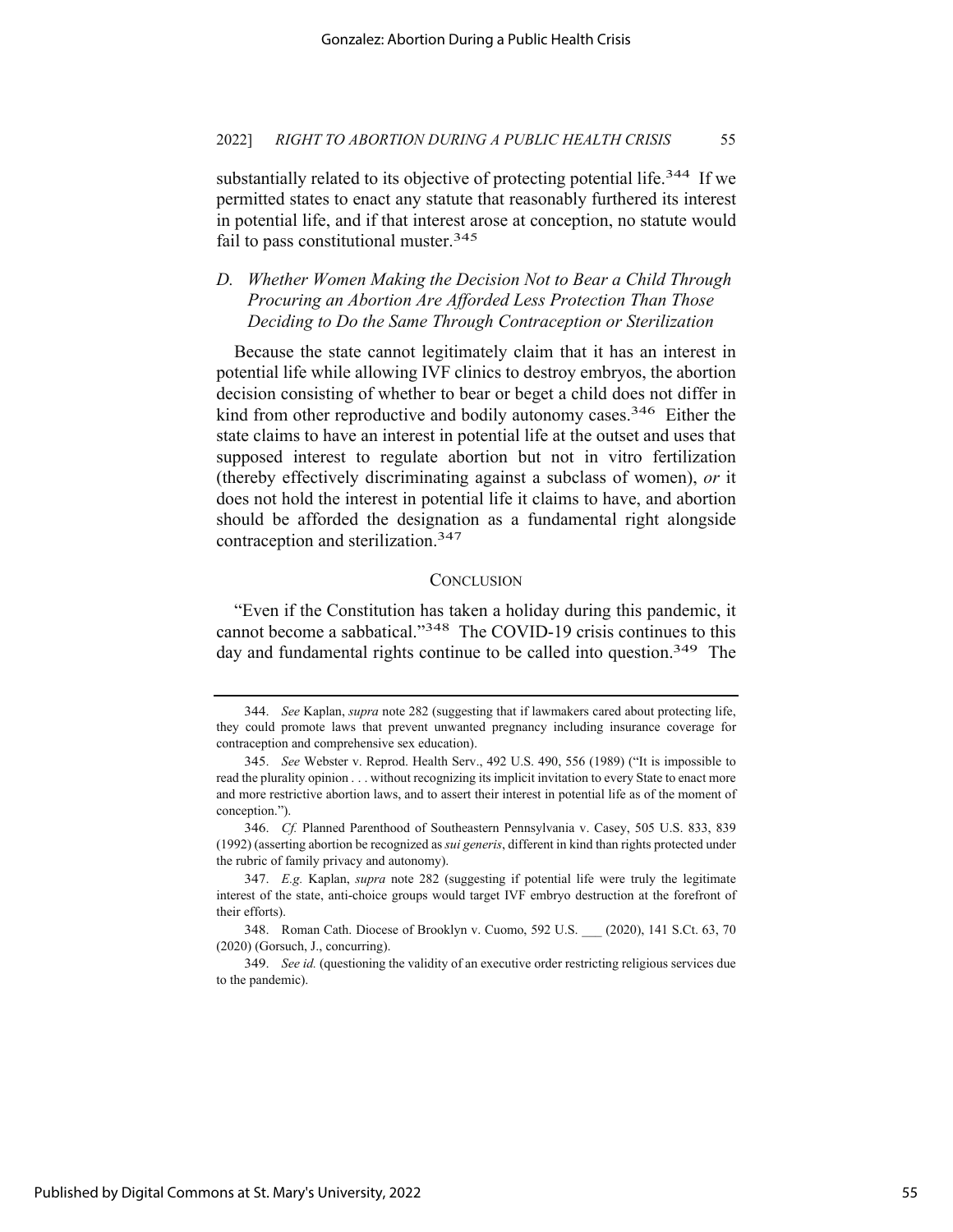substantially related to its objective of protecting potential life.<sup>344</sup> If we permitted states to enact any statute that reasonably furthered its interest in potential life, and if that interest arose at conception, no statute would fail to pass constitutional muster.345

## *D. Whether Women Making the Decision Not to Bear a Child Through Procuring an Abortion Are Afforded Less Protection Than Those Deciding to Do the Same Through Contraception or Sterilization*

Because the state cannot legitimately claim that it has an interest in potential life while allowing IVF clinics to destroy embryos, the abortion decision consisting of whether to bear or beget a child does not differ in kind from other reproductive and bodily autonomy cases.<sup>346</sup> Either the state claims to have an interest in potential life at the outset and uses that supposed interest to regulate abortion but not in vitro fertilization (thereby effectively discriminating against a subclass of women), *or* it does not hold the interest in potential life it claims to have, and abortion should be afforded the designation as a fundamental right alongside contraception and sterilization.347

#### **CONCLUSION**

"Even if the Constitution has taken a holiday during this pandemic, it cannot become a sabbatical."348 The COVID-19 crisis continues to this day and fundamental rights continue to be called into question.<sup>349</sup> The

<sup>344.</sup> *See* Kaplan, *supra* note 282 (suggesting that if lawmakers cared about protecting life, they could promote laws that prevent unwanted pregnancy including insurance coverage for contraception and comprehensive sex education).

<sup>345.</sup> *See* Webster v. Reprod. Health Serv., 492 U.S. 490, 556 (1989) ("It is impossible to read the plurality opinion . . . without recognizing its implicit invitation to every State to enact more and more restrictive abortion laws, and to assert their interest in potential life as of the moment of conception.").

<sup>346.</sup> *Cf.* Planned Parenthood of Southeastern Pennsylvania v. Casey, 505 U.S. 833, 839 (1992) (asserting abortion be recognized as *sui generis*, different in kind than rights protected under the rubric of family privacy and autonomy).

<sup>347.</sup> *E.g.* Kaplan, *supra* note 282 (suggesting if potential life were truly the legitimate interest of the state, anti-choice groups would target IVF embryo destruction at the forefront of their efforts).

<sup>348.</sup> Roman Cath. Diocese of Brooklyn v. Cuomo, 592 U.S. \_\_\_ (2020), 141 S.Ct. 63, 70 (2020) (Gorsuch, J., concurring).

<sup>349.</sup> *See id.* (questioning the validity of an executive order restricting religious services due to the pandemic).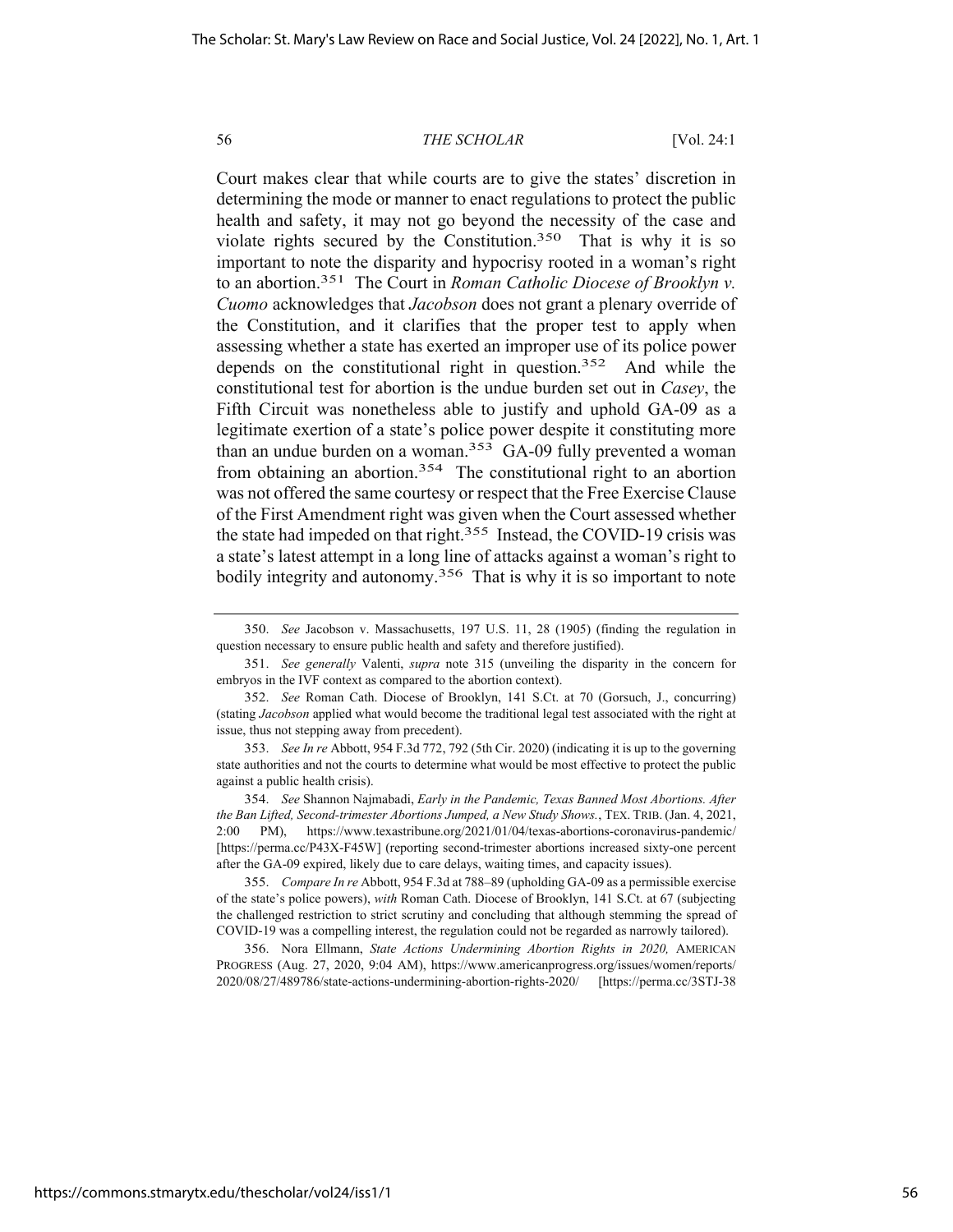Court makes clear that while courts are to give the states' discretion in determining the mode or manner to enact regulations to protect the public health and safety, it may not go beyond the necessity of the case and violate rights secured by the Constitution.350 That is why it is so important to note the disparity and hypocrisy rooted in a woman's right to an abortion.351 The Court in *Roman Catholic Diocese of Brooklyn v. Cuomo* acknowledges that *Jacobson* does not grant a plenary override of the Constitution, and it clarifies that the proper test to apply when assessing whether a state has exerted an improper use of its police power depends on the constitutional right in question.352 And while the constitutional test for abortion is the undue burden set out in *Casey*, the Fifth Circuit was nonetheless able to justify and uphold GA-09 as a legitimate exertion of a state's police power despite it constituting more than an undue burden on a woman.<sup>353</sup> GA-09 fully prevented a woman from obtaining an abortion.<sup>354</sup> The constitutional right to an abortion was not offered the same courtesy or respect that the Free Exercise Clause of the First Amendment right was given when the Court assessed whether the state had impeded on that right.<sup>355</sup> Instead, the COVID-19 crisis was a state's latest attempt in a long line of attacks against a woman's right to bodily integrity and autonomy.<sup>356</sup> That is why it is so important to note

356. Nora Ellmann, *State Actions Undermining Abortion Rights in 2020,* AMERICAN PROGRESS (Aug. 27, 2020, 9:04 AM), https://www.americanprogress.org/issues/women/reports/ 2020/08/27/489786/state-actions-undermining-abortion-rights-2020/ [https://perma.cc/3STJ-38

<sup>350.</sup> *See* Jacobson v. Massachusetts, 197 U.S. 11, 28 (1905) (finding the regulation in question necessary to ensure public health and safety and therefore justified).

<sup>351.</sup> *See generally* Valenti, *supra* note 315 (unveiling the disparity in the concern for embryos in the IVF context as compared to the abortion context).

<sup>352.</sup> *See* Roman Cath. Diocese of Brooklyn, 141 S.Ct. at 70 (Gorsuch, J., concurring) (stating *Jacobson* applied what would become the traditional legal test associated with the right at issue, thus not stepping away from precedent).

<sup>353.</sup> *See In re* Abbott, 954 F.3d 772, 792 (5th Cir. 2020) (indicating it is up to the governing state authorities and not the courts to determine what would be most effective to protect the public against a public health crisis).

<sup>354.</sup> *See* Shannon Najmabadi, *Early in the Pandemic, Texas Banned Most Abortions. After the Ban Lifted, Second-trimester Abortions Jumped, a New Study Shows.*, TEX. TRIB. (Jan. 4, 2021, 2:00 PM), https://www.texastribune.org/2021/01/04/texas-abortions-coronavirus-pandemic/ [https://perma.cc/P43X-F45W] (reporting second-trimester abortions increased sixty-one percent after the GA-09 expired, likely due to care delays, waiting times, and capacity issues).

<sup>355.</sup> *Compare In re* Abbott, 954 F.3d at 788–89 (upholding GA-09 as a permissible exercise of the state's police powers), *with* Roman Cath. Diocese of Brooklyn, 141 S.Ct. at 67 (subjecting the challenged restriction to strict scrutiny and concluding that although stemming the spread of COVID-19 was a compelling interest, the regulation could not be regarded as narrowly tailored).